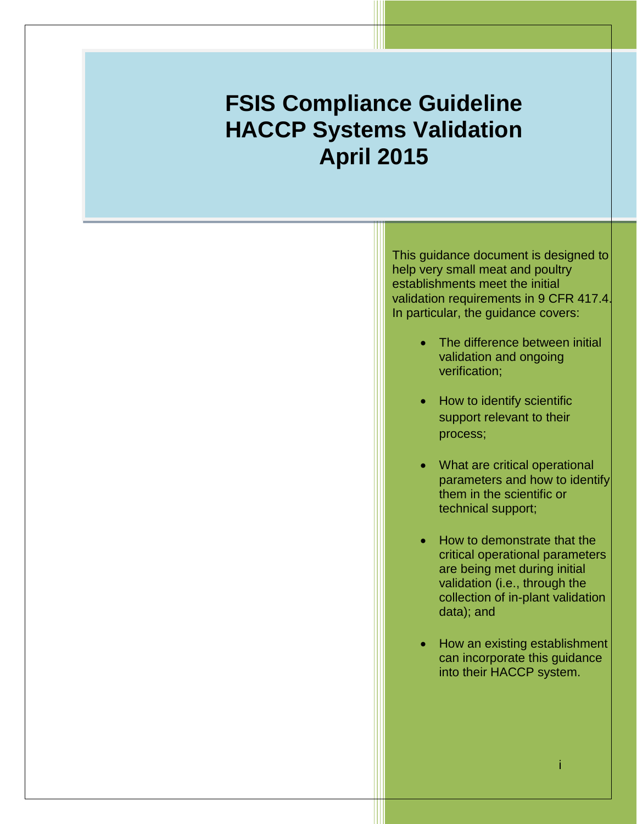# ľ **FSIS Compliance Guideline HACCP Systems Validation April 2015**

This guidance document is designed to help very small meat and poultry establishments meet the initial validation requirements in 9 CFR 417.4. In particular, the guidance covers:

- The difference between initial validation and ongoing verification;
- How to identify scientific support relevant to their process;
- What are critical operational parameters and how to identify them in the scientific or technical support;
- How to demonstrate that the critical operational parameters are being met during initial validation (i.e., through the collection of in-plant validation data); and
- How an existing establishment can incorporate this guidance into their HACCP system.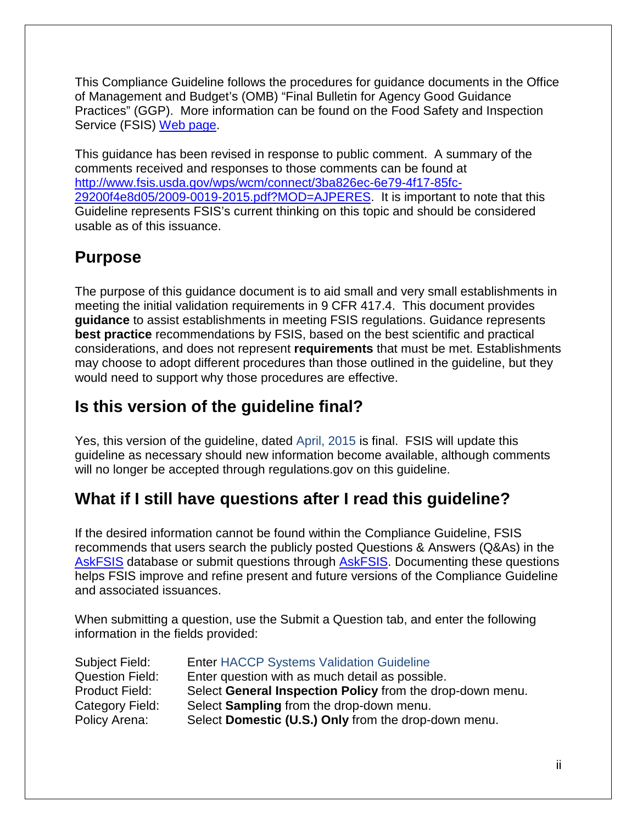This Compliance Guideline follows the procedures for guidance documents in the Office of Management and Budget's (OMB) "Final Bulletin for Agency Good Guidance Practices" (GGP). More information can be found on the Food Safety and Inspection Service (FSIS) [Web page.](http://www.fsis.usda.gov/wps/portal/footer/policies-and-links)

This guidance has been revised in response to public comment. A summary of the comments received and responses to those comments can be found at [http://www.fsis.usda.gov/wps/wcm/connect/3ba826ec-6e79-4f17-85fc-](http://www.fsis.usda.gov/wps/wcm/connect/3ba826ec-6e79-4f17-85fc-29200f4e8d05/2009-0019-2015.pdf?MOD=AJPERES)[29200f4e8d05/2009-0019-2015.pdf?MOD=AJPERES.](http://www.fsis.usda.gov/wps/wcm/connect/3ba826ec-6e79-4f17-85fc-29200f4e8d05/2009-0019-2015.pdf?MOD=AJPERES) It is important to note that this Guideline represents FSIS's current thinking on this topic and should be considered usable as of this issuance.

## <span id="page-1-0"></span>**Purpose**

The purpose of this guidance document is to aid small and very small establishments in meeting the initial validation requirements in 9 CFR 417.4. This document provides **guidance** to assist establishments in meeting FSIS regulations. Guidance represents **best practice** recommendations by FSIS, based on the best scientific and practical considerations, and does not represent **requirements** that must be met. Establishments may choose to adopt different procedures than those outlined in the guideline, but they would need to support why those procedures are effective.

## <span id="page-1-1"></span>**Is this version of the guideline final?**

Yes, this version of the guideline, dated April, 2015 is final. FSIS will update this guideline as necessary should new information become available, although comments will no longer be accepted through regulations.gov on this guideline.

## <span id="page-1-2"></span>**What if I still have questions after I read this guideline?**

If the desired information cannot be found within the Compliance Guideline, FSIS recommends that users search the publicly posted Questions & Answers (Q&As) in the [AskFSIS](http://askfsis.custhelp.com/) database or submit questions through [AskFSIS.](http://askfsis.custhelp.com/) Documenting these questions helps FSIS improve and refine present and future versions of the Compliance Guideline and associated issuances.

When submitting a question, use the Submit a Question tab, and enter the following information in the fields provided:

| Subject Field:         | <b>Enter HACCP Systems Validation Guideline</b>           |
|------------------------|-----------------------------------------------------------|
| <b>Question Field:</b> | Enter question with as much detail as possible.           |
| <b>Product Field:</b>  | Select General Inspection Policy from the drop-down menu. |
| Category Field:        | Select Sampling from the drop-down menu.                  |
| Policy Arena:          | Select Domestic (U.S.) Only from the drop-down menu.      |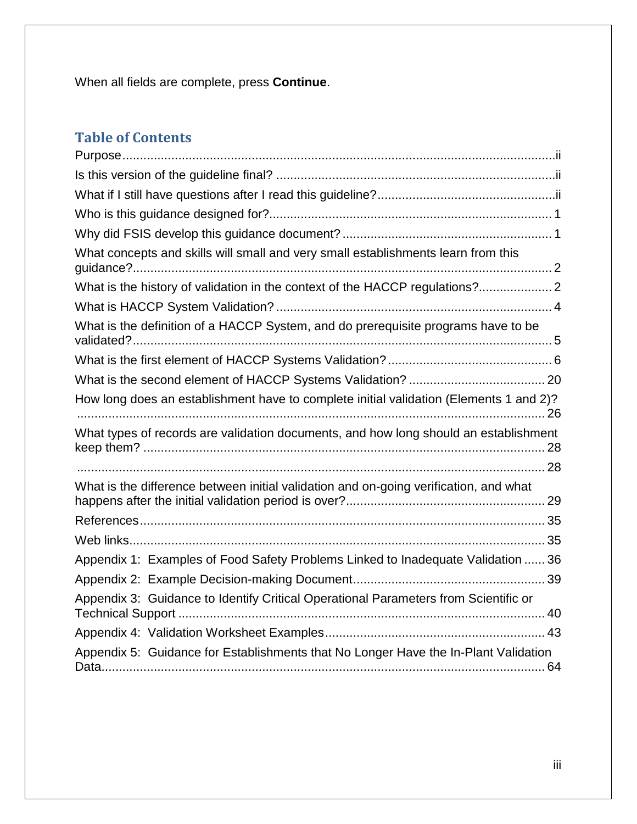When all fields are complete, press **Continue**.

## **Table of Contents**

| What concepts and skills will small and very small establishments learn from this      |
|----------------------------------------------------------------------------------------|
|                                                                                        |
|                                                                                        |
| What is the definition of a HACCP System, and do prerequisite programs have to be      |
|                                                                                        |
|                                                                                        |
| How long does an establishment have to complete initial validation (Elements 1 and 2)? |
| What types of records are validation documents, and how long should an establishment   |
|                                                                                        |
| What is the difference between initial validation and on-going verification, and what  |
|                                                                                        |
|                                                                                        |
| Appendix 1: Examples of Food Safety Problems Linked to Inadequate Validation  36       |
|                                                                                        |
| Appendix 3: Guidance to Identify Critical Operational Parameters from Scientific or    |
|                                                                                        |
| Appendix 5: Guidance for Establishments that No Longer Have the In-Plant Validation    |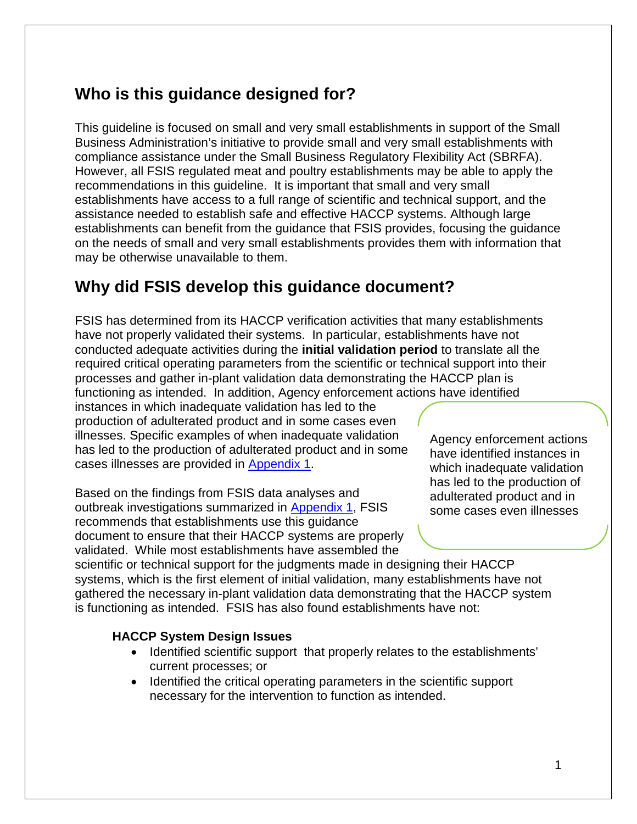## <span id="page-3-0"></span>**Who is this guidance designed for?**

This guideline is focused on small and very small establishments in support of the Small Business Administration's initiative to provide small and very small establishments with compliance assistance under the Small Business Regulatory Flexibility Act (SBRFA). However, all FSIS regulated meat and poultry establishments may be able to apply the recommendations in this guideline. It is important that small and very small establishments have access to a full range of scientific and technical support, and the assistance needed to establish safe and effective HACCP systems. Although large establishments can benefit from the guidance that FSIS provides, focusing the guidance on the needs of small and very small establishments provides them with information that may be otherwise unavailable to them.

## <span id="page-3-1"></span>**Why did FSIS develop this guidance document?**

FSIS has determined from its HACCP verification activities that many establishments have not properly validated their systems. In particular, establishments have not conducted adequate activities during the **initial validation period** to translate all the required critical operating parameters from the scientific or technical support into their processes and gather in-plant validation data demonstrating the HACCP plan is functioning as intended. In addition, Agency enforcement actions have identified instances in which inadequate validation has led to the production of adulterated product and in some cases even

illnesses. Specific examples of when inadequate validation has led to the production of adulterated product and in some cases illnesses are provided in [Appendix 1.](#page-38-0)

Based on the findings from FSIS data analyses and outbreak investigations summarized in [Appendix 1,](#page-38-0) FSIS recommends that establishments use this guidance document to ensure that their HACCP systems are properly validated. While most establishments have assembled the

Agency enforcement actions have identified instances in which inadequate validation has led to the production of adulterated product and in some cases even illnesses

scientific or technical support for the judgments made in designing their HACCP systems, which is the first element of initial validation, many establishments have not gathered the necessary in-plant validation data demonstrating that the HACCP system is functioning as intended. FSIS has also found establishments have not:

### **HACCP System Design Issues**

- Identified scientific support that properly relates to the establishments' current processes; or
- Identified the critical operating parameters in the scientific support necessary for the intervention to function as intended.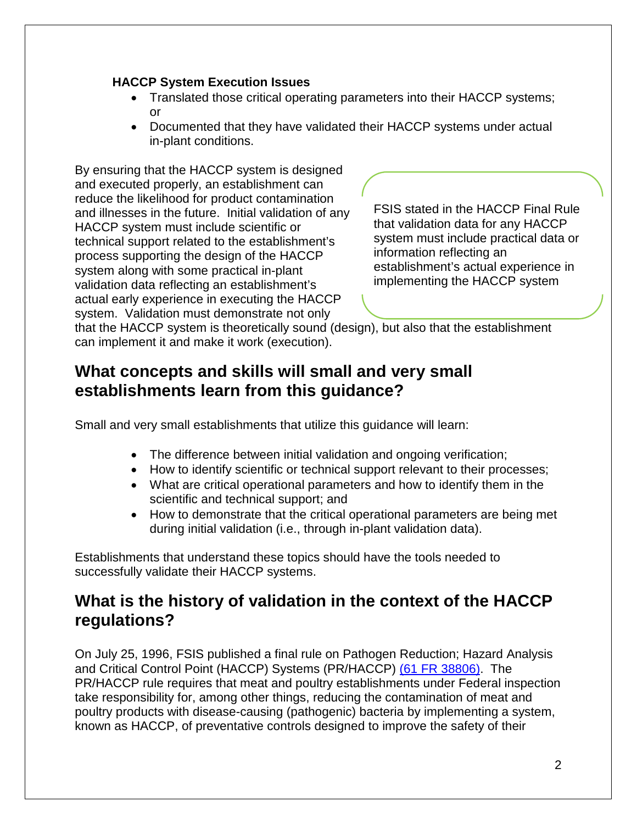#### **HACCP System Execution Issues**

- Translated those critical operating parameters into their HACCP systems; or
- Documented that they have validated their HACCP systems under actual in-plant conditions.

By ensuring that the HACCP system is designed and executed properly, an establishment can reduce the likelihood for product contamination and illnesses in the future. Initial validation of any HACCP system must include scientific or technical support related to the establishment's process supporting the design of the HACCP system along with some practical in-plant validation data reflecting an establishment's actual early experience in executing the HACCP system. Validation must demonstrate not only

FSIS stated in the HACCP Final Rule that validation data for any HACCP system must include practical data or information reflecting an establishment's actual experience in implementing the HACCP system

that the HACCP system is theoretically sound (design), but also that the establishment can implement it and make it work (execution).

## <span id="page-4-0"></span>**What concepts and skills will small and very small establishments learn from this guidance?**

Small and very small establishments that utilize this guidance will learn:

- The difference between initial validation and ongoing verification;
- How to identify scientific or technical support relevant to their processes;
- What are critical operational parameters and how to identify them in the scientific and technical support; and
- How to demonstrate that the critical operational parameters are being met during initial validation (i.e., through in-plant validation data).

Establishments that understand these topics should have the tools needed to successfully validate their HACCP systems.

## <span id="page-4-1"></span>**What is the history of validation in the context of the HACCP regulations?**

On July 25, 1996, FSIS published a final rule on Pathogen Reduction; Hazard Analysis and Critical Control Point (HACCP) Systems (PR/HACCP) [\(61 FR 38806\).](http://www.fsis.usda.gov/wps/wcm/connect/e113b15a-837c-46af-8303-73f7c11fb666/93-016F.pdf?MOD=AJPERES) The PR/HACCP rule requires that meat and poultry establishments under Federal inspection take responsibility for, among other things, reducing the contamination of meat and poultry products with disease-causing (pathogenic) bacteria by implementing a system, known as HACCP, of preventative controls designed to improve the safety of their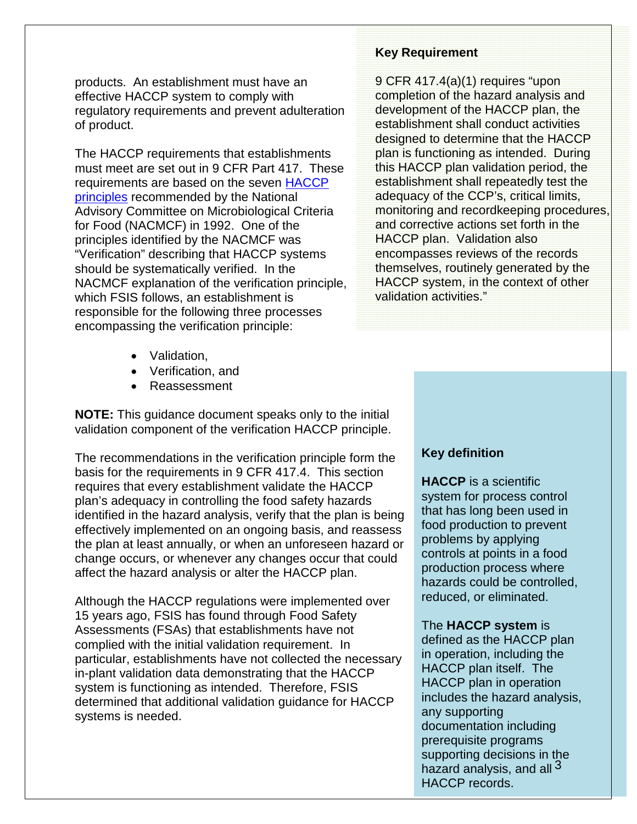products. An establishment must have an effective HACCP system to comply with regulatory requirements and prevent adulteration of product.

The HACCP requirements that establishments must meet are set out in 9 CFR Part 417. These requirements are based on the seven [HACCP](http://www.fsis.usda.gov/wps/wcm/connect/dccfe894-36bb-4bd9-b27a-a7f5275a22cd/JFP0998.pdf?MOD=AJPERES)  [principles](http://www.fsis.usda.gov/wps/wcm/connect/dccfe894-36bb-4bd9-b27a-a7f5275a22cd/JFP0998.pdf?MOD=AJPERES) recommended by the National Advisory Committee on Microbiological Criteria for Food (NACMCF) in 1992. One of the principles identified by the NACMCF was "Verification" describing that HACCP systems should be systematically verified. In the NACMCF explanation of the verification principle, which FSIS follows, an establishment is responsible for the following three processes encompassing the verification principle:

- Validation,
- Verification, and
- Reassessment

**NOTE:** This guidance document speaks only to the initial validation component of the verification HACCP principle.

The recommendations in the verification principle form the basis for the requirements in 9 CFR 417.4. This section requires that every establishment validate the HACCP plan's adequacy in controlling the food safety hazards identified in the hazard analysis, verify that the plan is being effectively implemented on an ongoing basis, and reassess the plan at least annually, or when an unforeseen hazard or change occurs, or whenever any changes occur that could affect the hazard analysis or alter the HACCP plan.

Although the HACCP regulations were implemented over 15 years ago, FSIS has found through Food Safety Assessments (FSAs) that establishments have not complied with the initial validation requirement. In particular, establishments have not collected the necessary in-plant validation data demonstrating that the HACCP system is functioning as intended. Therefore, FSIS determined that additional validation guidance for HACCP systems is needed.

#### **Key Requirement**

9 CFR 417.4(a)(1) requires "upon completion of the hazard analysis and development of the HACCP plan, the establishment shall conduct activities designed to determine that the HACCP plan is functioning as intended. During this HACCP plan validation period, the establishment shall repeatedly test the adequacy of the CCP's, critical limits, monitoring and recordkeeping procedures, and corrective actions set forth in the HACCP plan. Validation also encompasses reviews of the records themselves, routinely generated by the HACCP system, in the context of other validation activities."

### **Key definition**

**HACCP** is a scientific system for process control that has long been used in food production to prevent problems by applying controls at points in a food production process where hazards could be controlled, reduced, or eliminated.

#### The **HACCP system** is

defined as the HACCP plan in operation, including the HACCP plan itself. The HACCP plan in operation includes the hazard analysis, any supporting documentation including prerequisite programs supporting decisions in the hazard analysis, and all <sup>3</sup> HACCP records.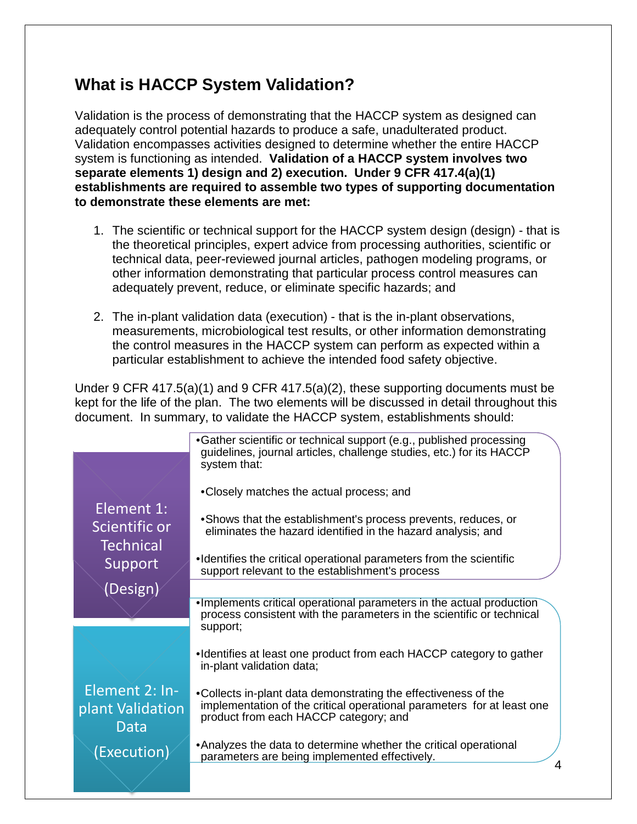## <span id="page-6-0"></span>**What is HACCP System Validation?**

Validation is the process of demonstrating that the HACCP system as designed can adequately control potential hazards to produce a safe, unadulterated product. Validation encompasses activities designed to determine whether the entire HACCP system is functioning as intended. **Validation of a HACCP system involves two separate elements 1) design and 2) execution. Under 9 CFR 417.4(a)(1) establishments are required to assemble two types of supporting documentation to demonstrate these elements are met:**

- 1. The scientific or technical support for the HACCP system design (design) that is the theoretical principles, expert advice from processing authorities, scientific or technical data, peer-reviewed journal articles, pathogen modeling programs, or other information demonstrating that particular process control measures can adequately prevent, reduce, or eliminate specific hazards; and
- 2. The in-plant validation data (execution) that is the in-plant observations, measurements, microbiological test results, or other information demonstrating the control measures in the HACCP system can perform as expected within a particular establishment to achieve the intended food safety objective.

Under 9 CFR 417.5(a)(1) and 9 CFR 417.5(a)(2), these supporting documents must be kept for the life of the plan. The two elements will be discussed in detail throughout this document. In summary, to validate the HACCP system, establishments should:

|                                            | •Gather scientific or technical support (e.g., published processing<br>guidelines, journal articles, challenge studies, etc.) for its HACCP<br>system that:                       |
|--------------------------------------------|-----------------------------------------------------------------------------------------------------------------------------------------------------------------------------------|
|                                            | •Closely matches the actual process; and                                                                                                                                          |
| Element 1:<br>Scientific or<br>Technical   | • Shows that the establishment's process prevents, reduces, or<br>eliminates the hazard identified in the hazard analysis; and                                                    |
| Support                                    | •Identifies the critical operational parameters from the scientific<br>support relevant to the establishment's process                                                            |
| (Design)                                   |                                                                                                                                                                                   |
|                                            | . Implements critical operational parameters in the actual production<br>process consistent with the parameters in the scientific or technical<br>support;                        |
|                                            | •Identifies at least one product from each HACCP category to gather<br>in-plant validation data;                                                                                  |
| Element 2: In-<br>plant Validation<br>Data | •Collects in-plant data demonstrating the effectiveness of the<br>implementation of the critical operational parameters for at least one<br>product from each HACCP category; and |
| (Execution)                                | • Analyzes the data to determine whether the critical operational<br>parameters are being implemented effectively.                                                                |
|                                            |                                                                                                                                                                                   |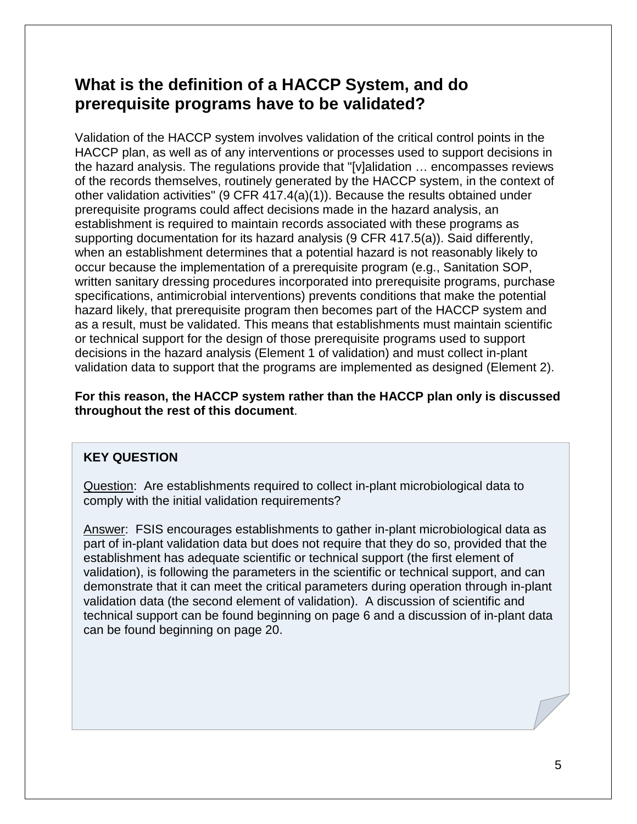## <span id="page-7-0"></span>**What is the definition of a HACCP System, and do prerequisite programs have to be validated?**

Validation of the HACCP system involves validation of the critical control points in the HACCP plan, as well as of any interventions or processes used to support decisions in the hazard analysis. The regulations provide that "[v]alidation … encompasses reviews of the records themselves, routinely generated by the HACCP system, in the context of other validation activities" (9 CFR 417.4(a)(1)). Because the results obtained under prerequisite programs could affect decisions made in the hazard analysis, an establishment is required to maintain records associated with these programs as supporting documentation for its hazard analysis (9 CFR 417.5(a)). Said differently, when an establishment determines that a potential hazard is not reasonably likely to occur because the implementation of a prerequisite program (e.g., Sanitation SOP, written sanitary dressing procedures incorporated into prerequisite programs, purchase specifications, antimicrobial interventions) prevents conditions that make the potential hazard likely, that prerequisite program then becomes part of the HACCP system and as a result, must be validated. This means that establishments must maintain scientific or technical support for the design of those prerequisite programs used to support decisions in the hazard analysis (Element 1 of validation) and must collect in-plant validation data to support that the programs are implemented as designed (Element 2).

**For this reason, the HACCP system rather than the HACCP plan only is discussed throughout the rest of this document**.

### **KEY QUESTION**

Question: Are establishments required to collect in-plant microbiological data to comply with the initial validation requirements?

Answer: FSIS encourages establishments to gather in-plant microbiological data as part of in-plant validation data but does not require that they do so, provided that the establishment has adequate scientific or technical support (the first element of validation), is following the parameters in the scientific or technical support, and can demonstrate that it can meet the critical parameters during operation through in-plant validation data (the second element of validation). A discussion of scientific and technical support can be found beginning on page 6 and a discussion of in-plant data can be found beginning on page 20.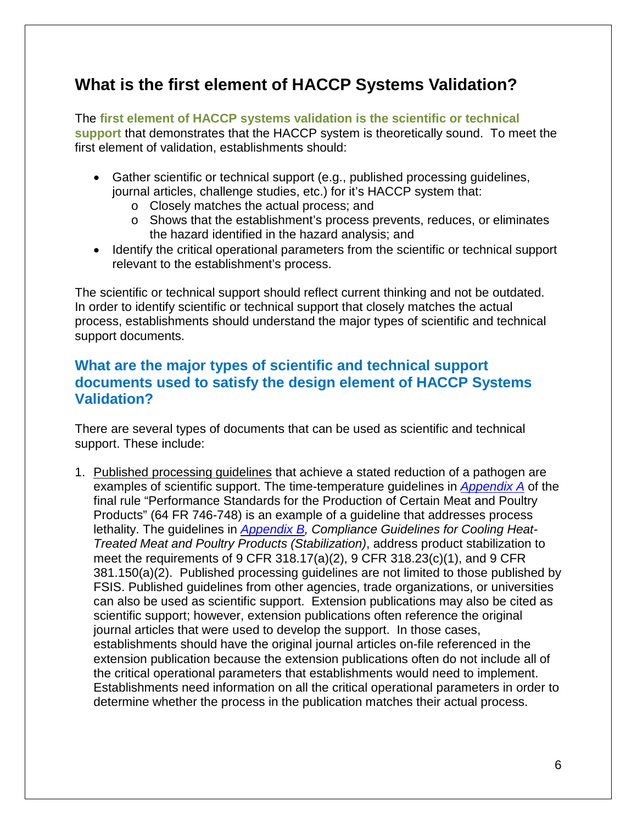## <span id="page-8-0"></span>**What is the first element of HACCP Systems Validation?**

The **first element of HACCP systems validation is the scientific or technical support** that demonstrates that the HACCP system is theoretically sound. To meet the first element of validation, establishments should:

- Gather scientific or technical support (e.g., published processing guidelines, journal articles, challenge studies, etc.) for it's HACCP system that:
	- o Closely matches the actual process; and
	- o Shows that the establishment's process prevents, reduces, or eliminates the hazard identified in the hazard analysis; and
- Identify the critical operational parameters from the scientific or technical support relevant to the establishment's process.

The scientific or technical support should reflect current thinking and not be outdated. In order to identify scientific or technical support that closely matches the actual process, establishments should understand the major types of scientific and technical support documents.

### **What are the major types of scientific and technical support documents used to satisfy the design element of HACCP Systems Validation?**

There are several types of documents that can be used as scientific and technical support. These include:

1. Published processing guidelines that achieve a stated reduction of a pathogen are examples of scientific support. The time-temperature guidelines in *[Appendix A](http://www.fsis.usda.gov/wps/wcm/connect/212e40b3-b59d-43aa-882e-e5431ea7035f/95033F-a.pdf?MOD=AJPERES)* of the final rule "Performance Standards for the Production of Certain Meat and Poultry Products" (64 FR 746-748) is an example of a guideline that addresses process lethality. The guidelines in *[Appendix B,](http://www.fsis.usda.gov/wps/wcm/connect/a3165415-09ef-4b7f-8123-93bea41a7688/95-033F_Appendix_B.pdf?MOD=AJPERES) Compliance Guidelines for Cooling Heat-Treated Meat and Poultry Products (Stabilization)*, address product stabilization to meet the requirements of 9 CFR 318.17(a)(2), 9 CFR 318.23(c)(1), and 9 CFR 381.150(a)(2). Published processing guidelines are not limited to those published by FSIS. Published guidelines from other agencies, trade organizations, or universities can also be used as scientific support. Extension publications may also be cited as scientific support; however, extension publications often reference the original journal articles that were used to develop the support. In those cases, establishments should have the original journal articles on-file referenced in the extension publication because the extension publications often do not include all of the critical operational parameters that establishments would need to implement. Establishments need information on all the critical operational parameters in order to determine whether the process in the publication matches their actual process.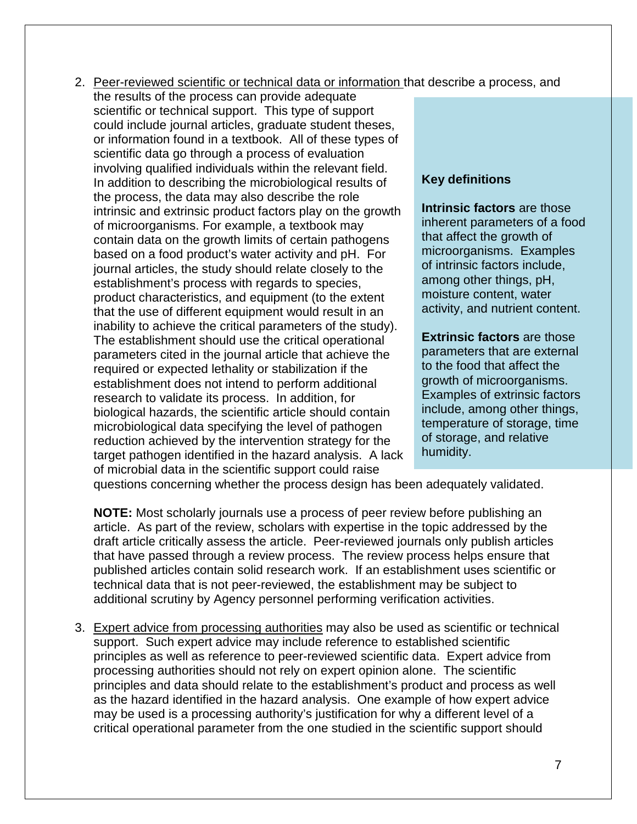- 2. Peer-reviewed scientific or technical data or information that describe a process, and
	- the results of the process can provide adequate scientific or technical support. This type of support could include journal articles, graduate student theses, or information found in a textbook. All of these types of scientific data go through a process of evaluation involving qualified individuals within the relevant field. In addition to describing the microbiological results of the process, the data may also describe the role intrinsic and extrinsic product factors play on the growth of microorganisms. For example, a textbook may contain data on the growth limits of certain pathogens based on a food product's water activity and pH. For journal articles, the study should relate closely to the establishment's process with regards to species, product characteristics, and equipment (to the extent that the use of different equipment would result in an inability to achieve the critical parameters of the study). The establishment should use the critical operational parameters cited in the journal article that achieve the required or expected lethality or stabilization if the establishment does not intend to perform additional research to validate its process. In addition, for biological hazards, the scientific article should contain microbiological data specifying the level of pathogen reduction achieved by the intervention strategy for the target pathogen identified in the hazard analysis. A lack of microbial data in the scientific support could raise

#### **Key definitions**

**Intrinsic factors** are those inherent parameters of a food that affect the growth of microorganisms. Examples of intrinsic factors include, among other things, pH, moisture content, water activity, and nutrient content.

**Extrinsic factors** are those parameters that are external to the food that affect the growth of microorganisms. Examples of extrinsic factors include, among other things, temperature of storage, time of storage, and relative humidity.

questions concerning whether the process design has been adequately validated.

**NOTE:** Most scholarly journals use a process of peer review before publishing an article. As part of the review, scholars with expertise in the topic addressed by the draft article critically assess the article. Peer-reviewed journals only publish articles that have passed through a review process. The review process helps ensure that published articles contain solid research work. If an establishment uses scientific or technical data that is not peer-reviewed, the establishment may be subject to additional scrutiny by Agency personnel performing verification activities.

3. Expert advice from processing authorities may also be used as scientific or technical support. Such expert advice may include reference to established scientific principles as well as reference to peer-reviewed scientific data. Expert advice from processing authorities should not rely on expert opinion alone. The scientific principles and data should relate to the establishment's product and process as well as the hazard identified in the hazard analysis. One example of how expert advice may be used is a processing authority's justification for why a different level of a critical operational parameter from the one studied in the scientific support should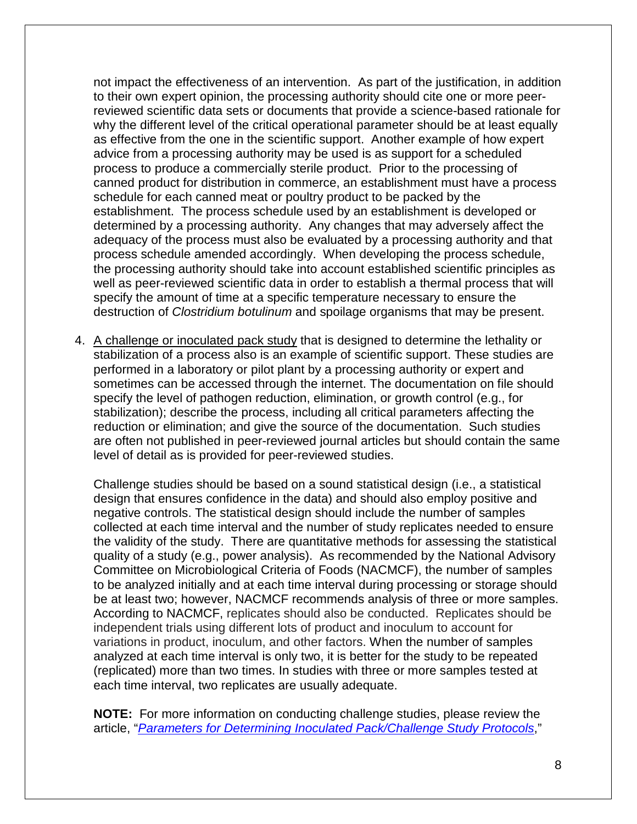not impact the effectiveness of an intervention. As part of the justification, in addition to their own expert opinion, the processing authority should cite one or more peerreviewed scientific data sets or documents that provide a science-based rationale for why the different level of the critical operational parameter should be at least equally as effective from the one in the scientific support. Another example of how expert advice from a processing authority may be used is as support for a scheduled process to produce a commercially sterile product. Prior to the processing of canned product for distribution in commerce, an establishment must have a process schedule for each canned meat or poultry product to be packed by the establishment. The process schedule used by an establishment is developed or determined by a processing authority. Any changes that may adversely affect the adequacy of the process must also be evaluated by a processing authority and that process schedule amended accordingly. When developing the process schedule, the processing authority should take into account established scientific principles as well as peer-reviewed scientific data in order to establish a thermal process that will specify the amount of time at a specific temperature necessary to ensure the destruction of *Clostridium botulinum* and spoilage organisms that may be present.

4. A challenge or inoculated pack study that is designed to determine the lethality or stabilization of a process also is an example of scientific support. These studies are performed in a laboratory or pilot plant by a processing authority or expert and sometimes can be accessed through the internet. The documentation on file should specify the level of pathogen reduction, elimination, or growth control (e.g., for stabilization); describe the process, including all critical parameters affecting the reduction or elimination; and give the source of the documentation. Such studies are often not published in peer-reviewed journal articles but should contain the same level of detail as is provided for peer-reviewed studies.

Challenge studies should be based on a sound statistical design (i.e., a statistical design that ensures confidence in the data) and should also employ positive and negative controls. The statistical design should include the number of samples collected at each time interval and the number of study replicates needed to ensure the validity of the study. There are quantitative methods for assessing the statistical quality of a study (e.g., power analysis). As recommended by the National Advisory Committee on Microbiological Criteria of Foods (NACMCF), the number of samples to be analyzed initially and at each time interval during processing or storage should be at least two; however, NACMCF recommends analysis of three or more samples. According to NACMCF, replicates should also be conducted. Replicates should be independent trials using different lots of product and inoculum to account for variations in product, inoculum, and other factors. When the number of samples analyzed at each time interval is only two, it is better for the study to be repeated (replicated) more than two times. In studies with three or more samples tested at each time interval, two replicates are usually adequate.

**NOTE:** For more information on conducting challenge studies, please review the article, "*[Parameters for Determining Inoculated Pack/Challenge Study Protocols](http://www.fsis.usda.gov/wps/wcm/connect/3b52f9c0-0585-4c0a-abf2-b4fc89a9668c/NACMCF_Inoculated_Pack_2009F.pdf?MOD=AJPERES&CACHEID=58c8f975-2193-4f00-873e-8739fec1f1e1)*,"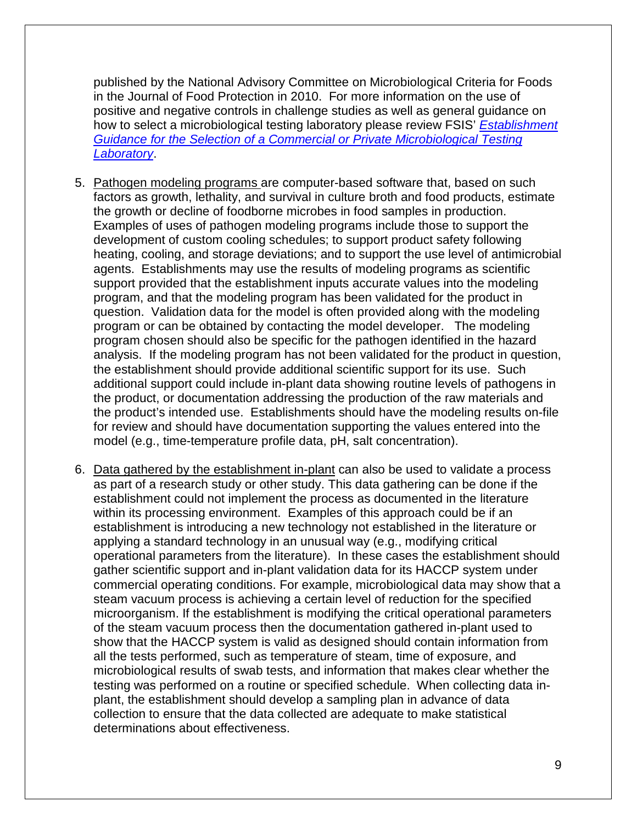published by the National Advisory Committee on Microbiological Criteria for Foods in the Journal of Food Protection in 2010. For more information on the use of positive and negative controls in challenge studies as well as general guidance on how to select a microbiological testing laboratory please review FSIS' *[Establishment](http://www.fsis.usda.gov/wps/wcm/connect/464a4827-0c9a-4268-8651-b417bb6bba51/Guidance-Selection-Commercial-Private-Microbiological-Testing-lab-062013.pdf?MOD=AJPERES)  [Guidance for the Selection of a Commercial or Private Microbiological Testing](http://www.fsis.usda.gov/wps/wcm/connect/464a4827-0c9a-4268-8651-b417bb6bba51/Guidance-Selection-Commercial-Private-Microbiological-Testing-lab-062013.pdf?MOD=AJPERES)  [Laboratory](http://www.fsis.usda.gov/wps/wcm/connect/464a4827-0c9a-4268-8651-b417bb6bba51/Guidance-Selection-Commercial-Private-Microbiological-Testing-lab-062013.pdf?MOD=AJPERES)*.

- 5. Pathogen modeling programs are computer-based software that, based on such factors as growth, lethality, and survival in culture broth and food products, estimate the growth or decline of foodborne microbes in food samples in production. Examples of uses of pathogen modeling programs include those to support the development of custom cooling schedules; to support product safety following heating, cooling, and storage deviations; and to support the use level of antimicrobial agents. Establishments may use the results of modeling programs as scientific support provided that the establishment inputs accurate values into the modeling program, and that the modeling program has been validated for the product in question. Validation data for the model is often provided along with the modeling program or can be obtained by contacting the model developer. The modeling program chosen should also be specific for the pathogen identified in the hazard analysis. If the modeling program has not been validated for the product in question, the establishment should provide additional scientific support for its use. Such additional support could include in-plant data showing routine levels of pathogens in the product, or documentation addressing the production of the raw materials and the product's intended use. Establishments should have the modeling results on-file for review and should have documentation supporting the values entered into the model (e.g., time-temperature profile data, pH, salt concentration).
- 6. Data gathered by the establishment in-plant can also be used to validate a process as part of a research study or other study. This data gathering can be done if the establishment could not implement the process as documented in the literature within its processing environment. Examples of this approach could be if an establishment is introducing a new technology not established in the literature or applying a standard technology in an unusual way (e.g., modifying critical operational parameters from the literature). In these cases the establishment should gather scientific support and in-plant validation data for its HACCP system under commercial operating conditions. For example, microbiological data may show that a steam vacuum process is achieving a certain level of reduction for the specified microorganism. If the establishment is modifying the critical operational parameters of the steam vacuum process then the documentation gathered in-plant used to show that the HACCP system is valid as designed should contain information from all the tests performed, such as temperature of steam, time of exposure, and microbiological results of swab tests, and information that makes clear whether the testing was performed on a routine or specified schedule. When collecting data inplant, the establishment should develop a sampling plan in advance of data collection to ensure that the data collected are adequate to make statistical determinations about effectiveness.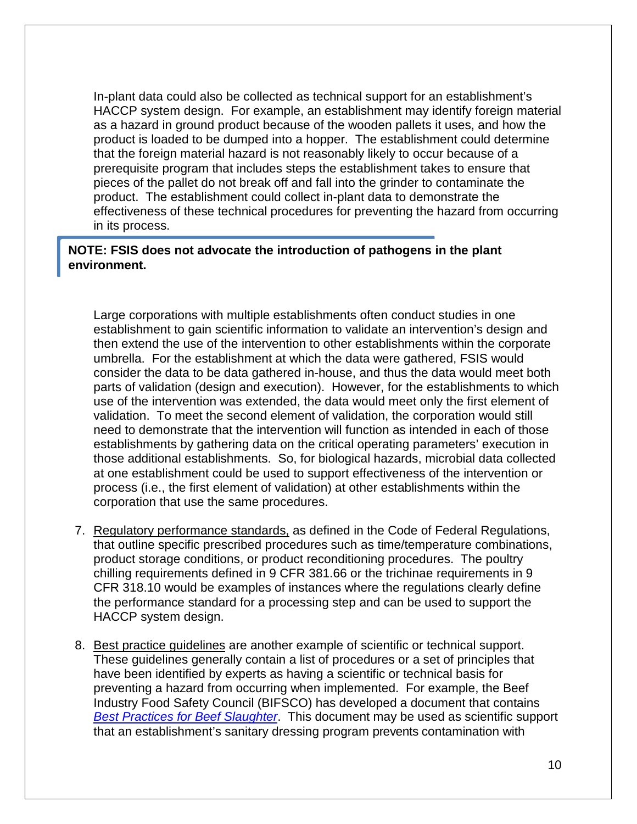In-plant data could also be collected as technical support for an establishment's HACCP system design. For example, an establishment may identify foreign material as a hazard in ground product because of the wooden pallets it uses, and how the product is loaded to be dumped into a hopper. The establishment could determine that the foreign material hazard is not reasonably likely to occur because of a prerequisite program that includes steps the establishment takes to ensure that pieces of the pallet do not break off and fall into the grinder to contaminate the product. The establishment could collect in-plant data to demonstrate the effectiveness of these technical procedures for preventing the hazard from occurring in its process.

#### **NOTE: FSIS does not advocate the introduction of pathogens in the plant environment.**

Large corporations with multiple establishments often conduct studies in one establishment to gain scientific information to validate an intervention's design and then extend the use of the intervention to other establishments within the corporate umbrella. For the establishment at which the data were gathered, FSIS would consider the data to be data gathered in-house, and thus the data would meet both parts of validation (design and execution). However, for the establishments to which use of the intervention was extended, the data would meet only the first element of validation. To meet the second element of validation, the corporation would still need to demonstrate that the intervention will function as intended in each of those establishments by gathering data on the critical operating parameters' execution in those additional establishments. So, for biological hazards, microbial data collected at one establishment could be used to support effectiveness of the intervention or process (i.e., the first element of validation) at other establishments within the corporation that use the same procedures.

- 7. Regulatory performance standards, as defined in the Code of Federal Regulations, that outline specific prescribed procedures such as time/temperature combinations, product storage conditions, or product reconditioning procedures. The poultry chilling requirements defined in 9 CFR 381.66 or the trichinae requirements in 9 CFR 318.10 would be examples of instances where the regulations clearly define the performance standard for a processing step and can be used to support the HACCP system design.
- 8. Best practice guidelines are another example of scientific or technical support. These guidelines generally contain a list of procedures or a set of principles that have been identified by experts as having a scientific or technical basis for preventing a hazard from occurring when implemented. For example, the Beef Industry Food Safety Council (BIFSCO) has developed a document that contains *[Best Practices for Beef Slaughter](http://www.bifsco.org/CMDocs/BIFSCO/Best%20Practices/BestPracslaught%20Sept%2009.pdf)*. This document may be used as scientific support that an establishment's sanitary dressing program prevents contamination with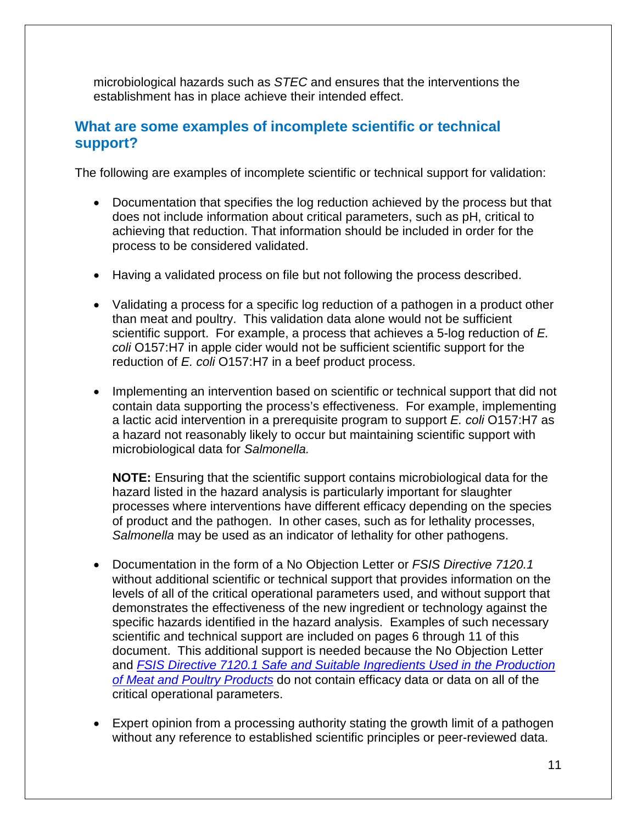microbiological hazards such as *STEC* and ensures that the interventions the establishment has in place achieve their intended effect.

### **What are some examples of incomplete scientific or technical support?**

The following are examples of incomplete scientific or technical support for validation:

- Documentation that specifies the log reduction achieved by the process but that does not include information about critical parameters, such as pH, critical to achieving that reduction. That information should be included in order for the process to be considered validated.
- Having a validated process on file but not following the process described.
- Validating a process for a specific log reduction of a pathogen in a product other than meat and poultry. This validation data alone would not be sufficient scientific support. For example, a process that achieves a 5-log reduction of *E. coli* O157:H7 in apple cider would not be sufficient scientific support for the reduction of *E. coli* O157:H7 in a beef product process.
- Implementing an intervention based on scientific or technical support that did not contain data supporting the process's effectiveness. For example, implementing a lactic acid intervention in a prerequisite program to support *E. coli* O157:H7 as a hazard not reasonably likely to occur but maintaining scientific support with microbiological data for *Salmonella.*

**NOTE:** Ensuring that the scientific support contains microbiological data for the hazard listed in the hazard analysis is particularly important for slaughter processes where interventions have different efficacy depending on the species of product and the pathogen. In other cases, such as for lethality processes, *Salmonella* may be used as an indicator of lethality for other pathogens.

- Documentation in the form of a No Objection Letter or *FSIS Directive 7120.1* without additional scientific or technical support that provides information on the levels of all of the critical operational parameters used, and without support that demonstrates the effectiveness of the new ingredient or technology against the specific hazards identified in the hazard analysis. Examples of such necessary scientific and technical support are included on pages 6 through 11 of this document. This additional support is needed because the No Objection Letter and *[FSIS Directive 7120.1 Safe and Suitable Ingredients Used in the Production](http://www.fsis.usda.gov/wps/wcm/connect/bab10e09-aefa-483b-8be8-809a1f051d4c/7120.1.pdf?MOD=AJPERES)  [of Meat and Poultry Products](http://www.fsis.usda.gov/wps/wcm/connect/bab10e09-aefa-483b-8be8-809a1f051d4c/7120.1.pdf?MOD=AJPERES)* do not contain efficacy data or data on all of the critical operational parameters.
- Expert opinion from a processing authority stating the growth limit of a pathogen without any reference to established scientific principles or peer-reviewed data.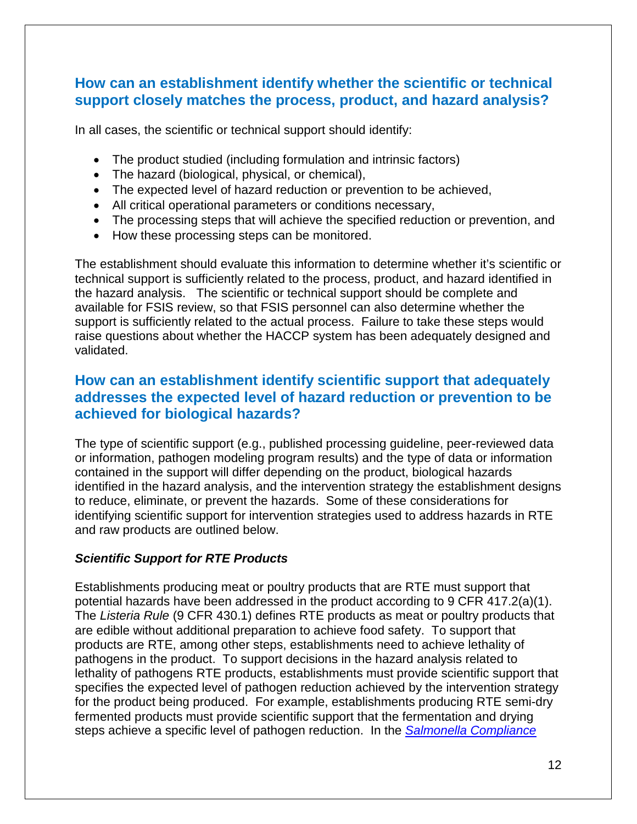### **How can an establishment identify whether the scientific or technical support closely matches the process, product, and hazard analysis?**

In all cases, the scientific or technical support should identify:

- The product studied (including formulation and intrinsic factors)
- The hazard (biological, physical, or chemical),
- The expected level of hazard reduction or prevention to be achieved,
- All critical operational parameters or conditions necessary,
- The processing steps that will achieve the specified reduction or prevention, and
- How these processing steps can be monitored.

The establishment should evaluate this information to determine whether it's scientific or technical support is sufficiently related to the process, product, and hazard identified in the hazard analysis. The scientific or technical support should be complete and available for FSIS review, so that FSIS personnel can also determine whether the support is sufficiently related to the actual process. Failure to take these steps would raise questions about whether the HACCP system has been adequately designed and validated.

### **How can an establishment identify scientific support that adequately addresses the expected level of hazard reduction or prevention to be achieved for biological hazards?**

The type of scientific support (e.g., published processing guideline, peer-reviewed data or information, pathogen modeling program results) and the type of data or information contained in the support will differ depending on the product, biological hazards identified in the hazard analysis, and the intervention strategy the establishment designs to reduce, eliminate, or prevent the hazards. Some of these considerations for identifying scientific support for intervention strategies used to address hazards in RTE and raw products are outlined below.

### *Scientific Support for RTE Products*

Establishments producing meat or poultry products that are RTE must support that potential hazards have been addressed in the product according to 9 CFR 417.2(a)(1). The *Listeria Rule* (9 CFR 430.1) defines RTE products as meat or poultry products that are edible without additional preparation to achieve food safety. To support that products are RTE, among other steps, establishments need to achieve lethality of pathogens in the product. To support decisions in the hazard analysis related to lethality of pathogens RTE products, establishments must provide scientific support that specifies the expected level of pathogen reduction achieved by the intervention strategy for the product being produced. For example, establishments producing RTE semi-dry fermented products must provide scientific support that the fermentation and drying steps achieve a specific level of pathogen reduction. In the *Salmonella [Compliance](http://www.fsis.usda.gov/wps/wcm/connect/2ed353b4-7a3a-4f31-80d8-20262c1950c8/Salmonella_Comp_Guide_091912.pdf?MOD=AJPERES)*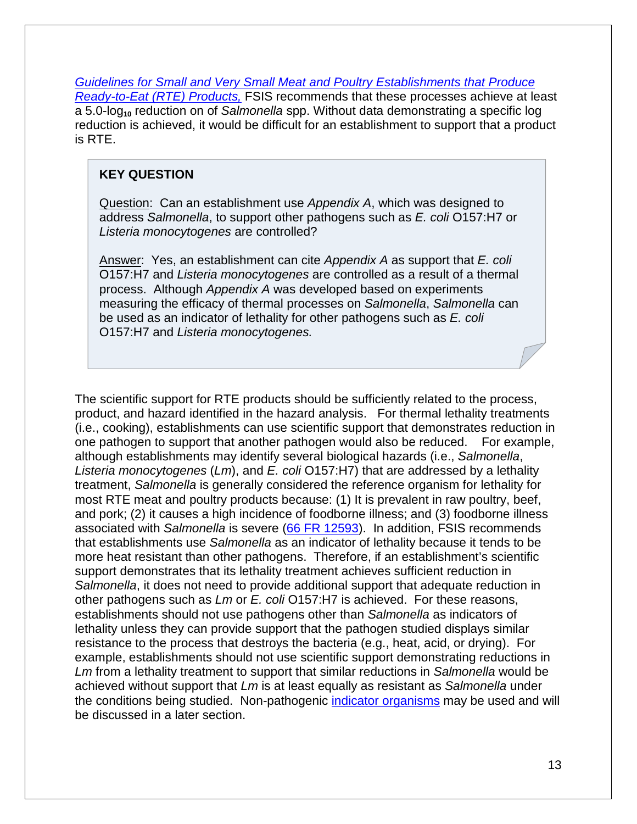*[Guidelines for Small and Very Small Meat and Poultry Establishments that Produce](http://www.fsis.usda.gov/wps/wcm/connect/2ed353b4-7a3a-4f31-80d8-20262c1950c8/Salmonella_Comp_Guide_091912.pdf?MOD=AJPERES)  [Ready-to-Eat \(RTE\) Products,](http://www.fsis.usda.gov/wps/wcm/connect/2ed353b4-7a3a-4f31-80d8-20262c1950c8/Salmonella_Comp_Guide_091912.pdf?MOD=AJPERES)* FSIS recommends that these processes achieve at least a 5.0-log**<sup>10</sup>** reduction on of *Salmonella* spp. Without data demonstrating a specific log reduction is achieved, it would be difficult for an establishment to support that a product is RTE.

#### **KEY QUESTION**

Question: Can an establishment use *Appendix A*, which was designed to address *Salmonella*, to support other pathogens such as *E. coli* O157:H7 or *Listeria monocytogenes* are controlled?

Answer: Yes, an establishment can cite *Appendix A* as support that *E. coli* O157:H7 and *Listeria monocytogenes* are controlled as a result of a thermal process. Although *Appendix A* was developed based on experiments measuring the efficacy of thermal processes on *Salmonella*, *Salmonella* can be used as an indicator of lethality for other pathogens such as *E. coli*  O157:H7 and *Listeria monocytogenes.*

The scientific support for RTE products should be sufficiently related to the process, product, and hazard identified in the hazard analysis. For thermal lethality treatments (i.e., cooking), establishments can use scientific support that demonstrates reduction in one pathogen to support that another pathogen would also be reduced. For example, although establishments may identify several biological hazards (i.e., *Salmonella*, *Listeria monocytogenes* (*Lm*), and *E. coli* O157:H7) that are addressed by a lethality treatment, *Salmonella* is generally considered the reference organism for lethality for most RTE meat and poultry products because: (1) It is prevalent in raw poultry, beef, and pork; (2) it causes a high incidence of foodborne illness; and (3) foodborne illness associated with *Salmonella* is severe [\(66 FR 12593\)](http://www.fsis.usda.gov/OPPDE/rdad/FRPubs/97-013P.htm). In addition, FSIS recommends that establishments use *Salmonella* as an indicator of lethality because it tends to be more heat resistant than other pathogens. Therefore, if an establishment's scientific support demonstrates that its lethality treatment achieves sufficient reduction in *Salmonella*, it does not need to provide additional support that adequate reduction in other pathogens such as *Lm* or *E. coli* O157:H7 is achieved. For these reasons, establishments should not use pathogens other than *Salmonella* as indicators of lethality unless they can provide support that the pathogen studied displays similar resistance to the process that destroys the bacteria (e.g., heat, acid, or drying). For example, establishments should not use scientific support demonstrating reductions in *Lm* from a lethality treatment to support that similar reductions in *Salmonella* would be achieved without support that *Lm* is at least equally as resistant as *Salmonella* under the conditions being studied. Non-pathogenic [indicator organisms](#page-16-0) may be used and will be discussed in a later section.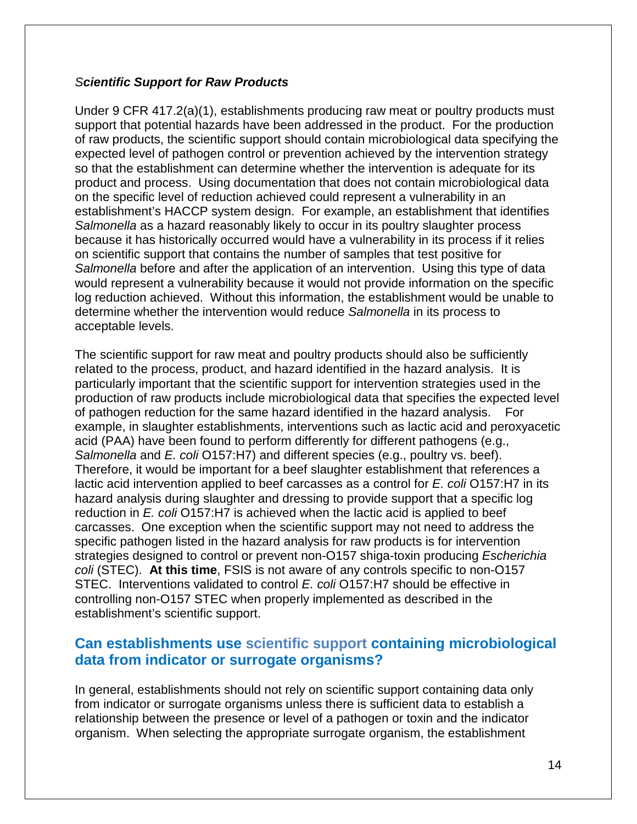#### *Scientific Support for Raw Products*

Under 9 CFR 417.2(a)(1), establishments producing raw meat or poultry products must support that potential hazards have been addressed in the product. For the production of raw products, the scientific support should contain microbiological data specifying the expected level of pathogen control or prevention achieved by the intervention strategy so that the establishment can determine whether the intervention is adequate for its product and process. Using documentation that does not contain microbiological data on the specific level of reduction achieved could represent a vulnerability in an establishment's HACCP system design. For example, an establishment that identifies *Salmonella* as a hazard reasonably likely to occur in its poultry slaughter process because it has historically occurred would have a vulnerability in its process if it relies on scientific support that contains the number of samples that test positive for *Salmonella* before and after the application of an intervention. Using this type of data would represent a vulnerability because it would not provide information on the specific log reduction achieved. Without this information, the establishment would be unable to determine whether the intervention would reduce *Salmonella* in its process to acceptable levels.

The scientific support for raw meat and poultry products should also be sufficiently related to the process, product, and hazard identified in the hazard analysis. It is particularly important that the scientific support for intervention strategies used in the production of raw products include microbiological data that specifies the expected level of pathogen reduction for the same hazard identified in the hazard analysis. For example, in slaughter establishments, interventions such as lactic acid and peroxyacetic acid (PAA) have been found to perform differently for different pathogens (e.g., *Salmonella* and *E. coli* O157:H7) and different species (e.g., poultry vs. beef). Therefore, it would be important for a beef slaughter establishment that references a lactic acid intervention applied to beef carcasses as a control for *E. coli* O157:H7 in its hazard analysis during slaughter and dressing to provide support that a specific log reduction in *E. coli* O157:H7 is achieved when the lactic acid is applied to beef carcasses. One exception when the scientific support may not need to address the specific pathogen listed in the hazard analysis for raw products is for intervention strategies designed to control or prevent non-O157 shiga-toxin producing *Escherichia coli* (STEC). **At this time**, FSIS is not aware of any controls specific to non-O157 STEC. Interventions validated to control *E. coli* O157:H7 should be effective in controlling non-O157 STEC when properly implemented as described in the establishment's scientific support.

### <span id="page-16-0"></span>**Can establishments use scientific support containing microbiological data from indicator or surrogate organisms?**

In general, establishments should not rely on scientific support containing data only from indicator or surrogate organisms unless there is sufficient data to establish a relationship between the presence or level of a pathogen or toxin and the indicator organism. When selecting the appropriate surrogate organism, the establishment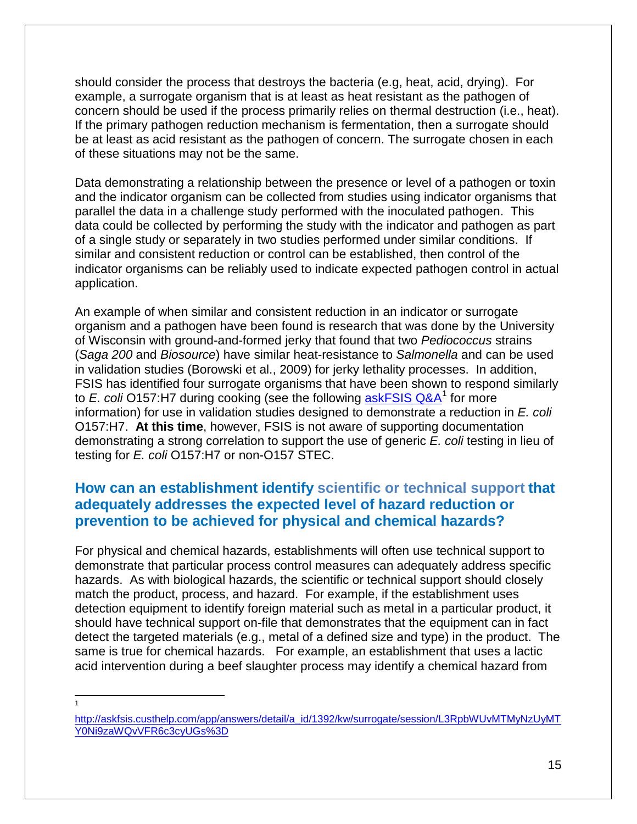should consider the process that destroys the bacteria (e.g, heat, acid, drying). For example, a surrogate organism that is at least as heat resistant as the pathogen of concern should be used if the process primarily relies on thermal destruction (i.e., heat). If the primary pathogen reduction mechanism is fermentation, then a surrogate should be at least as acid resistant as the pathogen of concern. The surrogate chosen in each of these situations may not be the same.

Data demonstrating a relationship between the presence or level of a pathogen or toxin and the indicator organism can be collected from studies using indicator organisms that parallel the data in a challenge study performed with the inoculated pathogen. This data could be collected by performing the study with the indicator and pathogen as part of a single study or separately in two studies performed under similar conditions. If similar and consistent reduction or control can be established, then control of the indicator organisms can be reliably used to indicate expected pathogen control in actual application.

An example of when similar and consistent reduction in an indicator or surrogate organism and a pathogen have been found is research that was done by the University of Wisconsin with ground-and-formed jerky that found that two *Pediococcus* strains (*Saga 200* and *Biosource*) have similar heat-resistance to *Salmonella* and can be used in validation studies (Borowski et al., 2009) for jerky lethality processes. In addition, FSIS has identified four surrogate organisms that have been shown to respond similarly to *E. coli* O157:H7 during cooking (see the following [askFSIS Q&A](http://askfsis.custhelp.com/app/answers/detail/a_id/1392/kw/surrogate/session/L3RpbWUvMTMyNzUyMTY0Ni9zaWQvVFR6c3cyUGs%3D)<sup>[1](#page-17-0)</sup> for more information) for use in validation studies designed to demonstrate a reduction in *E. coli* O157:H7. **At this time**, however, FSIS is not aware of supporting documentation demonstrating a strong correlation to support the use of generic *E. coli* testing in lieu of testing for *E. coli* O157:H7 or non-O157 STEC.

### **How can an establishment identify scientific or technical support that adequately addresses the expected level of hazard reduction or prevention to be achieved for physical and chemical hazards?**

For physical and chemical hazards, establishments will often use technical support to demonstrate that particular process control measures can adequately address specific hazards. As with biological hazards, the scientific or technical support should closely match the product, process, and hazard. For example, if the establishment uses detection equipment to identify foreign material such as metal in a particular product, it should have technical support on-file that demonstrates that the equipment can in fact detect the targeted materials (e.g., metal of a defined size and type) in the product. The same is true for chemical hazards. For example, an establishment that uses a lactic acid intervention during a beef slaughter process may identify a chemical hazard from

1

 $\overline{\phantom{a}}$ 

<span id="page-17-0"></span>[http://askfsis.custhelp.com/app/answers/detail/a\\_id/1392/kw/surrogate/session/L3RpbWUvMTMyNzUyMT](http://askfsis.custhelp.com/app/answers/detail/a_id/1392/kw/surrogate/session/L3RpbWUvMTMyNzUyMTY0Ni9zaWQvVFR6c3cyUGs%3D) [Y0Ni9zaWQvVFR6c3cyUGs%3D](http://askfsis.custhelp.com/app/answers/detail/a_id/1392/kw/surrogate/session/L3RpbWUvMTMyNzUyMTY0Ni9zaWQvVFR6c3cyUGs%3D)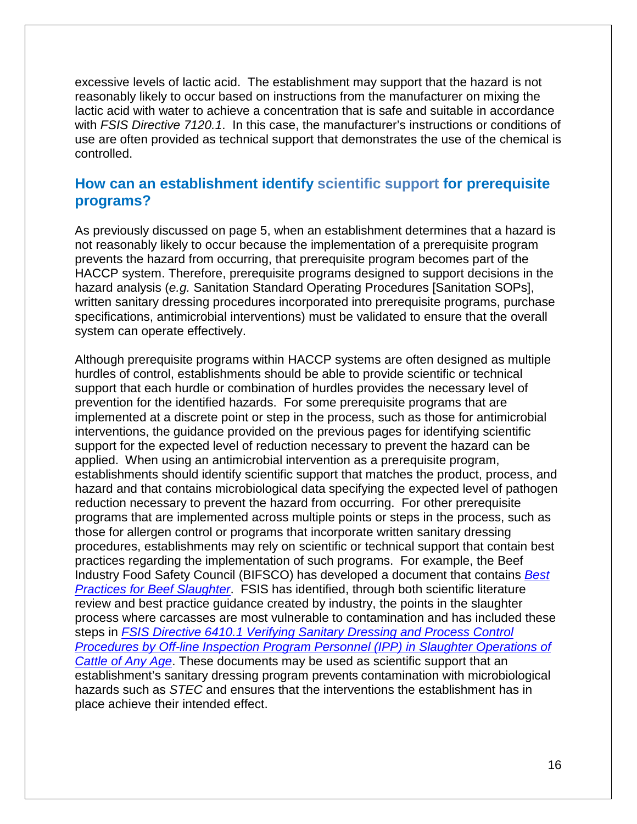excessive levels of lactic acid. The establishment may support that the hazard is not reasonably likely to occur based on instructions from the manufacturer on mixing the lactic acid with water to achieve a concentration that is safe and suitable in accordance with *FSIS Directive 7120.1*. In this case, the manufacturer's instructions or conditions of use are often provided as technical support that demonstrates the use of the chemical is controlled.

### **How can an establishment identify scientific support for prerequisite programs?**

As previously discussed on page 5, when an establishment determines that a hazard is not reasonably likely to occur because the implementation of a prerequisite program prevents the hazard from occurring, that prerequisite program becomes part of the HACCP system. Therefore, prerequisite programs designed to support decisions in the hazard analysis (*e.g.* Sanitation Standard Operating Procedures [Sanitation SOPs], written sanitary dressing procedures incorporated into prerequisite programs, purchase specifications, antimicrobial interventions) must be validated to ensure that the overall system can operate effectively.

Although prerequisite programs within HACCP systems are often designed as multiple hurdles of control, establishments should be able to provide scientific or technical support that each hurdle or combination of hurdles provides the necessary level of prevention for the identified hazards. For some prerequisite programs that are implemented at a discrete point or step in the process, such as those for antimicrobial interventions, the guidance provided on the previous pages for identifying scientific support for the expected level of reduction necessary to prevent the hazard can be applied. When using an antimicrobial intervention as a prerequisite program, establishments should identify scientific support that matches the product, process, and hazard and that contains microbiological data specifying the expected level of pathogen reduction necessary to prevent the hazard from occurring. For other prerequisite programs that are implemented across multiple points or steps in the process, such as those for allergen control or programs that incorporate written sanitary dressing procedures, establishments may rely on scientific or technical support that contain best practices regarding the implementation of such programs. For example, the Beef Industry Food Safety Council (BIFSCO) has developed a document that contains *[Best](http://www.bifsco.org/CMDocs/BIFSCO/Best%20Practices/BestPracslaught%20Sept%2009.pdf)  [Practices for Beef Slaughter](http://www.bifsco.org/CMDocs/BIFSCO/Best%20Practices/BestPracslaught%20Sept%2009.pdf)*. FSIS has identified, through both scientific literature review and best practice guidance created by industry, the points in the slaughter process where carcasses are most vulnerable to contamination and has included these steps in *[FSIS Directive 6410.1 Verifying Sanitary Dressing and Process Control](http://www.fsis.usda.gov/wps/wcm/connect/5d100e39-8eab-4c88-85a3-bb60147d6e10/PHIS_6410.1.pdf?MOD=AJPERES)  [Procedures by Off-line Inspection Program Personnel \(IPP\) in Slaughter Operations of](http://www.fsis.usda.gov/wps/wcm/connect/5d100e39-8eab-4c88-85a3-bb60147d6e10/PHIS_6410.1.pdf?MOD=AJPERES)  [Cattle of Any Age](http://www.fsis.usda.gov/wps/wcm/connect/5d100e39-8eab-4c88-85a3-bb60147d6e10/PHIS_6410.1.pdf?MOD=AJPERES)*. These documents may be used as scientific support that an establishment's sanitary dressing program prevents contamination with microbiological hazards such as *STEC* and ensures that the interventions the establishment has in place achieve their intended effect.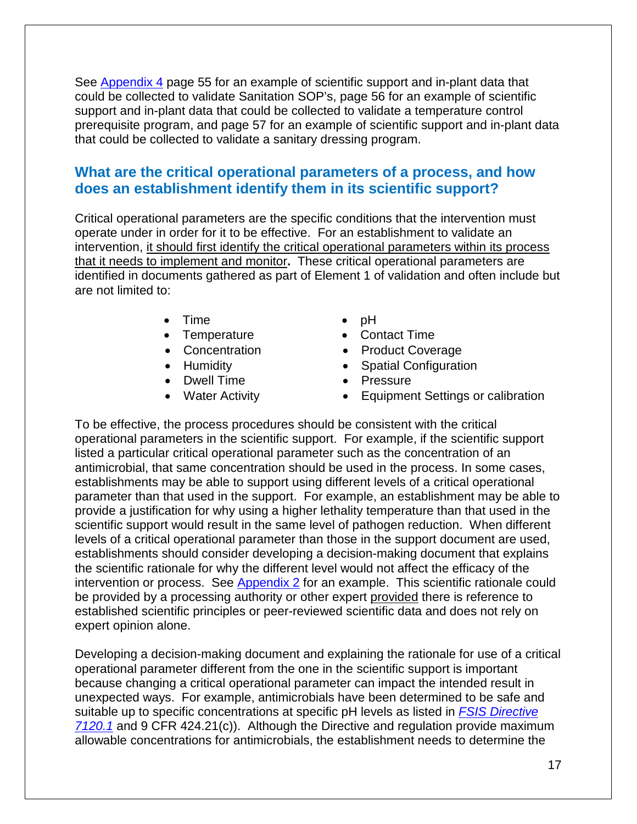See [Appendix 4](#page-45-0) page 55 for an example of scientific support and in-plant data that could be collected to validate Sanitation SOP's, page 56 for an example of scientific support and in-plant data that could be collected to validate a temperature control prerequisite program, and page 57 for an example of scientific support and in-plant data that could be collected to validate a sanitary dressing program.

### **What are the critical operational parameters of a process, and how does an establishment identify them in its scientific support?**

Critical operational parameters are the specific conditions that the intervention must operate under in order for it to be effective. For an establishment to validate an intervention, it should first identify the critical operational parameters within its process that it needs to implement and monitor**.** These critical operational parameters are identified in documents gathered as part of Element 1 of validation and often include but are not limited to:

- Time pH
- 
- 
- 
- Dwell Time Pressure
- 
- 
- Temperature Contact Time
- Concentration Product Coverage
- Humidity Spatial Configuration
	-
- Water Activity Equipment Settings or calibration

To be effective, the process procedures should be consistent with the critical operational parameters in the scientific support. For example, if the scientific support listed a particular critical operational parameter such as the concentration of an antimicrobial, that same concentration should be used in the process. In some cases, establishments may be able to support using different levels of a critical operational parameter than that used in the support. For example, an establishment may be able to provide a justification for why using a higher lethality temperature than that used in the scientific support would result in the same level of pathogen reduction. When different levels of a critical operational parameter than those in the support document are used, establishments should consider developing a decision-making document that explains the scientific rationale for why the different level would not affect the efficacy of the intervention or process. See  $\Delta$ ppendix  $2$  for an example. This scientific rationale could be provided by a processing authority or other expert provided there is reference to established scientific principles or peer-reviewed scientific data and does not rely on expert opinion alone.

Developing a decision-making document and explaining the rationale for use of a critical operational parameter different from the one in the scientific support is important because changing a critical operational parameter can impact the intended result in unexpected ways. For example, antimicrobials have been determined to be safe and suitable up to specific concentrations at specific pH levels as listed in *[FSIS Directive](http://www.fsis.usda.gov/wps/wcm/connect/bab10e09-aefa-483b-8be8-809a1f051d4c/7120.1.pdf?MOD=AJPERES)  [7120.1](http://www.fsis.usda.gov/wps/wcm/connect/bab10e09-aefa-483b-8be8-809a1f051d4c/7120.1.pdf?MOD=AJPERES)* and 9 CFR 424.21(c)). Although the Directive and regulation provide maximum allowable concentrations for antimicrobials, the establishment needs to determine the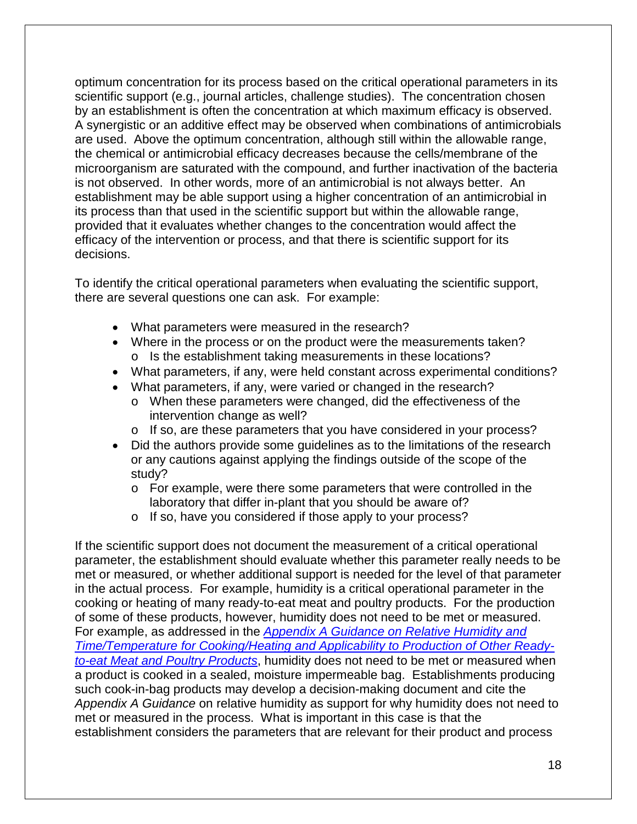optimum concentration for its process based on the critical operational parameters in its scientific support (e.g., journal articles, challenge studies). The concentration chosen by an establishment is often the concentration at which maximum efficacy is observed. A synergistic or an additive effect may be observed when combinations of antimicrobials are used. Above the optimum concentration, although still within the allowable range, the chemical or antimicrobial efficacy decreases because the cells/membrane of the microorganism are saturated with the compound, and further inactivation of the bacteria is not observed. In other words, more of an antimicrobial is not always better. An establishment may be able support using a higher concentration of an antimicrobial in its process than that used in the scientific support but within the allowable range, provided that it evaluates whether changes to the concentration would affect the efficacy of the intervention or process, and that there is scientific support for its decisions.

To identify the critical operational parameters when evaluating the scientific support, there are several questions one can ask. For example:

- What parameters were measured in the research?
- Where in the process or on the product were the measurements taken? o Is the establishment taking measurements in these locations?
- What parameters, if any, were held constant across experimental conditions?
- What parameters, if any, were varied or changed in the research?
	- o When these parameters were changed, did the effectiveness of the intervention change as well?
	- $\circ$  If so, are these parameters that you have considered in your process?
- Did the authors provide some guidelines as to the limitations of the research or any cautions against applying the findings outside of the scope of the study?
	- $\circ$  For example, were there some parameters that were controlled in the laboratory that differ in-plant that you should be aware of?
	- o If so, have you considered if those apply to your process?

If the scientific support does not document the measurement of a critical operational parameter, the establishment should evaluate whether this parameter really needs to be met or measured, or whether additional support is needed for the level of that parameter in the actual process. For example, humidity is a critical operational parameter in the cooking or heating of many ready-to-eat meat and poultry products. For the production of some of these products, however, humidity does not need to be met or measured. For example, as addressed in the *Appendix A Guidance [on Relative Humidity and](http://www.fsis.usda.gov/wps/wcm/connect/dc59bbed-54c3-4e48-97f0-585e0ad9f846/Appendix_A_guidance_95-033F.pdf?MOD=AJPERES)  [Time/Temperature for Cooking/Heating and Applicability to Production of Other Ready](http://www.fsis.usda.gov/wps/wcm/connect/dc59bbed-54c3-4e48-97f0-585e0ad9f846/Appendix_A_guidance_95-033F.pdf?MOD=AJPERES)[to-eat Meat and Poultry Products](http://www.fsis.usda.gov/wps/wcm/connect/dc59bbed-54c3-4e48-97f0-585e0ad9f846/Appendix_A_guidance_95-033F.pdf?MOD=AJPERES)*, humidity does not need to be met or measured when a product is cooked in a sealed, moisture impermeable bag. Establishments producing such cook-in-bag products may develop a decision-making document and cite the *Appendix A Guidance* on relative humidity as support for why humidity does not need to met or measured in the process. What is important in this case is that the establishment considers the parameters that are relevant for their product and process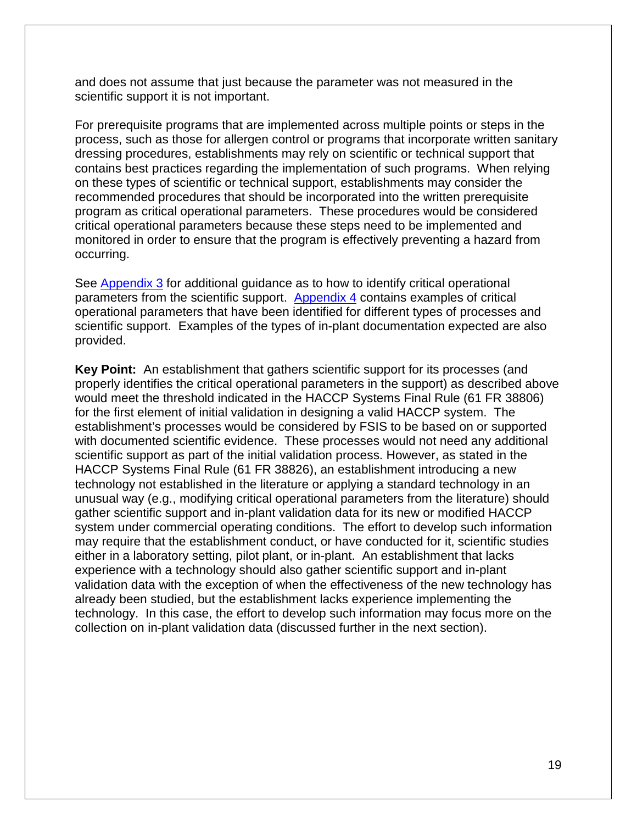and does not assume that just because the parameter was not measured in the scientific support it is not important.

For prerequisite programs that are implemented across multiple points or steps in the process, such as those for allergen control or programs that incorporate written sanitary dressing procedures, establishments may rely on scientific or technical support that contains best practices regarding the implementation of such programs. When relying on these types of scientific or technical support, establishments may consider the recommended procedures that should be incorporated into the written prerequisite program as critical operational parameters. These procedures would be considered critical operational parameters because these steps need to be implemented and monitored in order to ensure that the program is effectively preventing a hazard from occurring.

See [Appendix 3](#page-42-0) for additional guidance as to how to identify critical operational parameters from the scientific support. [Appendix 4](#page-45-0) contains examples of critical operational parameters that have been identified for different types of processes and scientific support. Examples of the types of in-plant documentation expected are also provided.

**Key Point:** An establishment that gathers scientific support for its processes (and properly identifies the critical operational parameters in the support) as described above would meet the threshold indicated in the HACCP Systems Final Rule (61 FR 38806) for the first element of initial validation in designing a valid HACCP system. The establishment's processes would be considered by FSIS to be based on or supported with documented scientific evidence. These processes would not need any additional scientific support as part of the initial validation process. However, as stated in the HACCP Systems Final Rule (61 FR 38826), an establishment introducing a new technology not established in the literature or applying a standard technology in an unusual way (e.g., modifying critical operational parameters from the literature) should gather scientific support and in-plant validation data for its new or modified HACCP system under commercial operating conditions. The effort to develop such information may require that the establishment conduct, or have conducted for it, scientific studies either in a laboratory setting, pilot plant, or in-plant. An establishment that lacks experience with a technology should also gather scientific support and in-plant validation data with the exception of when the effectiveness of the new technology has already been studied, but the establishment lacks experience implementing the technology. In this case, the effort to develop such information may focus more on the collection on in-plant validation data (discussed further in the next section).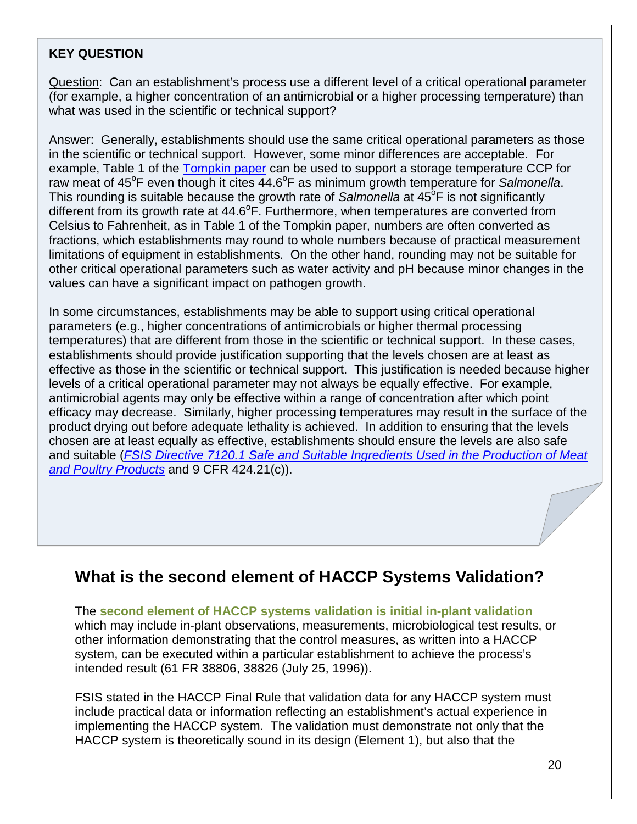#### **KEY QUESTION**

Question: Can an establishment's process use a different level of a critical operational parameter (for example, a higher concentration of an antimicrobial or a higher processing temperature) than what was used in the scientific or technical support?

Answer: Generally, establishments should use the same critical operational parameters as those in the scientific or technical support. However, some minor differences are acceptable. For example, Table 1 of the [Tompkin paper](http://www.meathaccp.wisc.edu/Model_Haccp_Plans/assets/raw_ground/TompkinPaper.pdf) can be used to support a storage temperature CCP for raw meat of 45°F even though it cites 44.6°F as minimum growth temperature for Salmonella. This rounding is suitable because the growth rate of Salmonella at 45<sup>°</sup>F is not significantly different from its growth rate at 44.6°F. Furthermore, when temperatures are converted from Celsius to Fahrenheit, as in Table 1 of the Tompkin paper, numbers are often converted as fractions, which establishments may round to whole numbers because of practical measurement limitations of equipment in establishments. On the other hand, rounding may not be suitable for other critical operational parameters such as water activity and pH because minor changes in the values can have a significant impact on pathogen growth.

In some circumstances, establishments may be able to support using critical operational parameters (e.g., higher concentrations of antimicrobials or higher thermal processing temperatures) that are different from those in the scientific or technical support. In these cases, establishments should provide justification supporting that the levels chosen are at least as effective as those in the scientific or technical support. This justification is needed because higher levels of a critical operational parameter may not always be equally effective. For example, antimicrobial agents may only be effective within a range of concentration after which point efficacy may decrease. Similarly, higher processing temperatures may result in the surface of the product drying out before adequate lethality is achieved. In addition to ensuring that the levels chosen are at least equally as effective, establishments should ensure the levels are also safe and suitable (*[FSIS Directive 7120.1 Safe and Suitable Ingredients Used in the Production of Meat](http://www.fsis.usda.gov/wps/wcm/connect/bab10e09-aefa-483b-8be8-809a1f051d4c/7120.1.pdf?MOD=AJPERES)  [and Poultry Products](http://www.fsis.usda.gov/wps/wcm/connect/bab10e09-aefa-483b-8be8-809a1f051d4c/7120.1.pdf?MOD=AJPERES)* and 9 CFR 424.21(c)).

### <span id="page-22-0"></span>**What is the second element of HACCP Systems Validation?**

The **second element of HACCP systems validation is initial in-plant validation** which may include in-plant observations, measurements, microbiological test results, or other information demonstrating that the control measures, as written into a HACCP system, can be executed within a particular establishment to achieve the process's intended result (61 FR 38806, 38826 (July 25, 1996)).

FSIS stated in the HACCP Final Rule that validation data for any HACCP system must include practical data or information reflecting an establishment's actual experience in implementing the HACCP system. The validation must demonstrate not only that the HACCP system is theoretically sound in its design (Element 1), but also that the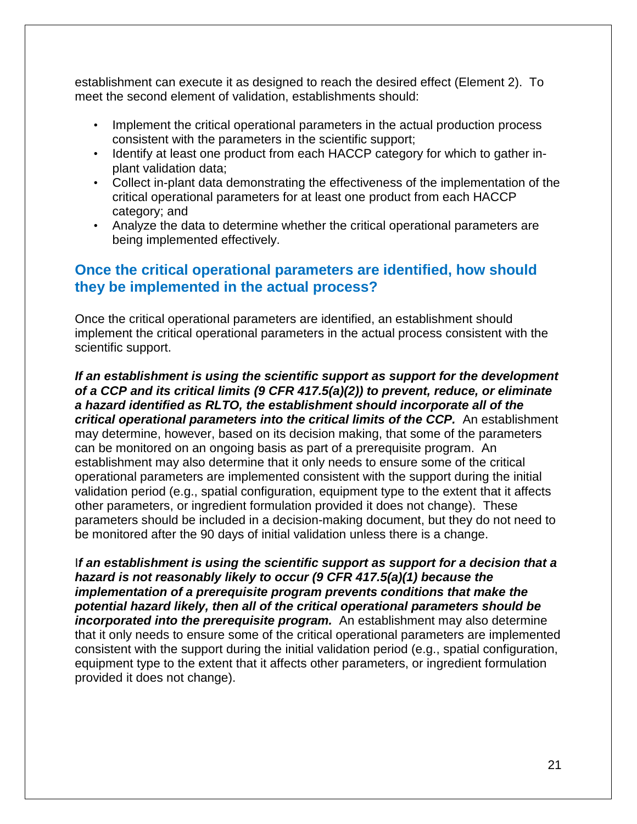establishment can execute it as designed to reach the desired effect (Element 2). To meet the second element of validation, establishments should:

- Implement the critical operational parameters in the actual production process consistent with the parameters in the scientific support;
- Identify at least one product from each HACCP category for which to gather inplant validation data;
- Collect in-plant data demonstrating the effectiveness of the implementation of the critical operational parameters for at least one product from each HACCP category; and
- Analyze the data to determine whether the critical operational parameters are being implemented effectively.

### **Once the critical operational parameters are identified, how should they be implemented in the actual process?**

Once the critical operational parameters are identified, an establishment should implement the critical operational parameters in the actual process consistent with the scientific support.

*If an establishment is using the scientific support as support for the development of a CCP and its critical limits (9 CFR 417.5(a)(2)) to prevent, reduce, or eliminate a hazard identified as RLTO, the establishment should incorporate all of the critical operational parameters into the critical limits of the CCP.* An establishment may determine, however, based on its decision making, that some of the parameters can be monitored on an ongoing basis as part of a prerequisite program. An establishment may also determine that it only needs to ensure some of the critical operational parameters are implemented consistent with the support during the initial validation period (e.g., spatial configuration, equipment type to the extent that it affects other parameters, or ingredient formulation provided it does not change). These parameters should be included in a decision-making document, but they do not need to be monitored after the 90 days of initial validation unless there is a change.

I*f an establishment is using the scientific support as support for a decision that a hazard is not reasonably likely to occur (9 CFR 417.5(a)(1) because the implementation of a prerequisite program prevents conditions that make the potential hazard likely, then all of the critical operational parameters should be incorporated into the prerequisite program.* An establishment may also determine that it only needs to ensure some of the critical operational parameters are implemented consistent with the support during the initial validation period (e.g., spatial configuration, equipment type to the extent that it affects other parameters, or ingredient formulation provided it does not change).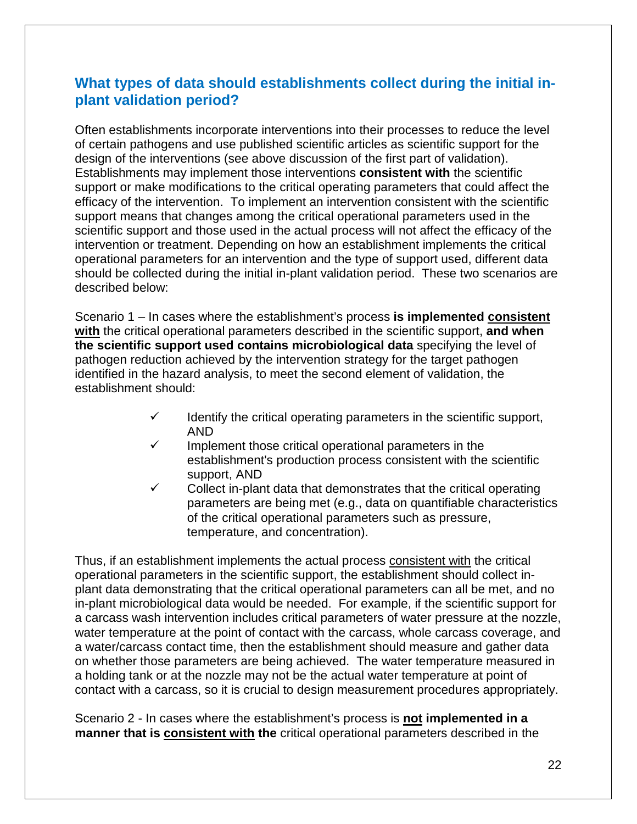### **What types of data should establishments collect during the initial inplant validation period?**

Often establishments incorporate interventions into their processes to reduce the level of certain pathogens and use published scientific articles as scientific support for the design of the interventions (see above discussion of the first part of validation). Establishments may implement those interventions **consistent with** the scientific support or make modifications to the critical operating parameters that could affect the efficacy of the intervention. To implement an intervention consistent with the scientific support means that changes among the critical operational parameters used in the scientific support and those used in the actual process will not affect the efficacy of the intervention or treatment. Depending on how an establishment implements the critical operational parameters for an intervention and the type of support used, different data should be collected during the initial in-plant validation period. These two scenarios are described below:

Scenario 1 – In cases where the establishment's process **is implemented consistent with** the critical operational parameters described in the scientific support, **and when the scientific support used contains microbiological data** specifying the level of pathogen reduction achieved by the intervention strategy for the target pathogen identified in the hazard analysis, to meet the second element of validation, the establishment should:

- $\checkmark$  Identify the critical operating parameters in the scientific support, AND
- Implement those critical operational parameters in the establishment's production process consistent with the scientific support, AND
- Collect in-plant data that demonstrates that the critical operating parameters are being met (e.g., data on quantifiable characteristics of the critical operational parameters such as pressure, temperature, and concentration).

Thus, if an establishment implements the actual process consistent with the critical operational parameters in the scientific support, the establishment should collect inplant data demonstrating that the critical operational parameters can all be met, and no in-plant microbiological data would be needed. For example, if the scientific support for a carcass wash intervention includes critical parameters of water pressure at the nozzle, water temperature at the point of contact with the carcass, whole carcass coverage, and a water/carcass contact time, then the establishment should measure and gather data on whether those parameters are being achieved. The water temperature measured in a holding tank or at the nozzle may not be the actual water temperature at point of contact with a carcass, so it is crucial to design measurement procedures appropriately.

Scenario 2 - In cases where the establishment's process is **not implemented in a manner that is consistent with the** critical operational parameters described in the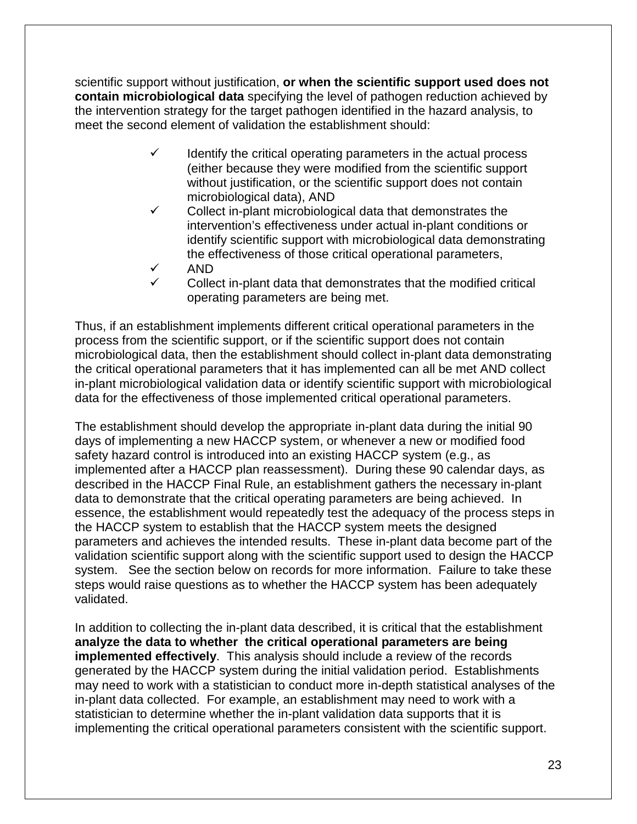scientific support without justification, **or when the scientific support used does not contain microbiological data** specifying the level of pathogen reduction achieved by the intervention strategy for the target pathogen identified in the hazard analysis, to meet the second element of validation the establishment should:

- Identify the critical operating parameters in the actual process (either because they were modified from the scientific support without justification, or the scientific support does not contain microbiological data), AND
- $\checkmark$  Collect in-plant microbiological data that demonstrates the intervention's effectiveness under actual in-plant conditions or identify scientific support with microbiological data demonstrating the effectiveness of those critical operational parameters,
- AND Collect in-plant data that demonstrates that the modified critical operating parameters are being met.

Thus, if an establishment implements different critical operational parameters in the process from the scientific support, or if the scientific support does not contain microbiological data, then the establishment should collect in-plant data demonstrating the critical operational parameters that it has implemented can all be met AND collect in-plant microbiological validation data or identify scientific support with microbiological data for the effectiveness of those implemented critical operational parameters.

The establishment should develop the appropriate in-plant data during the initial 90 days of implementing a new HACCP system, or whenever a new or modified food safety hazard control is introduced into an existing HACCP system (e.g., as implemented after a HACCP plan reassessment). During these 90 calendar days, as described in the HACCP Final Rule, an establishment gathers the necessary in-plant data to demonstrate that the critical operating parameters are being achieved. In essence, the establishment would repeatedly test the adequacy of the process steps in the HACCP system to establish that the HACCP system meets the designed parameters and achieves the intended results. These in-plant data become part of the validation scientific support along with the scientific support used to design the HACCP system. See the section below on records for more information. Failure to take these steps would raise questions as to whether the HACCP system has been adequately validated.

In addition to collecting the in-plant data described, it is critical that the establishment **analyze the data to whether the critical operational parameters are being implemented effectively**. This analysis should include a review of the records generated by the HACCP system during the initial validation period. Establishments may need to work with a statistician to conduct more in-depth statistical analyses of the in-plant data collected. For example, an establishment may need to work with a statistician to determine whether the in-plant validation data supports that it is implementing the critical operational parameters consistent with the scientific support.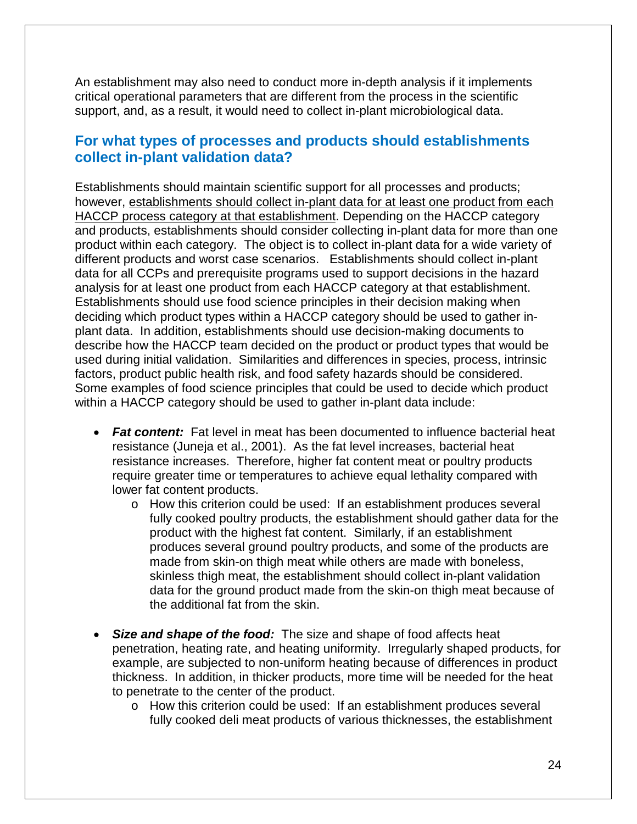An establishment may also need to conduct more in-depth analysis if it implements critical operational parameters that are different from the process in the scientific support, and, as a result, it would need to collect in-plant microbiological data.

### **For what types of processes and products should establishments collect in-plant validation data?**

Establishments should maintain scientific support for all processes and products; however, establishments should collect in-plant data for at least one product from each HACCP process category at that establishment. Depending on the HACCP category and products, establishments should consider collecting in-plant data for more than one product within each category. The object is to collect in-plant data for a wide variety of different products and worst case scenarios. Establishments should collect in-plant data for all CCPs and prerequisite programs used to support decisions in the hazard analysis for at least one product from each HACCP category at that establishment. Establishments should use food science principles in their decision making when deciding which product types within a HACCP category should be used to gather inplant data. In addition, establishments should use decision-making documents to describe how the HACCP team decided on the product or product types that would be used during initial validation. Similarities and differences in species, process, intrinsic factors, product public health risk, and food safety hazards should be considered. Some examples of food science principles that could be used to decide which product within a HACCP category should be used to gather in-plant data include:

- *Fat content:* Fat level in meat has been documented to influence bacterial heat resistance (Juneja et al., 2001). As the fat level increases, bacterial heat resistance increases. Therefore, higher fat content meat or poultry products require greater time or temperatures to achieve equal lethality compared with lower fat content products.
	- o How this criterion could be used: If an establishment produces several fully cooked poultry products, the establishment should gather data for the product with the highest fat content. Similarly, if an establishment produces several ground poultry products, and some of the products are made from skin-on thigh meat while others are made with boneless, skinless thigh meat, the establishment should collect in-plant validation data for the ground product made from the skin-on thigh meat because of the additional fat from the skin.
- *Size and shape of the food:* The size and shape of food affects heat penetration, heating rate, and heating uniformity. Irregularly shaped products, for example, are subjected to non-uniform heating because of differences in product thickness. In addition, in thicker products, more time will be needed for the heat to penetrate to the center of the product.
	- o How this criterion could be used: If an establishment produces several fully cooked deli meat products of various thicknesses, the establishment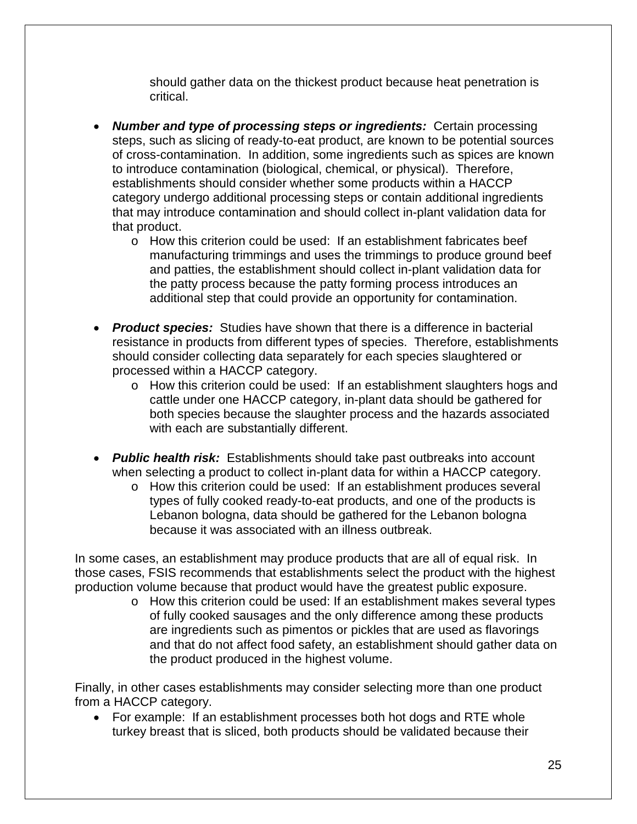should gather data on the thickest product because heat penetration is critical.

- *Number and type of processing steps or ingredients:* Certain processing steps, such as slicing of ready-to-eat product, are known to be potential sources of cross-contamination. In addition, some ingredients such as spices are known to introduce contamination (biological, chemical, or physical). Therefore, establishments should consider whether some products within a HACCP category undergo additional processing steps or contain additional ingredients that may introduce contamination and should collect in-plant validation data for that product.
	- o How this criterion could be used: If an establishment fabricates beef manufacturing trimmings and uses the trimmings to produce ground beef and patties, the establishment should collect in-plant validation data for the patty process because the patty forming process introduces an additional step that could provide an opportunity for contamination.
- *Product species:* Studies have shown that there is a difference in bacterial resistance in products from different types of species. Therefore, establishments should consider collecting data separately for each species slaughtered or processed within a HACCP category.
	- o How this criterion could be used: If an establishment slaughters hogs and cattle under one HACCP category, in-plant data should be gathered for both species because the slaughter process and the hazards associated with each are substantially different.
- *Public health risk:* Establishments should take past outbreaks into account when selecting a product to collect in-plant data for within a HACCP category.
	- o How this criterion could be used: If an establishment produces several types of fully cooked ready-to-eat products, and one of the products is Lebanon bologna, data should be gathered for the Lebanon bologna because it was associated with an illness outbreak.

In some cases, an establishment may produce products that are all of equal risk. In those cases, FSIS recommends that establishments select the product with the highest production volume because that product would have the greatest public exposure.

o How this criterion could be used: If an establishment makes several types of fully cooked sausages and the only difference among these products are ingredients such as pimentos or pickles that are used as flavorings and that do not affect food safety, an establishment should gather data on the product produced in the highest volume.

Finally, in other cases establishments may consider selecting more than one product from a HACCP category.

• For example: If an establishment processes both hot dogs and RTE whole turkey breast that is sliced, both products should be validated because their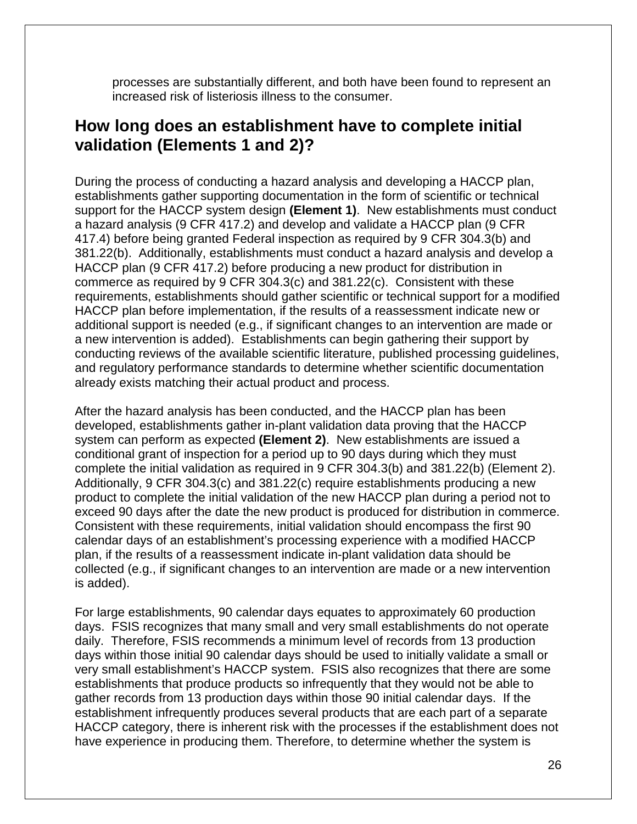processes are substantially different, and both have been found to represent an increased risk of listeriosis illness to the consumer.

## <span id="page-28-0"></span>**How long does an establishment have to complete initial validation (Elements 1 and 2)?**

During the process of conducting a hazard analysis and developing a HACCP plan, establishments gather supporting documentation in the form of scientific or technical support for the HACCP system design **(Element 1)**. New establishments must conduct a hazard analysis (9 CFR 417.2) and develop and validate a HACCP plan (9 CFR 417.4) before being granted Federal inspection as required by 9 CFR 304.3(b) and 381.22(b). Additionally, establishments must conduct a hazard analysis and develop a HACCP plan (9 CFR 417.2) before producing a new product for distribution in commerce as required by 9 CFR 304.3(c) and 381.22(c). Consistent with these requirements, establishments should gather scientific or technical support for a modified HACCP plan before implementation, if the results of a reassessment indicate new or additional support is needed (e.g., if significant changes to an intervention are made or a new intervention is added). Establishments can begin gathering their support by conducting reviews of the available scientific literature, published processing guidelines, and regulatory performance standards to determine whether scientific documentation already exists matching their actual product and process.

After the hazard analysis has been conducted, and the HACCP plan has been developed, establishments gather in-plant validation data proving that the HACCP system can perform as expected **(Element 2)**. New establishments are issued a conditional grant of inspection for a period up to 90 days during which they must complete the initial validation as required in 9 CFR 304.3(b) and 381.22(b) (Element 2). Additionally, 9 CFR 304.3(c) and 381.22(c) require establishments producing a new product to complete the initial validation of the new HACCP plan during a period not to exceed 90 days after the date the new product is produced for distribution in commerce. Consistent with these requirements, initial validation should encompass the first 90 calendar days of an establishment's processing experience with a modified HACCP plan, if the results of a reassessment indicate in-plant validation data should be collected (e.g., if significant changes to an intervention are made or a new intervention is added).

For large establishments, 90 calendar days equates to approximately 60 production days. FSIS recognizes that many small and very small establishments do not operate daily. Therefore, FSIS recommends a minimum level of records from 13 production days within those initial 90 calendar days should be used to initially validate a small or very small establishment's HACCP system. FSIS also recognizes that there are some establishments that produce products so infrequently that they would not be able to gather records from 13 production days within those 90 initial calendar days. If the establishment infrequently produces several products that are each part of a separate HACCP category, there is inherent risk with the processes if the establishment does not have experience in producing them. Therefore, to determine whether the system is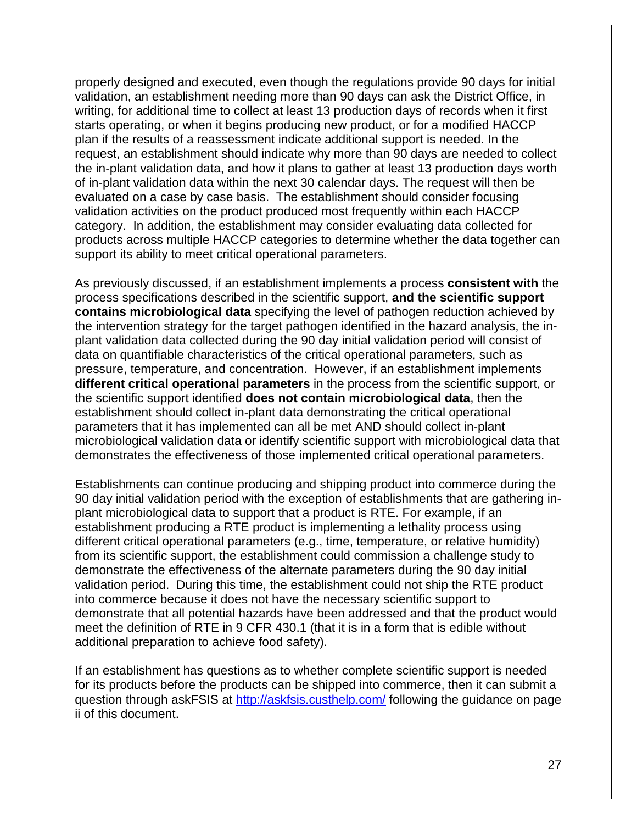properly designed and executed, even though the regulations provide 90 days for initial validation, an establishment needing more than 90 days can ask the District Office, in writing, for additional time to collect at least 13 production days of records when it first starts operating, or when it begins producing new product, or for a modified HACCP plan if the results of a reassessment indicate additional support is needed. In the request, an establishment should indicate why more than 90 days are needed to collect the in-plant validation data, and how it plans to gather at least 13 production days worth of in-plant validation data within the next 30 calendar days. The request will then be evaluated on a case by case basis. The establishment should consider focusing validation activities on the product produced most frequently within each HACCP category. In addition, the establishment may consider evaluating data collected for products across multiple HACCP categories to determine whether the data together can support its ability to meet critical operational parameters.

As previously discussed, if an establishment implements a process **consistent with** the process specifications described in the scientific support, **and the scientific support contains microbiological data** specifying the level of pathogen reduction achieved by the intervention strategy for the target pathogen identified in the hazard analysis, the inplant validation data collected during the 90 day initial validation period will consist of data on quantifiable characteristics of the critical operational parameters, such as pressure, temperature, and concentration. However, if an establishment implements **different critical operational parameters** in the process from the scientific support, or the scientific support identified **does not contain microbiological data**, then the establishment should collect in-plant data demonstrating the critical operational parameters that it has implemented can all be met AND should collect in-plant microbiological validation data or identify scientific support with microbiological data that demonstrates the effectiveness of those implemented critical operational parameters.

Establishments can continue producing and shipping product into commerce during the 90 day initial validation period with the exception of establishments that are gathering inplant microbiological data to support that a product is RTE. For example, if an establishment producing a RTE product is implementing a lethality process using different critical operational parameters (e.g., time, temperature, or relative humidity) from its scientific support, the establishment could commission a challenge study to demonstrate the effectiveness of the alternate parameters during the 90 day initial validation period. During this time, the establishment could not ship the RTE product into commerce because it does not have the necessary scientific support to demonstrate that all potential hazards have been addressed and that the product would meet the definition of RTE in 9 CFR 430.1 (that it is in a form that is edible without additional preparation to achieve food safety).

If an establishment has questions as to whether complete scientific support is needed for its products before the products can be shipped into commerce, then it can submit a question through askFSIS at<http://askfsis.custhelp.com/> following the guidance on page ii of this document.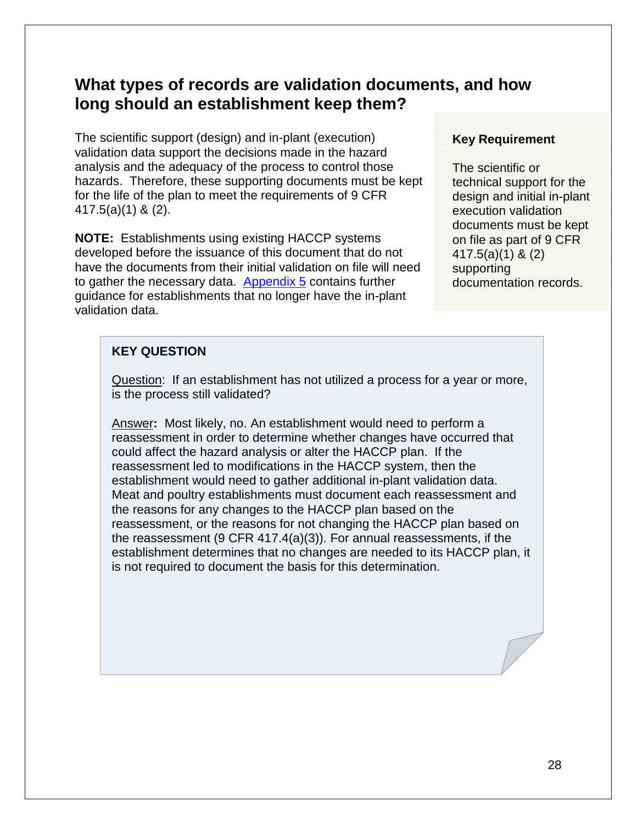## <span id="page-30-1"></span><span id="page-30-0"></span>**What types of records are validation documents, and how long should an establishment keep them?**

The scientific support (design) and in-plant (execution) validation data support the decisions made in the hazard analysis and the adequacy of the process to control those hazards. Therefore, these supporting documents must be kept for the life of the plan to meet the requirements of 9 CFR 417.5(a)(1) & (2).

**NOTE:** Establishments using existing HACCP systems developed before the issuance of this document that do not have the documents from their initial validation on file will need to gather the necessary data. [Appendix 5](#page-66-0) contains further guidance for establishments that no longer have the in-plant validation data.

#### **Key Requirement**

The scientific or technical support for the design and initial in-plant execution validation documents must be kept on file as part of 9 CFR 417.5(a)(1) & (2) supporting documentation records.

#### **KEY QUESTION**

Question: If an establishment has not utilized a process for a year or more, is the process still validated?

Answer**:** Most likely, no. An establishment would need to perform a reassessment in order to determine whether changes have occurred that could affect the hazard analysis or alter the HACCP plan. If the reassessment led to modifications in the HACCP system, then the establishment would need to gather additional in-plant validation data. Meat and poultry establishments must document each reassessment and the reasons for any changes to the HACCP plan based on the reassessment, or the reasons for not changing the HACCP plan based on the reassessment (9 CFR 417.4(a)(3)). For annual reassessments, if the establishment determines that no changes are needed to its HACCP plan, it is not required to document the basis for this determination.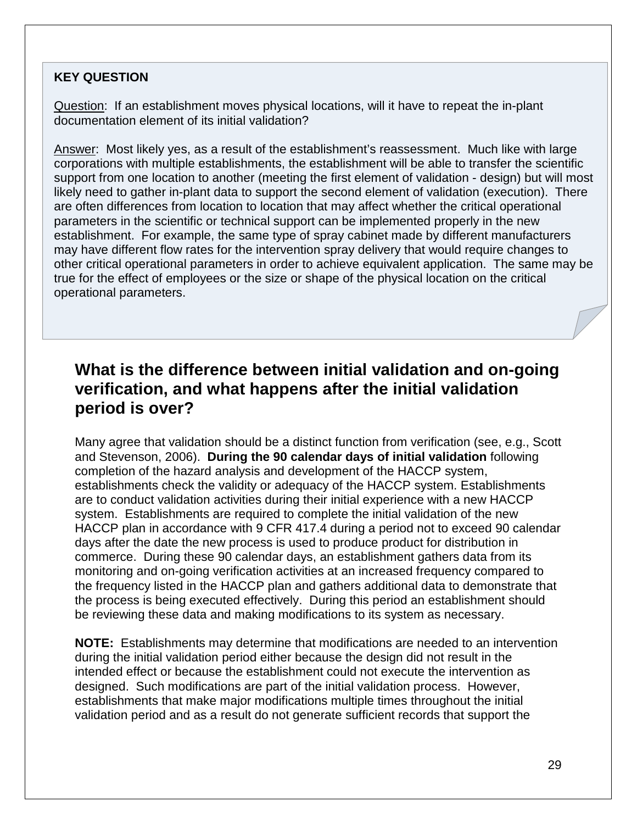### **KEY QUESTION**

Question: If an establishment moves physical locations, will it have to repeat the in-plant documentation element of its initial validation?

Answer: Most likely yes, as a result of the establishment's reassessment. Much like with large corporations with multiple establishments, the establishment will be able to transfer the scientific support from one location to another (meeting the first element of validation - design) but will most likely need to gather in-plant data to support the second element of validation (execution). There are often differences from location to location that may affect whether the critical operational parameters in the scientific or technical support can be implemented properly in the new establishment. For example, the same type of spray cabinet made by different manufacturers may have different flow rates for the intervention spray delivery that would require changes to other critical operational parameters in order to achieve equivalent application. The same may be true for the effect of employees or the size or shape of the physical location on the critical operational parameters.

## <span id="page-31-0"></span>**What is the difference between initial validation and on-going verification, and what happens after the initial validation period is over?**

Many agree that validation should be a distinct function from verification (see, e.g., Scott and Stevenson, 2006). **During the 90 calendar days of initial validation** following completion of the hazard analysis and development of the HACCP system, establishments check the validity or adequacy of the HACCP system. Establishments are to conduct validation activities during their initial experience with a new HACCP system. Establishments are required to complete the initial validation of the new HACCP plan in accordance with 9 CFR 417.4 during a period not to exceed 90 calendar days after the date the new process is used to produce product for distribution in commerce. During these 90 calendar days, an establishment gathers data from its monitoring and on-going verification activities at an increased frequency compared to the frequency listed in the HACCP plan and gathers additional data to demonstrate that the process is being executed effectively. During this period an establishment should be reviewing these data and making modifications to its system as necessary.

**NOTE:** Establishments may determine that modifications are needed to an intervention during the initial validation period either because the design did not result in the intended effect or because the establishment could not execute the intervention as designed. Such modifications are part of the initial validation process. However, establishments that make major modifications multiple times throughout the initial validation period and as a result do not generate sufficient records that support the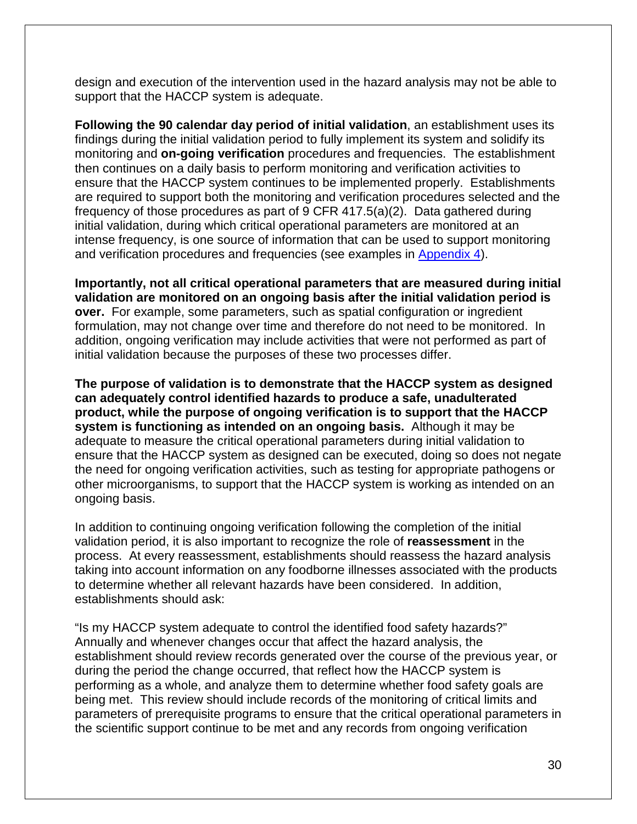design and execution of the intervention used in the hazard analysis may not be able to support that the HACCP system is adequate.

**Following the 90 calendar day period of initial validation**, an establishment uses its findings during the initial validation period to fully implement its system and solidify its monitoring and **on-going verification** procedures and frequencies. The establishment then continues on a daily basis to perform monitoring and verification activities to ensure that the HACCP system continues to be implemented properly. Establishments are required to support both the monitoring and verification procedures selected and the frequency of those procedures as part of 9 CFR 417.5(a)(2). Data gathered during initial validation, during which critical operational parameters are monitored at an intense frequency, is one source of information that can be used to support monitoring and verification procedures and frequencies (see examples in [Appendix 4\)](#page-45-0).

**Importantly, not all critical operational parameters that are measured during initial validation are monitored on an ongoing basis after the initial validation period is over.** For example, some parameters, such as spatial configuration or ingredient formulation, may not change over time and therefore do not need to be monitored. In addition, ongoing verification may include activities that were not performed as part of initial validation because the purposes of these two processes differ.

**The purpose of validation is to demonstrate that the HACCP system as designed can adequately control identified hazards to produce a safe, unadulterated product, while the purpose of ongoing verification is to support that the HACCP system is functioning as intended on an ongoing basis.** Although it may be adequate to measure the critical operational parameters during initial validation to ensure that the HACCP system as designed can be executed, doing so does not negate the need for ongoing verification activities, such as testing for appropriate pathogens or other microorganisms, to support that the HACCP system is working as intended on an ongoing basis.

In addition to continuing ongoing verification following the completion of the initial validation period, it is also important to recognize the role of **reassessment** in the process. At every reassessment, establishments should reassess the hazard analysis taking into account information on any foodborne illnesses associated with the products to determine whether all relevant hazards have been considered. In addition, establishments should ask:

"Is my HACCP system adequate to control the identified food safety hazards?" Annually and whenever changes occur that affect the hazard analysis, the establishment should review records generated over the course of the previous year, or during the period the change occurred, that reflect how the HACCP system is performing as a whole, and analyze them to determine whether food safety goals are being met. This review should include records of the monitoring of critical limits and parameters of prerequisite programs to ensure that the critical operational parameters in the scientific support continue to be met and any records from ongoing verification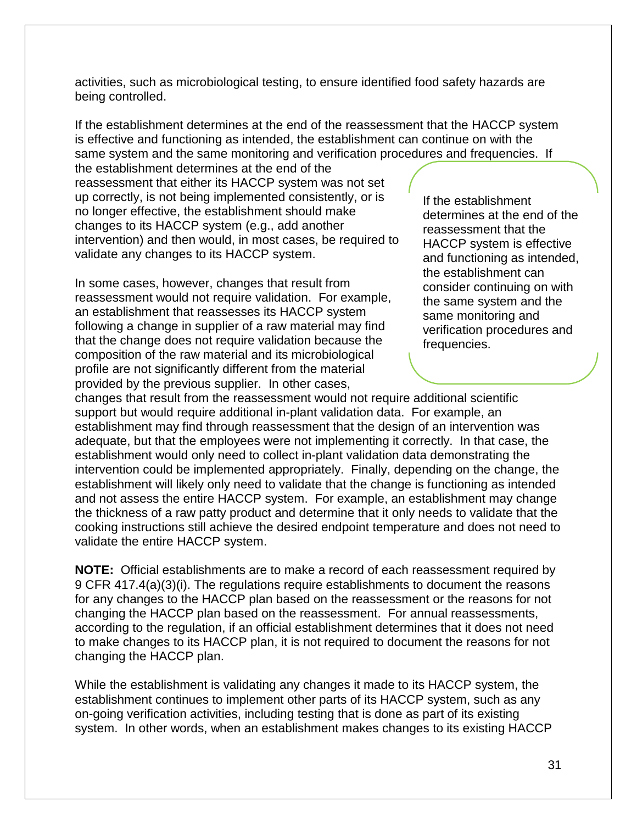activities, such as microbiological testing, to ensure identified food safety hazards are being controlled.

If the establishment determines at the end of the reassessment that the HACCP system is effective and functioning as intended, the establishment can continue on with the same system and the same monitoring and verification procedures and frequencies. If

the establishment determines at the end of the reassessment that either its HACCP system was not set up correctly, is not being implemented consistently, or is no longer effective, the establishment should make changes to its HACCP system (e.g., add another intervention) and then would, in most cases, be required to validate any changes to its HACCP system.

In some cases, however, changes that result from reassessment would not require validation. For example, an establishment that reassesses its HACCP system following a change in supplier of a raw material may find that the change does not require validation because the composition of the raw material and its microbiological profile are not significantly different from the material provided by the previous supplier. In other cases,

If the establishment determines at the end of the reassessment that the HACCP system is effective and functioning as intended, the establishment can consider continuing on with the same system and the same monitoring and verification procedures and frequencies.

changes that result from the reassessment would not require additional scientific support but would require additional in-plant validation data. For example, an establishment may find through reassessment that the design of an intervention was adequate, but that the employees were not implementing it correctly. In that case, the establishment would only need to collect in-plant validation data demonstrating the intervention could be implemented appropriately. Finally, depending on the change, the establishment will likely only need to validate that the change is functioning as intended and not assess the entire HACCP system. For example, an establishment may change the thickness of a raw patty product and determine that it only needs to validate that the cooking instructions still achieve the desired endpoint temperature and does not need to validate the entire HACCP system.

**NOTE:** Official establishments are to make a record of each reassessment required by 9 CFR 417.4(a)(3)(i). The regulations require establishments to document the reasons for any changes to the HACCP plan based on the reassessment or the reasons for not changing the HACCP plan based on the reassessment. For annual reassessments, according to the regulation, if an official establishment determines that it does not need to make changes to its HACCP plan, it is not required to document the reasons for not changing the HACCP plan.

While the establishment is validating any changes it made to its HACCP system, the establishment continues to implement other parts of its HACCP system, such as any on-going verification activities, including testing that is done as part of its existing system. In other words, when an establishment makes changes to its existing HACCP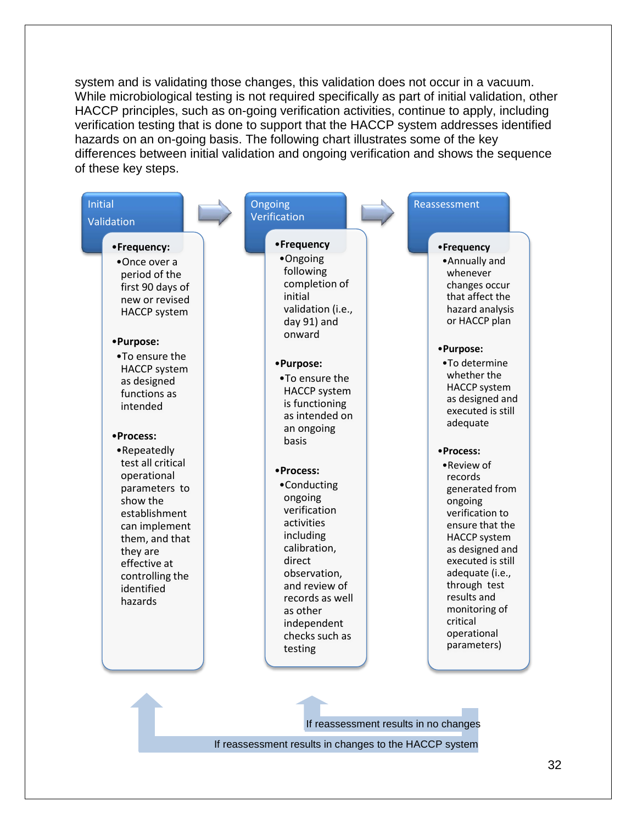system and is validating those changes, this validation does not occur in a vacuum. While microbiological testing is not required specifically as part of initial validation, other HACCP principles, such as on-going verification activities, continue to apply, including verification testing that is done to support that the HACCP system addresses identified hazards on an on-going basis. The following chart illustrates some of the key differences between initial validation and ongoing verification and shows the sequence of these key steps.



If reassessment results in changes to the HACCP system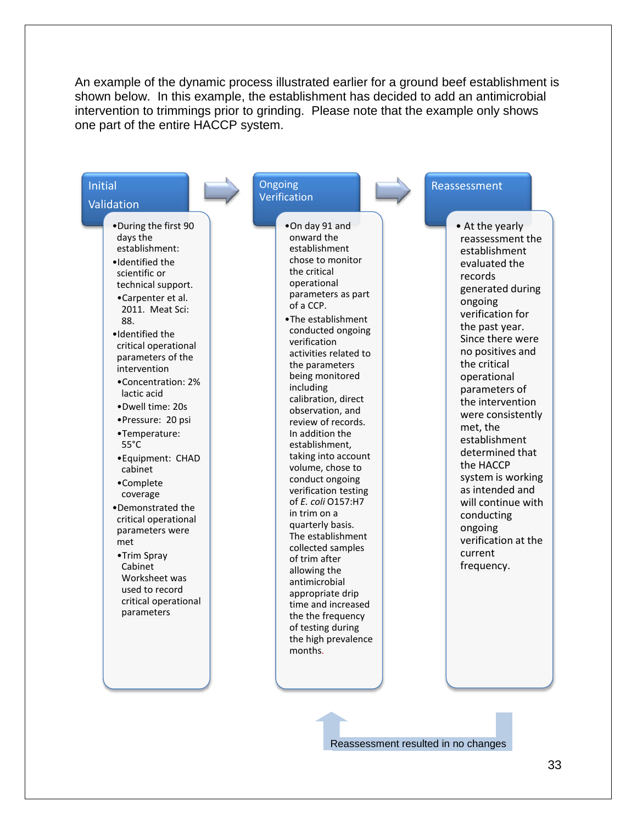An example of the dynamic process illustrated earlier for a ground beef establishment is shown below. In this example, the establishment has decided to add an antimicrobial intervention to trimmings prior to grinding. Please note that the example only shows one part of the entire HACCP system.



Reassessment resulted in no changes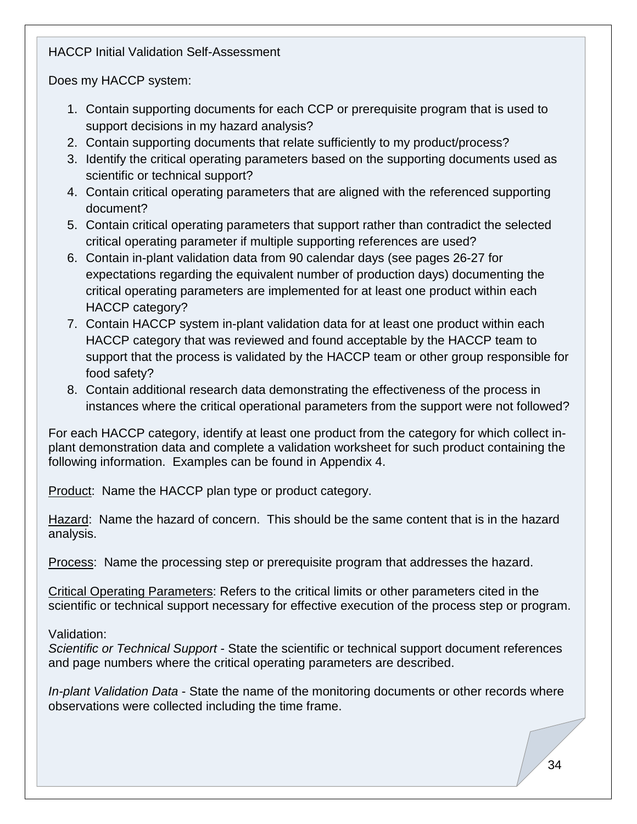HACCP Initial Validation Self-Assessment

Does my HACCP system:

- 1. Contain supporting documents for each CCP or prerequisite program that is used to support decisions in my hazard analysis?
- 2. Contain supporting documents that relate sufficiently to my product/process?
- 3. Identify the critical operating parameters based on the supporting documents used as scientific or technical support?
- 4. Contain critical operating parameters that are aligned with the referenced supporting document?
- 5. Contain critical operating parameters that support rather than contradict the selected critical operating parameter if multiple supporting references are used?
- 6. Contain in-plant validation data from 90 calendar days (see pages 26-27 for expectations regarding the equivalent number of production days) documenting the critical operating parameters are implemented for at least one product within each HACCP category?
- 7. Contain HACCP system in-plant validation data for at least one product within each HACCP category that was reviewed and found acceptable by the HACCP team to support that the process is validated by the HACCP team or other group responsible for food safety?
- 8. Contain additional research data demonstrating the effectiveness of the process in instances where the critical operational parameters from the support were not followed?

For each HACCP category, identify at least one product from the category for which collect inplant demonstration data and complete a validation worksheet for such product containing the following information. Examples can be found in Appendix 4.

Product: Name the HACCP plan type or product category.

Hazard: Name the hazard of concern. This should be the same content that is in the hazard analysis.

Process: Name the processing step or prerequisite program that addresses the hazard.

Critical Operating Parameters: Refers to the critical limits or other parameters cited in the scientific or technical support necessary for effective execution of the process step or program.

Validation:

*Scientific or Technical Support* - State the scientific or technical support document references and page numbers where the critical operating parameters are described.

*In-plant Validation Data* - State the name of the monitoring documents or other records where observations were collected including the time frame.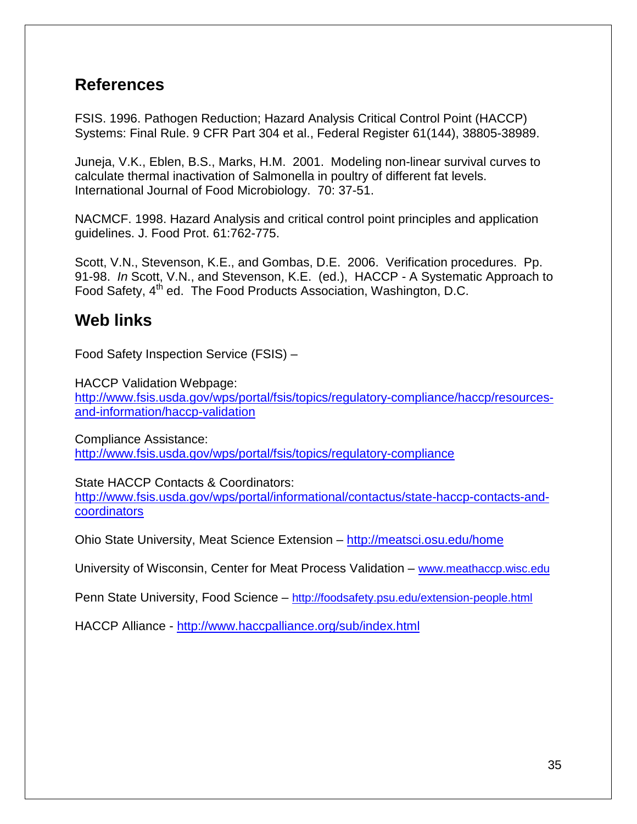## <span id="page-37-0"></span>**References**

FSIS. 1996. Pathogen Reduction; Hazard Analysis Critical Control Point (HACCP) Systems: Final Rule. 9 CFR Part 304 et al., Federal Register 61(144), 38805-38989.

Juneja, V.K., Eblen, B.S., Marks, H.M. 2001. Modeling non-linear survival curves to calculate thermal inactivation of Salmonella in poultry of different fat levels. International Journal of Food Microbiology. 70: 37-51.

NACMCF. 1998. Hazard Analysis and critical control point principles and application guidelines. J. Food Prot. 61:762-775.

Scott, V.N., Stevenson, K.E., and Gombas, D.E. 2006. Verification procedures. Pp. 91-98. *In* Scott, V.N., and Stevenson, K.E. (ed.), HACCP - A Systematic Approach to Food Safety, 4<sup>th</sup> ed. The Food Products Association, Washington, D.C.

## <span id="page-37-1"></span>**Web links**

Food Safety Inspection Service (FSIS) –

HACCP Validation Webpage: [http://www.fsis.usda.gov/wps/portal/fsis/topics/regulatory-compliance/haccp/resources](http://www.fsis.usda.gov/wps/portal/fsis/topics/regulatory-compliance/haccp/resources-and-information/haccp-validation)[and-information/haccp-validation](http://www.fsis.usda.gov/wps/portal/fsis/topics/regulatory-compliance/haccp/resources-and-information/haccp-validation)

Compliance Assistance: <http://www.fsis.usda.gov/wps/portal/fsis/topics/regulatory-compliance>

State HACCP Contacts & Coordinators:

[http://www.fsis.usda.gov/wps/portal/informational/contactus/state-haccp-contacts-and](http://www.fsis.usda.gov/wps/portal/informational/contactus/state-haccp-contacts-and-coordinators)[coordinators](http://www.fsis.usda.gov/wps/portal/informational/contactus/state-haccp-contacts-and-coordinators)

Ohio State University, Meat Science Extension – <http://meatsci.osu.edu/home>

University of Wisconsin, Center for Meat Process Validation – [www.meathaccp.wisc.edu](http://www.meathaccp.wisc.edu/)

Penn State University, Food Science – <http://foodsafety.psu.edu/extension-people.html>

HACCP Alliance - <http://www.haccpalliance.org/sub/index.html>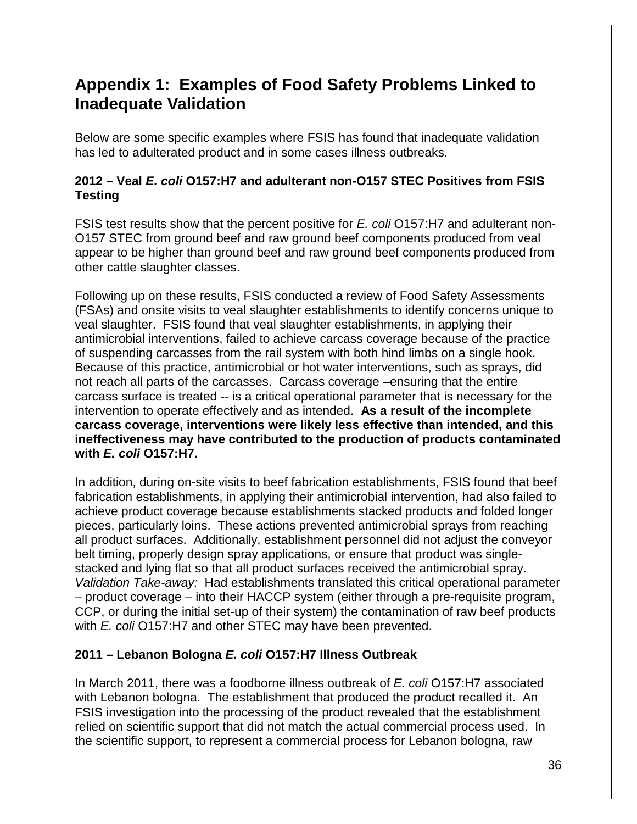## <span id="page-38-0"></span>**Appendix 1: Examples of Food Safety Problems Linked to Inadequate Validation**

Below are some specific examples where FSIS has found that inadequate validation has led to adulterated product and in some cases illness outbreaks.

### **2012 – Veal** *E. coli* **O157:H7 and adulterant non-O157 STEC Positives from FSIS Testing**

FSIS test results show that the percent positive for *E. coli* O157:H7 and adulterant non-O157 STEC from ground beef and raw ground beef components produced from veal appear to be higher than ground beef and raw ground beef components produced from other cattle slaughter classes.

Following up on these results, FSIS conducted a review of Food Safety Assessments (FSAs) and onsite visits to veal slaughter establishments to identify concerns unique to veal slaughter. FSIS found that veal slaughter establishments, in applying their antimicrobial interventions, failed to achieve carcass coverage because of the practice of suspending carcasses from the rail system with both hind limbs on a single hook. Because of this practice, antimicrobial or hot water interventions, such as sprays, did not reach all parts of the carcasses. Carcass coverage –ensuring that the entire carcass surface is treated -- is a critical operational parameter that is necessary for the intervention to operate effectively and as intended. **As a result of the incomplete carcass coverage, interventions were likely less effective than intended, and this ineffectiveness may have contributed to the production of products contaminated with** *E. coli* **O157:H7.** 

In addition, during on-site visits to beef fabrication establishments, FSIS found that beef fabrication establishments, in applying their antimicrobial intervention, had also failed to achieve product coverage because establishments stacked products and folded longer pieces, particularly loins. These actions prevented antimicrobial sprays from reaching all product surfaces. Additionally, establishment personnel did not adjust the conveyor belt timing, properly design spray applications, or ensure that product was singlestacked and lying flat so that all product surfaces received the antimicrobial spray. *Validation Take-away:* Had establishments translated this critical operational parameter – product coverage – into their HACCP system (either through a pre-requisite program, CCP, or during the initial set-up of their system) the contamination of raw beef products with *E. coli* O157:H7 and other STEC may have been prevented.

### **2011 – Lebanon Bologna** *E. coli* **O157:H7 Illness Outbreak**

In March 2011, there was a foodborne illness outbreak of *E. coli* O157:H7 associated with Lebanon bologna. The establishment that produced the product recalled it. An FSIS investigation into the processing of the product revealed that the establishment relied on scientific support that did not match the actual commercial process used. In the scientific support, to represent a commercial process for Lebanon bologna, raw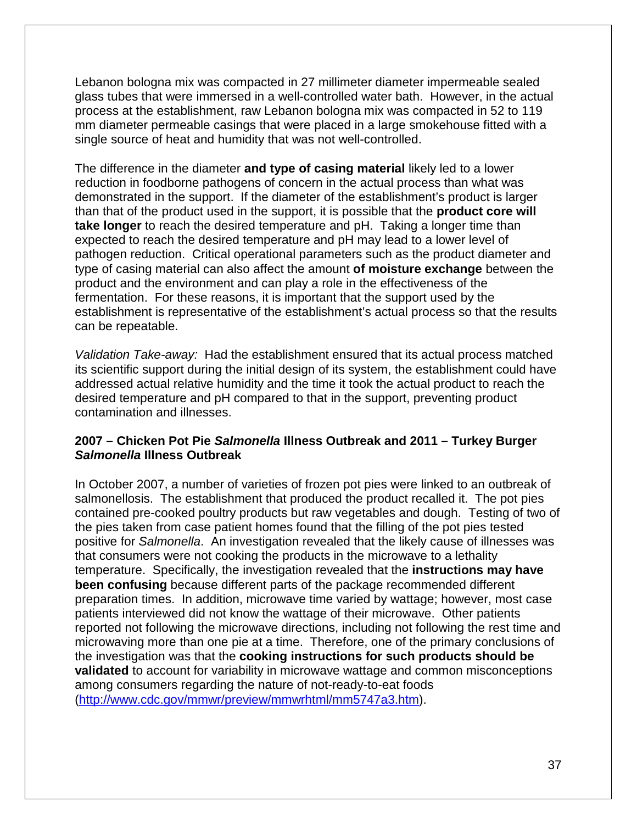Lebanon bologna mix was compacted in 27 millimeter diameter impermeable sealed glass tubes that were immersed in a well-controlled water bath. However, in the actual process at the establishment, raw Lebanon bologna mix was compacted in 52 to 119 mm diameter permeable casings that were placed in a large smokehouse fitted with a single source of heat and humidity that was not well-controlled.

The difference in the diameter **and type of casing material** likely led to a lower reduction in foodborne pathogens of concern in the actual process than what was demonstrated in the support. If the diameter of the establishment's product is larger than that of the product used in the support, it is possible that the **product core will take longer** to reach the desired temperature and pH. Taking a longer time than expected to reach the desired temperature and pH may lead to a lower level of pathogen reduction. Critical operational parameters such as the product diameter and type of casing material can also affect the amount **of moisture exchange** between the product and the environment and can play a role in the effectiveness of the fermentation. For these reasons, it is important that the support used by the establishment is representative of the establishment's actual process so that the results can be repeatable.

*Validation Take-away:* Had the establishment ensured that its actual process matched its scientific support during the initial design of its system, the establishment could have addressed actual relative humidity and the time it took the actual product to reach the desired temperature and pH compared to that in the support, preventing product contamination and illnesses.

#### **2007 – Chicken Pot Pie** *Salmonella* **Illness Outbreak and 2011 – Turkey Burger**  *Salmonella* **Illness Outbreak**

In October 2007, a number of varieties of frozen pot pies were linked to an outbreak of salmonellosis. The establishment that produced the product recalled it. The pot pies contained pre-cooked poultry products but raw vegetables and dough. Testing of two of the pies taken from case patient homes found that the filling of the pot pies tested positive for *Salmonella*. An investigation revealed that the likely cause of illnesses was that consumers were not cooking the products in the microwave to a lethality temperature. Specifically, the investigation revealed that the **instructions may have been confusing** because different parts of the package recommended different preparation times. In addition, microwave time varied by wattage; however, most case patients interviewed did not know the wattage of their microwave. Other patients reported not following the microwave directions, including not following the rest time and microwaving more than one pie at a time. Therefore, one of the primary conclusions of the investigation was that the **cooking instructions for such products should be validated** to account for variability in microwave wattage and common misconceptions among consumers regarding the nature of not-ready-to-eat foods [\(http://www.cdc.gov/mmwr/preview/mmwrhtml/mm5747a3.htm\)](http://www.cdc.gov/mmwr/preview/mmwrhtml/mm5747a3.htm).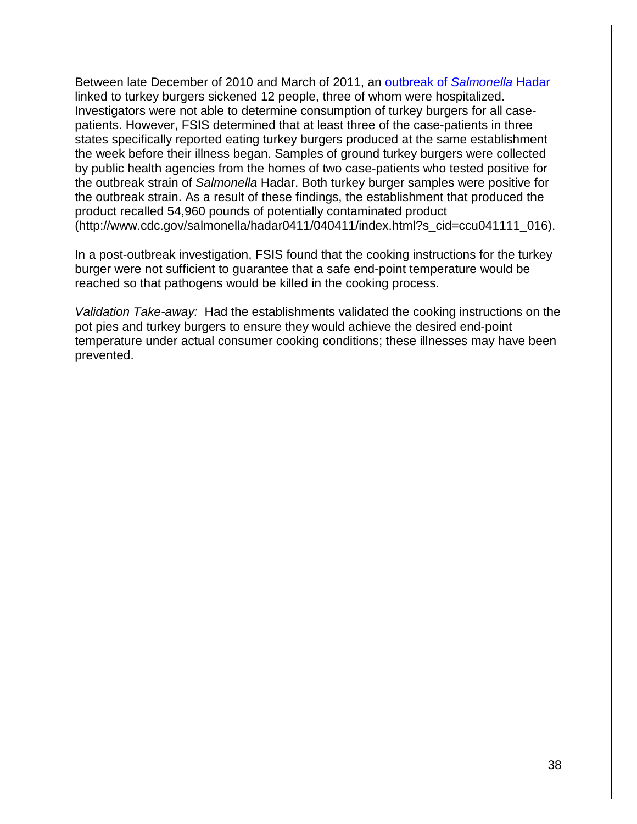Between late December of 2010 and March of 2011, an [outbreak of](http://www.cdc.gov/salmonella/hadar0411/040411/index.html) *Salmonella* Hadar linked to turkey burgers sickened 12 people, three of whom were hospitalized. Investigators were not able to determine consumption of turkey burgers for all casepatients. However, FSIS determined that at least three of the case-patients in three states specifically reported eating turkey burgers produced at the same establishment the week before their illness began. Samples of ground turkey burgers were collected by public health agencies from the homes of two case-patients who tested positive for the outbreak strain of *Salmonella* Hadar. Both turkey burger samples were positive for the outbreak strain. As a result of these findings, the establishment that produced the product recalled 54,960 pounds of potentially contaminated product (http://www.cdc.gov/salmonella/hadar0411/040411/index.html?s\_cid=ccu041111\_016).

In a post-outbreak investigation, FSIS found that the cooking instructions for the turkey burger were not sufficient to guarantee that a safe end-point temperature would be reached so that pathogens would be killed in the cooking process.

*Validation Take-away:* Had the establishments validated the cooking instructions on the pot pies and turkey burgers to ensure they would achieve the desired end-point temperature under actual consumer cooking conditions; these illnesses may have been prevented.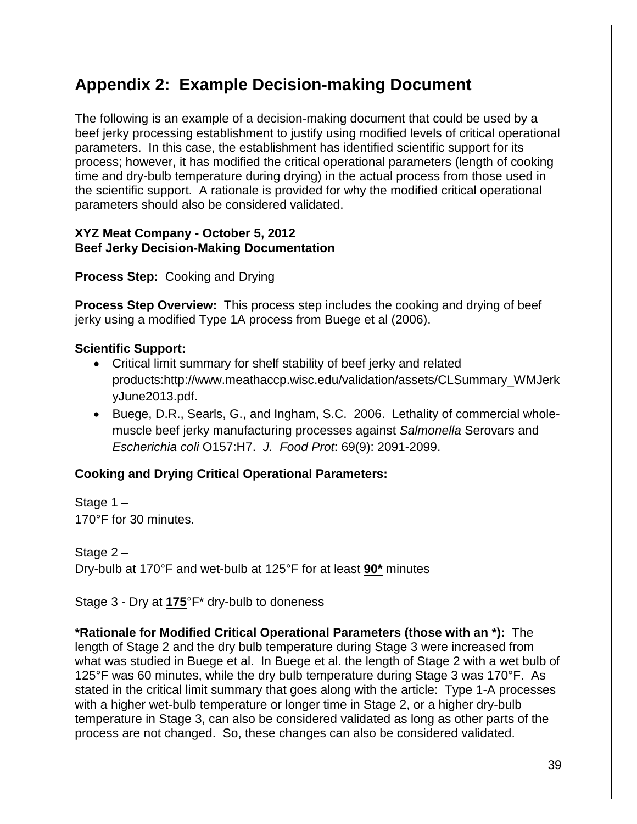## <span id="page-41-0"></span>**Appendix 2: Example Decision-making Document**

The following is an example of a decision-making document that could be used by a beef jerky processing establishment to justify using modified levels of critical operational parameters. In this case, the establishment has identified scientific support for its process; however, it has modified the critical operational parameters (length of cooking time and dry-bulb temperature during drying) in the actual process from those used in the scientific support. A rationale is provided for why the modified critical operational parameters should also be considered validated.

#### **XYZ Meat Company - October 5, 2012 Beef Jerky Decision-Making Documentation**

**Process Step:** Cooking and Drying

**Process Step Overview:** This process step includes the cooking and drying of beef jerky using a modified Type 1A process from Buege et al (2006).

#### **Scientific Support:**

- Critical limit summary for shelf stability of beef jerky and related products:http://www.meathaccp.wisc.edu/validation/assets/CLSummary\_WMJerk yJune2013.pdf.
- Buege, D.R., Searls, G., and Ingham, S.C. 2006. Lethality of commercial wholemuscle beef jerky manufacturing processes against *Salmonella* Serovars and *Escherichia coli* O157:H7. *J. Food Prot*: 69(9): 2091-2099.

### **Cooking and Drying Critical Operational Parameters:**

Stage 1 – 170°F for 30 minutes.

Stage 2 – Dry-bulb at 170°F and wet-bulb at 125°F for at least **90\*** minutes

Stage 3 - Dry at **175**°F\* dry-bulb to doneness

**\*Rationale for Modified Critical Operational Parameters (those with an \*):** The length of Stage 2 and the dry bulb temperature during Stage 3 were increased from what was studied in Buege et al. In Buege et al. the length of Stage 2 with a wet bulb of 125°F was 60 minutes, while the dry bulb temperature during Stage 3 was 170°F. As stated in the critical limit summary that goes along with the article: Type 1-A processes with a higher wet-bulb temperature or longer time in Stage 2, or a higher dry-bulb temperature in Stage 3, can also be considered validated as long as other parts of the process are not changed. So, these changes can also be considered validated.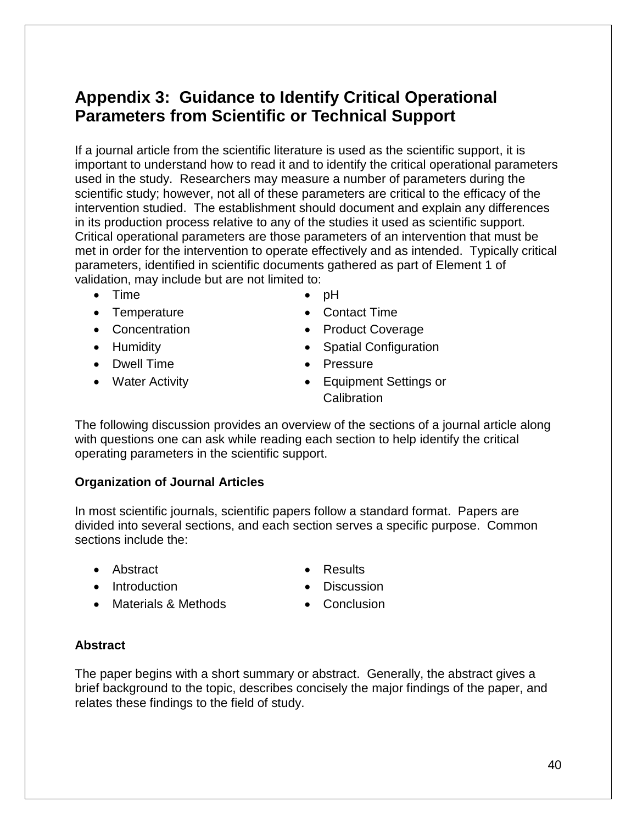## <span id="page-42-0"></span>**Appendix 3: Guidance to Identify Critical Operational Parameters from Scientific or Technical Support**

If a journal article from the scientific literature is used as the scientific support, it is important to understand how to read it and to identify the critical operational parameters used in the study. Researchers may measure a number of parameters during the scientific study; however, not all of these parameters are critical to the efficacy of the intervention studied. The establishment should document and explain any differences in its production process relative to any of the studies it used as scientific support. Critical operational parameters are those parameters of an intervention that must be met in order for the intervention to operate effectively and as intended. Typically critical parameters, identified in scientific documents gathered as part of Element 1 of validation, may include but are not limited to:

- Time
- Temperature
- Concentration
- Humidity
- Dwell Time
- Water Activity
- pH
- Contact Time
- Product Coverage
- Spatial Configuration
- Pressure
- Equipment Settings or **Calibration**

The following discussion provides an overview of the sections of a journal article along with questions one can ask while reading each section to help identify the critical operating parameters in the scientific support.

#### **Organization of Journal Articles**

In most scientific journals, scientific papers follow a standard format. Papers are divided into several sections, and each section serves a specific purpose. Common sections include the:

• Abstract

• Results

• Introduction

• Materials & Methods

• Discussion • Conclusion

- 
- **Abstract**

The paper begins with a short summary or abstract. Generally, the abstract gives a brief background to the topic, describes concisely the major findings of the paper, and relates these findings to the field of study.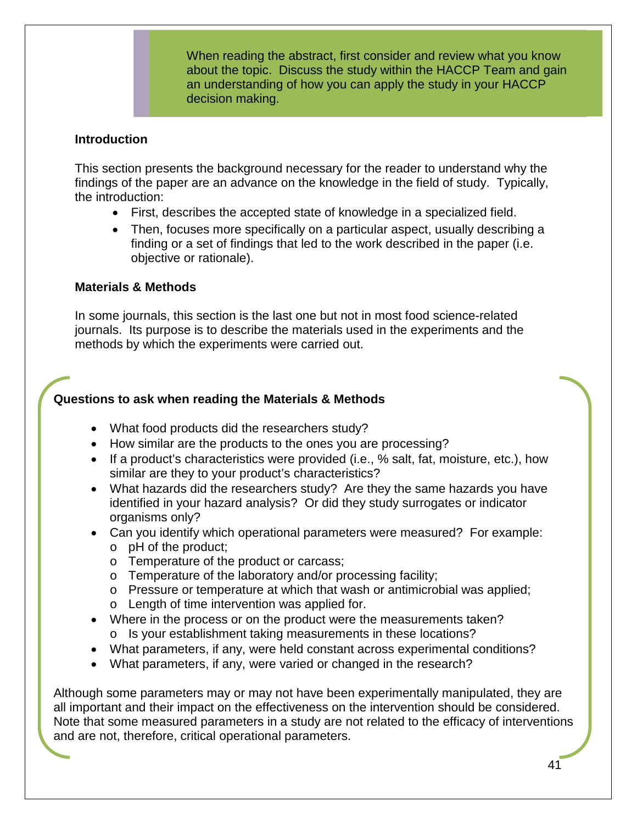When reading the abstract, first consider and review what you know about the topic. Discuss the study within the HACCP Team and gain an understanding of how you can apply the study in your HACCP decision making.

#### **Introduction**

This section presents the background necessary for the reader to understand why the findings of the paper are an advance on the knowledge in the field of study. Typically, the introduction:

- First, describes the accepted state of knowledge in a specialized field.
- Then, focuses more specifically on a particular aspect, usually describing a finding or a set of findings that led to the work described in the paper (i.e. objective or rationale).

#### **Materials & Methods**

In some journals, this section is the last one but not in most food science-related journals.Its purpose is to describe the materials used in the experiments and the methods by which the experiments were carried out.

#### **Questions to ask when reading the Materials & Methods**

- What food products did the researchers study?
- How similar are the products to the ones you are processing?
- If a product's characteristics were provided (i.e., % salt, fat, moisture, etc.), how similar are they to your product's characteristics?
- What hazards did the researchers study? Are they the same hazards you have identified in your hazard analysis? Or did they study surrogates or indicator organisms only?
- Can you identify which operational parameters were measured? For example: o pH of the product;
	- o Temperature of the product or carcass;
	- o Temperature of the laboratory and/or processing facility;
	- o Pressure or temperature at which that wash or antimicrobial was applied;
	- o Length of time intervention was applied for.
- Where in the process or on the product were the measurements taken? o Is your establishment taking measurements in these locations?
- What parameters, if any, were held constant across experimental conditions?
- What parameters, if any, were varied or changed in the research?

Although some parameters may or may not have been experimentally manipulated, they are all important and their impact on the effectiveness on the intervention should be considered. Note that some measured parameters in a study are not related to the efficacy of interventions and are not, therefore, critical operational parameters.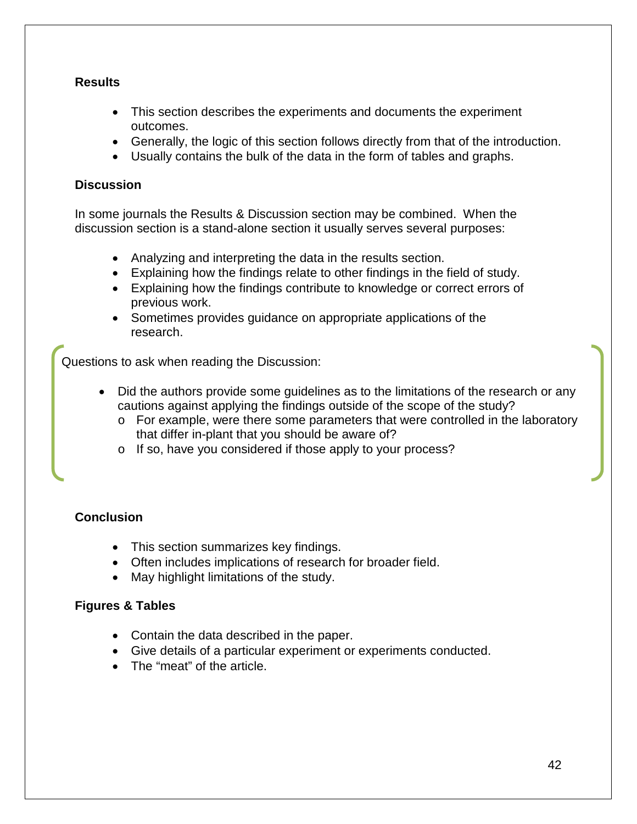#### **Results**

- This section describes the experiments and documents the experiment outcomes.
- Generally, the logic of this section follows directly from that of the introduction.
- Usually contains the bulk of the data in the form of tables and graphs.

#### **Discussion**

In some journals the Results & Discussion section may be combined. When the discussion section is a stand-alone section it usually serves several purposes:

- Analyzing and interpreting the data in the results section.
- Explaining how the findings relate to other findings in the field of study.
- Explaining how the findings contribute to knowledge or correct errors of previous work.
- Sometimes provides guidance on appropriate applications of the research.

Questions to ask when reading the Discussion:

- Did the authors provide some guidelines as to the limitations of the research or any cautions against applying the findings outside of the scope of the study?
	- o For example, were there some parameters that were controlled in the laboratory that differ in-plant that you should be aware of?
	- o If so, have you considered if those apply to your process?

### **Conclusion**

- This section summarizes key findings.
- Often includes implications of research for broader field.
- May highlight limitations of the study.

#### **Figures & Tables**

- Contain the data described in the paper.
- Give details of a particular experiment or experiments conducted.
- The "meat" of the article.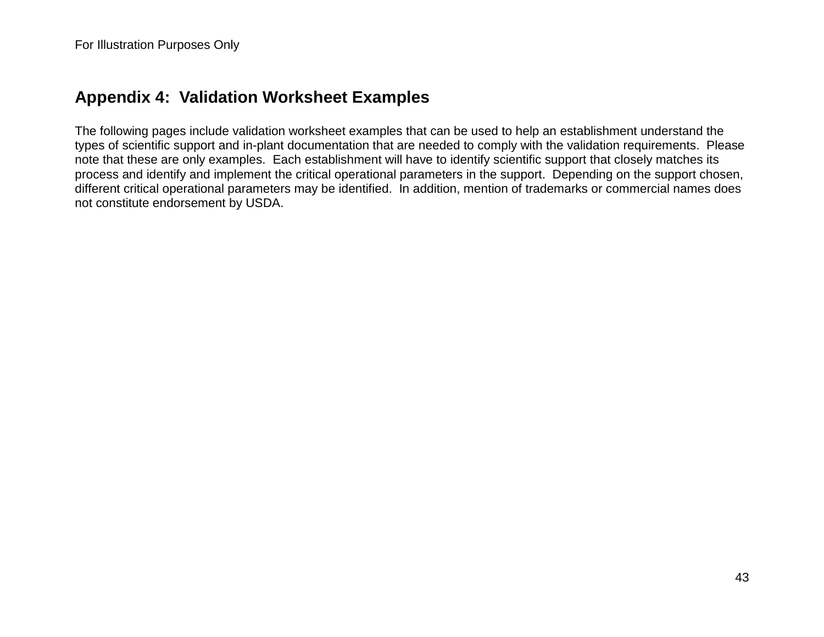## **Appendix 4: Validation Worksheet Examples**

<span id="page-45-0"></span>The following pages include validation worksheet examples that can be used to help an establishment understand the types of scientific support and in-plant documentation that are needed to comply with the validation requirements. Please note that these are only examples. Each establishment will have to identify scientific support that closely matches its process and identify and implement the critical operational parameters in the support. Depending on the support chosen, different critical operational parameters may be identified. In addition, mention of trademarks or commercial names does not constitute endorsement by USDA.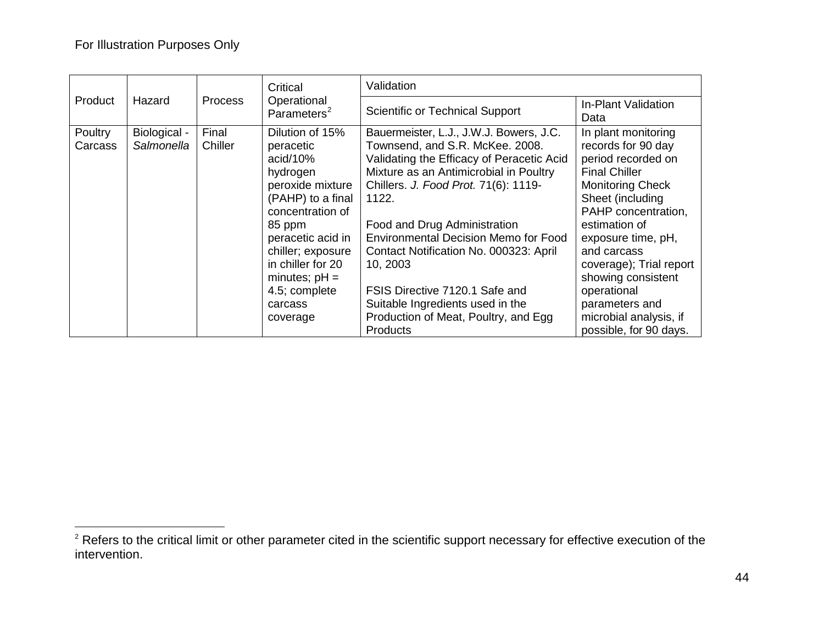<span id="page-46-0"></span>

| <b>Product</b><br>Hazard |                            |                  | Critical                                                                                                                                                                                                                                              | Validation                                                                                                                                                                                                                                                                                                                                                                                                                                                                               |                                                                                                                                                                                                                                                                                                                                                           |  |
|--------------------------|----------------------------|------------------|-------------------------------------------------------------------------------------------------------------------------------------------------------------------------------------------------------------------------------------------------------|------------------------------------------------------------------------------------------------------------------------------------------------------------------------------------------------------------------------------------------------------------------------------------------------------------------------------------------------------------------------------------------------------------------------------------------------------------------------------------------|-----------------------------------------------------------------------------------------------------------------------------------------------------------------------------------------------------------------------------------------------------------------------------------------------------------------------------------------------------------|--|
|                          |                            | <b>Process</b>   | Operational<br>Parameters <sup>2</sup>                                                                                                                                                                                                                | <b>Scientific or Technical Support</b>                                                                                                                                                                                                                                                                                                                                                                                                                                                   | <b>In-Plant Validation</b><br>Data                                                                                                                                                                                                                                                                                                                        |  |
| Poultry<br>Carcass       | Biological -<br>Salmonella | Final<br>Chiller | Dilution of 15%<br>peracetic<br>acid/10%<br>hydrogen<br>peroxide mixture<br>(PAHP) to a final<br>concentration of<br>85 ppm<br>peracetic acid in<br>chiller; exposure<br>in chiller for 20<br>minutes; $pH =$<br>4.5; complete<br>carcass<br>coverage | Bauermeister, L.J., J.W.J. Bowers, J.C.<br>Townsend, and S.R. McKee. 2008.<br>Validating the Efficacy of Peracetic Acid<br>Mixture as an Antimicrobial in Poultry<br>Chillers. J. Food Prot. 71(6): 1119-<br>1122.<br>Food and Drug Administration<br><b>Environmental Decision Memo for Food</b><br>Contact Notification No. 000323: April<br>10, 2003<br>FSIS Directive 7120.1 Safe and<br>Suitable Ingredients used in the<br>Production of Meat, Poultry, and Egg<br><b>Products</b> | In plant monitoring<br>records for 90 day<br>period recorded on<br><b>Final Chiller</b><br><b>Monitoring Check</b><br>Sheet (including<br>PAHP concentration,<br>estimation of<br>exposure time, pH,<br>and carcass<br>coverage); Trial report<br>showing consistent<br>operational<br>parameters and<br>microbial analysis, if<br>possible, for 90 days. |  |

 $2$  Refers to the critical limit or other parameter cited in the scientific support necessary for effective execution of the intervention.  $\overline{a}$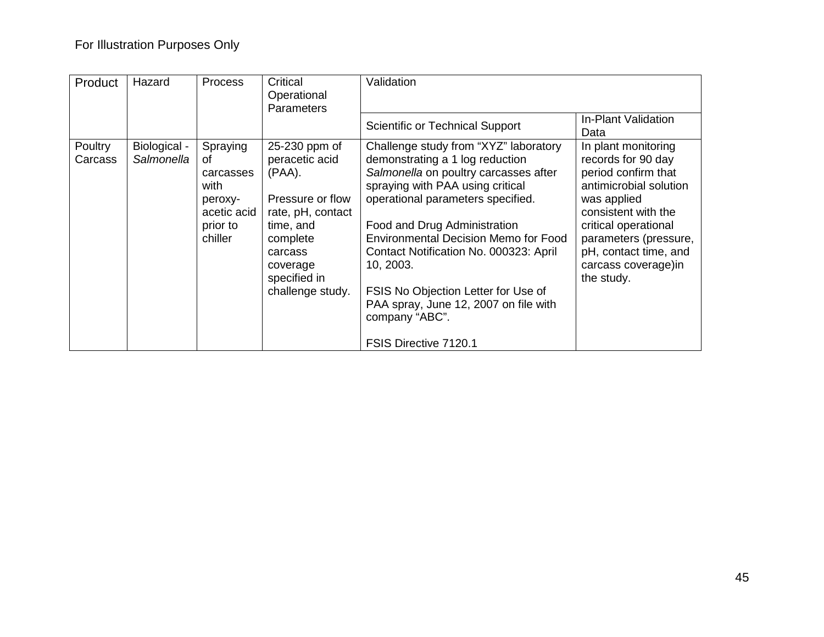| Product                   | Hazard                     | <b>Process</b>                                                                       | Critical<br>Operational<br><b>Parameters</b>                                                                                                                              | Validation                                                                                                                                                                                                                                                                                                                                                                                                                                                  |                                                                                                                                                                                                                                                  |
|---------------------------|----------------------------|--------------------------------------------------------------------------------------|---------------------------------------------------------------------------------------------------------------------------------------------------------------------------|-------------------------------------------------------------------------------------------------------------------------------------------------------------------------------------------------------------------------------------------------------------------------------------------------------------------------------------------------------------------------------------------------------------------------------------------------------------|--------------------------------------------------------------------------------------------------------------------------------------------------------------------------------------------------------------------------------------------------|
|                           |                            |                                                                                      |                                                                                                                                                                           | Scientific or Technical Support                                                                                                                                                                                                                                                                                                                                                                                                                             | In-Plant Validation<br>Data                                                                                                                                                                                                                      |
| <b>Poultry</b><br>Carcass | Biological -<br>Salmonella | Spraying<br>οf<br>carcasses<br>with<br>peroxy-<br>acetic acid<br>prior to<br>chiller | 25-230 ppm of<br>peracetic acid<br>$(PAA)$ .<br>Pressure or flow<br>rate, pH, contact<br>time, and<br>complete<br>carcass<br>coverage<br>specified in<br>challenge study. | Challenge study from "XYZ" laboratory<br>demonstrating a 1 log reduction<br>Salmonella on poultry carcasses after<br>spraying with PAA using critical<br>operational parameters specified.<br>Food and Drug Administration<br><b>Environmental Decision Memo for Food</b><br>Contact Notification No. 000323: April<br>10, 2003.<br>FSIS No Objection Letter for Use of<br>PAA spray, June 12, 2007 on file with<br>company "ABC".<br>FSIS Directive 7120.1 | In plant monitoring<br>records for 90 day<br>period confirm that<br>antimicrobial solution<br>was applied<br>consistent with the<br>critical operational<br>parameters (pressure,<br>pH, contact time, and<br>carcass coverage) in<br>the study. |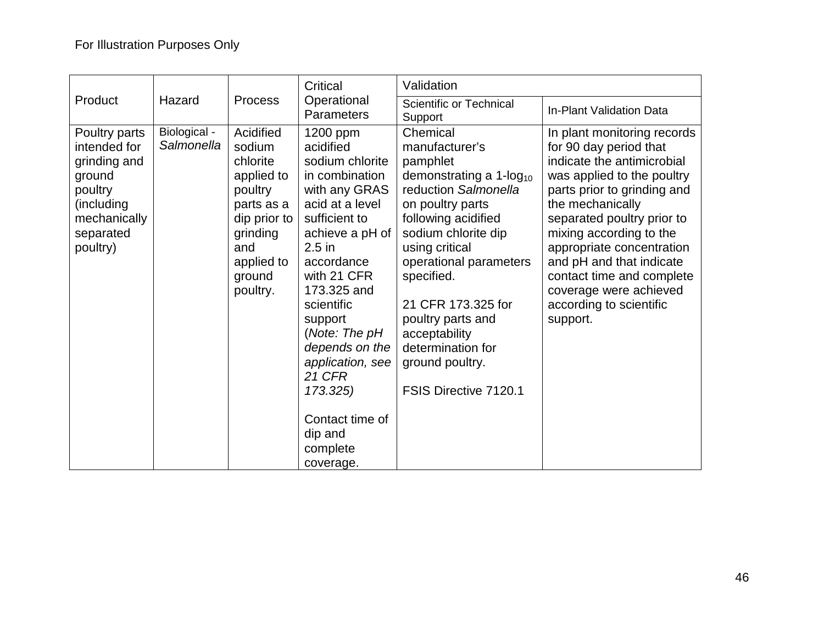|                                                                                                                           |                            |                                                                                                                                               | Critical                                                                                                                                                                                                                                                                                                                                                         | Validation                                                                                                                                                                                                                                                                                                                                                        |                                                                                                                                                                                                                                                                                                                                                                                      |
|---------------------------------------------------------------------------------------------------------------------------|----------------------------|-----------------------------------------------------------------------------------------------------------------------------------------------|------------------------------------------------------------------------------------------------------------------------------------------------------------------------------------------------------------------------------------------------------------------------------------------------------------------------------------------------------------------|-------------------------------------------------------------------------------------------------------------------------------------------------------------------------------------------------------------------------------------------------------------------------------------------------------------------------------------------------------------------|--------------------------------------------------------------------------------------------------------------------------------------------------------------------------------------------------------------------------------------------------------------------------------------------------------------------------------------------------------------------------------------|
| Product                                                                                                                   | Hazard                     | <b>Process</b>                                                                                                                                | Operational<br><b>Parameters</b>                                                                                                                                                                                                                                                                                                                                 | <b>Scientific or Technical</b><br>Support                                                                                                                                                                                                                                                                                                                         | <b>In-Plant Validation Data</b>                                                                                                                                                                                                                                                                                                                                                      |
| Poultry parts<br>intended for<br>grinding and<br>ground<br>poultry<br>(including<br>mechanically<br>separated<br>poultry) | Biological -<br>Salmonella | Acidified<br>sodium<br>chlorite<br>applied to<br>poultry<br>parts as a<br>dip prior to<br>grinding<br>and<br>applied to<br>ground<br>poultry. | 1200 ppm<br>acidified<br>sodium chlorite<br>in combination<br>with any GRAS<br>acid at a level<br>sufficient to<br>achieve a pH of<br>$2.5$ in<br>accordance<br>with 21 CFR<br>173.325 and<br>scientific<br>support<br>(Note: The $pH$<br>depends on the<br>application, see<br><b>21 CFR</b><br>173.325)<br>Contact time of<br>dip and<br>complete<br>coverage. | Chemical<br>manufacturer's<br>pamphlet<br>demonstrating a $1$ -log <sub>10</sub><br>reduction Salmonella<br>on poultry parts<br>following acidified<br>sodium chlorite dip<br>using critical<br>operational parameters<br>specified.<br>21 CFR 173.325 for<br>poultry parts and<br>acceptability<br>determination for<br>ground poultry.<br>FSIS Directive 7120.1 | In plant monitoring records<br>for 90 day period that<br>indicate the antimicrobial<br>was applied to the poultry<br>parts prior to grinding and<br>the mechanically<br>separated poultry prior to<br>mixing according to the<br>appropriate concentration<br>and pH and that indicate<br>contact time and complete<br>coverage were achieved<br>according to scientific<br>support. |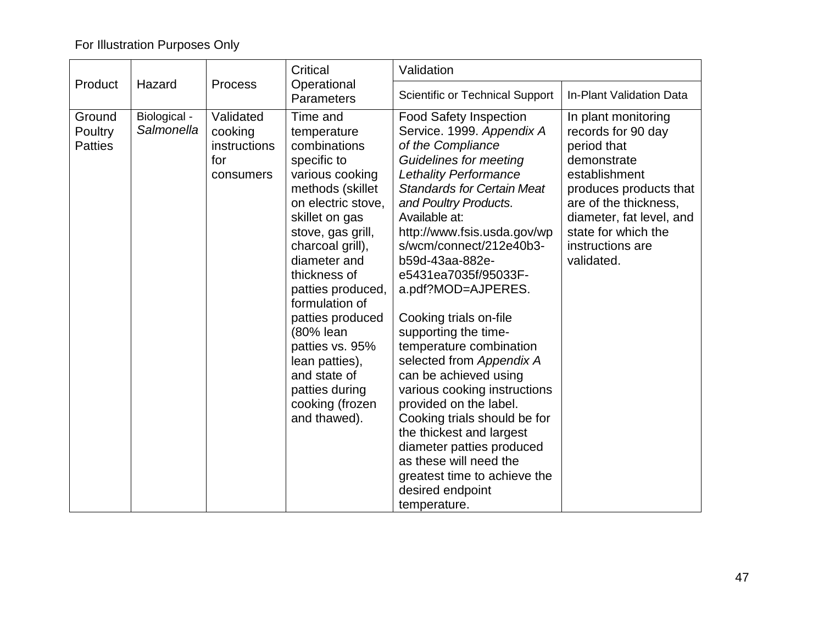## For Illustration Purposes Only

|                                     |                            | <b>Process</b>                                           | Critical                                                                                                                                                                                                                                                                                                                                                                                         | Validation                                                                                                                                                                                                                                                                                                                                                                                                                                                                                                                                                                                                                                                                                                                                    |                                                                                                                                                                                                                                  |
|-------------------------------------|----------------------------|----------------------------------------------------------|--------------------------------------------------------------------------------------------------------------------------------------------------------------------------------------------------------------------------------------------------------------------------------------------------------------------------------------------------------------------------------------------------|-----------------------------------------------------------------------------------------------------------------------------------------------------------------------------------------------------------------------------------------------------------------------------------------------------------------------------------------------------------------------------------------------------------------------------------------------------------------------------------------------------------------------------------------------------------------------------------------------------------------------------------------------------------------------------------------------------------------------------------------------|----------------------------------------------------------------------------------------------------------------------------------------------------------------------------------------------------------------------------------|
| Product                             | Hazard                     |                                                          | Operational<br>Parameters                                                                                                                                                                                                                                                                                                                                                                        | Scientific or Technical Support                                                                                                                                                                                                                                                                                                                                                                                                                                                                                                                                                                                                                                                                                                               | In-Plant Validation Data                                                                                                                                                                                                         |
| Ground<br>Poultry<br><b>Patties</b> | Biological -<br>Salmonella | Validated<br>cooking<br>instructions<br>for<br>consumers | Time and<br>temperature<br>combinations<br>specific to<br>various cooking<br>methods (skillet<br>on electric stove.<br>skillet on gas<br>stove, gas grill,<br>charcoal grill),<br>diameter and<br>thickness of<br>patties produced,<br>formulation of<br>patties produced<br>(80% lean<br>patties vs. 95%<br>lean patties),<br>and state of<br>patties during<br>cooking (frozen<br>and thawed). | <b>Food Safety Inspection</b><br>Service. 1999. Appendix A<br>of the Compliance<br><b>Guidelines for meeting</b><br><b>Lethality Performance</b><br><b>Standards for Certain Meat</b><br>and Poultry Products.<br>Available at:<br>http://www.fsis.usda.gov/wp<br>s/wcm/connect/212e40b3-<br>b59d-43aa-882e-<br>e5431ea7035f/95033F-<br>a.pdf?MOD=AJPERES.<br>Cooking trials on-file<br>supporting the time-<br>temperature combination<br>selected from Appendix A<br>can be achieved using<br>various cooking instructions<br>provided on the label.<br>Cooking trials should be for<br>the thickest and largest<br>diameter patties produced<br>as these will need the<br>greatest time to achieve the<br>desired endpoint<br>temperature. | In plant monitoring<br>records for 90 day<br>period that<br>demonstrate<br>establishment<br>produces products that<br>are of the thickness,<br>diameter, fat level, and<br>state for which the<br>instructions are<br>validated. |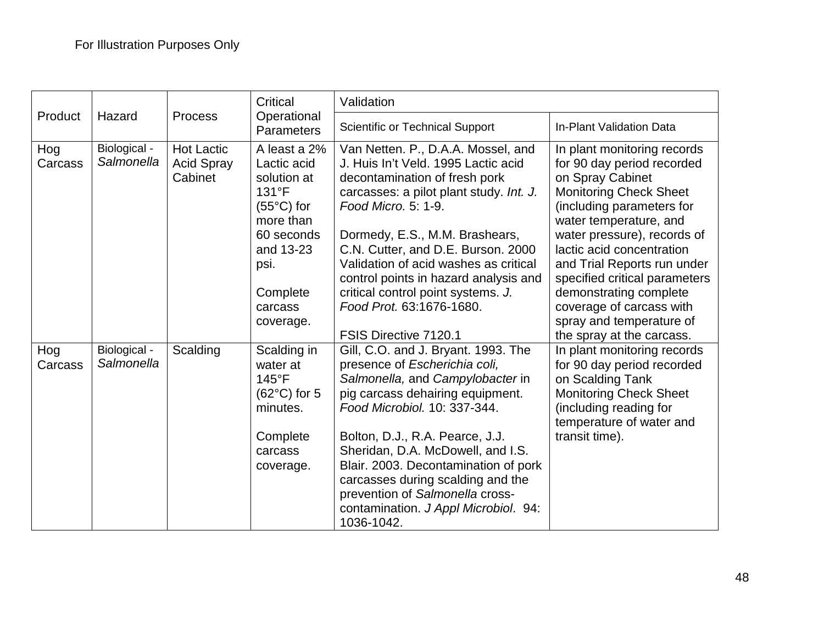|                |                            |                                                   | Critical                                                                                                                                                       | Validation                                                                                                                                                                                                                                                                                                                                                                                                                        |                                                                                                                                                                                                                                                                                                                                                                                                                  |
|----------------|----------------------------|---------------------------------------------------|----------------------------------------------------------------------------------------------------------------------------------------------------------------|-----------------------------------------------------------------------------------------------------------------------------------------------------------------------------------------------------------------------------------------------------------------------------------------------------------------------------------------------------------------------------------------------------------------------------------|------------------------------------------------------------------------------------------------------------------------------------------------------------------------------------------------------------------------------------------------------------------------------------------------------------------------------------------------------------------------------------------------------------------|
| Product        | Hazard                     | <b>Process</b>                                    | Operational<br>Parameters                                                                                                                                      | <b>Scientific or Technical Support</b>                                                                                                                                                                                                                                                                                                                                                                                            | In-Plant Validation Data                                                                                                                                                                                                                                                                                                                                                                                         |
| Hog<br>Carcass | Biological -<br>Salmonella | <b>Hot Lactic</b><br><b>Acid Spray</b><br>Cabinet | A least a 2%<br>Lactic acid<br>solution at<br>131°F<br>$(55^{\circ}C)$ for<br>more than<br>60 seconds<br>and 13-23<br>psi.<br>Complete<br>carcass<br>coverage. | Van Netten. P., D.A.A. Mossel, and<br>J. Huis In't Veld. 1995 Lactic acid<br>decontamination of fresh pork<br>carcasses: a pilot plant study. Int. J.<br>Food Micro, 5: 1-9.<br>Dormedy, E.S., M.M. Brashears,<br>C.N. Cutter, and D.E. Burson. 2000<br>Validation of acid washes as critical<br>control points in hazard analysis and<br>critical control point systems. J.<br>Food Prot. 63:1676-1680.<br>FSIS Directive 7120.1 | In plant monitoring records<br>for 90 day period recorded<br>on Spray Cabinet<br><b>Monitoring Check Sheet</b><br>(including parameters for<br>water temperature, and<br>water pressure), records of<br>lactic acid concentration<br>and Trial Reports run under<br>specified critical parameters<br>demonstrating complete<br>coverage of carcass with<br>spray and temperature of<br>the spray at the carcass. |
| Hog<br>Carcass | Biological -<br>Salmonella | Scalding                                          | Scalding in<br>water at<br>$145^{\circ}$ F<br>$(62^{\circ}C)$ for 5<br>minutes.<br>Complete<br>carcass<br>coverage.                                            | Gill, C.O. and J. Bryant. 1993. The<br>presence of Escherichia coli,<br>Salmonella, and Campylobacter in<br>pig carcass dehairing equipment.<br>Food Microbiol, 10: 337-344.<br>Bolton, D.J., R.A. Pearce, J.J.<br>Sheridan, D.A. McDowell, and I.S.<br>Blair. 2003. Decontamination of pork<br>carcasses during scalding and the<br>prevention of Salmonella cross-<br>contamination. J Appl Microbiol. 94:<br>1036-1042.        | In plant monitoring records<br>for 90 day period recorded<br>on Scalding Tank<br><b>Monitoring Check Sheet</b><br>(including reading for<br>temperature of water and<br>transit time).                                                                                                                                                                                                                           |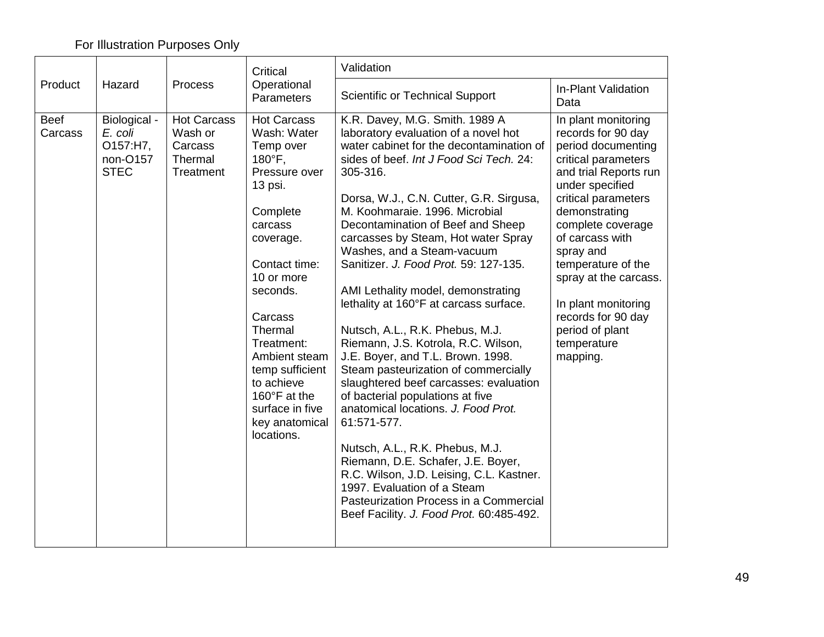## For Illustration Purposes Only

| Validation<br>Critical |                                                                |                                                                  |                                                                                                                                                                                                                                                                                                                              |                                                                                                                                                                                                                                                                                                                                                                                                                                                                                                                                                                                                                                                                                                                                                                                                                                                                                                                                                                                                                                |                                                                                                                                                                                                                                                                                                                                                                           |  |
|------------------------|----------------------------------------------------------------|------------------------------------------------------------------|------------------------------------------------------------------------------------------------------------------------------------------------------------------------------------------------------------------------------------------------------------------------------------------------------------------------------|--------------------------------------------------------------------------------------------------------------------------------------------------------------------------------------------------------------------------------------------------------------------------------------------------------------------------------------------------------------------------------------------------------------------------------------------------------------------------------------------------------------------------------------------------------------------------------------------------------------------------------------------------------------------------------------------------------------------------------------------------------------------------------------------------------------------------------------------------------------------------------------------------------------------------------------------------------------------------------------------------------------------------------|---------------------------------------------------------------------------------------------------------------------------------------------------------------------------------------------------------------------------------------------------------------------------------------------------------------------------------------------------------------------------|--|
| Product                | Hazard<br>Process                                              | Operational<br>Parameters                                        | Scientific or Technical Support                                                                                                                                                                                                                                                                                              | In-Plant Validation<br>Data                                                                                                                                                                                                                                                                                                                                                                                                                                                                                                                                                                                                                                                                                                                                                                                                                                                                                                                                                                                                    |                                                                                                                                                                                                                                                                                                                                                                           |  |
| <b>Beef</b><br>Carcass | Biological -<br>E. coli<br>O157:H7,<br>non-O157<br><b>STEC</b> | <b>Hot Carcass</b><br>Wash or<br>Carcass<br>Thermal<br>Treatment | <b>Hot Carcass</b><br>Wash: Water<br>Temp over<br>180°F,<br>Pressure over<br>13 psi.<br>Complete<br>carcass<br>coverage.<br>Contact time:<br>10 or more<br>seconds.<br>Carcass<br>Thermal<br>Treatment:<br>Ambient steam<br>temp sufficient<br>to achieve<br>160°F at the<br>surface in five<br>key anatomical<br>locations. | K.R. Davey, M.G. Smith. 1989 A<br>laboratory evaluation of a novel hot<br>water cabinet for the decontamination of<br>sides of beef. Int J Food Sci Tech. 24:<br>305-316.<br>Dorsa, W.J., C.N. Cutter, G.R. Sirgusa,<br>M. Koohmaraie. 1996. Microbial<br>Decontamination of Beef and Sheep<br>carcasses by Steam, Hot water Spray<br>Washes, and a Steam-vacuum<br>Sanitizer. J. Food Prot. 59: 127-135.<br>AMI Lethality model, demonstrating<br>lethality at 160°F at carcass surface.<br>Nutsch, A.L., R.K. Phebus, M.J.<br>Riemann, J.S. Kotrola, R.C. Wilson,<br>J.E. Boyer, and T.L. Brown. 1998.<br>Steam pasteurization of commercially<br>slaughtered beef carcasses: evaluation<br>of bacterial populations at five<br>anatomical locations. J. Food Prot.<br>61:571-577.<br>Nutsch, A.L., R.K. Phebus, M.J.<br>Riemann, D.E. Schafer, J.E. Boyer,<br>R.C. Wilson, J.D. Leising, C.L. Kastner.<br>1997. Evaluation of a Steam<br>Pasteurization Process in a Commercial<br>Beef Facility. J. Food Prot. 60:485-492. | In plant monitoring<br>records for 90 day<br>period documenting<br>critical parameters<br>and trial Reports run<br>under specified<br>critical parameters<br>demonstrating<br>complete coverage<br>of carcass with<br>spray and<br>temperature of the<br>spray at the carcass.<br>In plant monitoring<br>records for 90 day<br>period of plant<br>temperature<br>mapping. |  |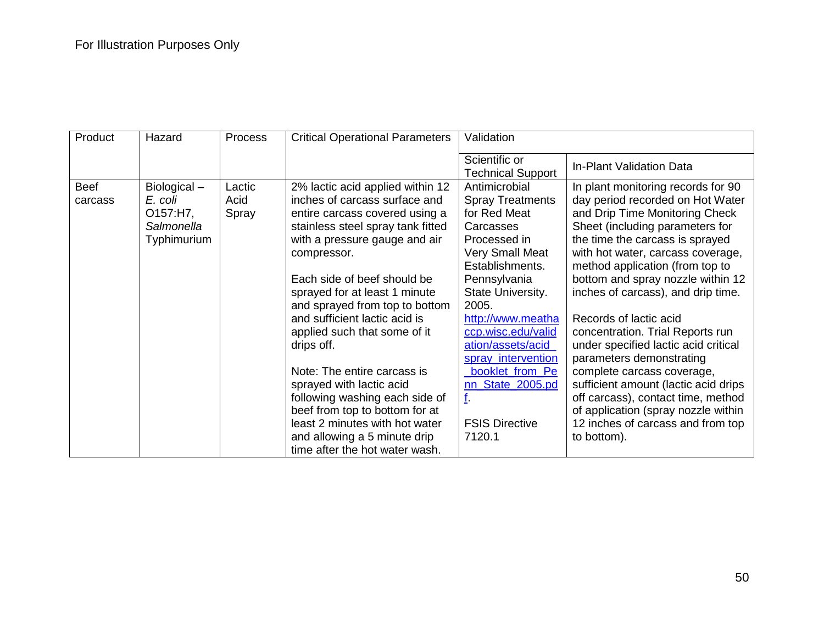| Product                | Hazard                                                          | Process                 | <b>Critical Operational Parameters</b>                                                                                                                                                                                                                                                                                                                                                                                                                                                                                                                                                                       | Validation                                                                                                                                                                                                                                                                                                                                             |                                                                                                                                                                                                                                                                                                                                                                                                                                                                                                                                                                                                                                                                            |
|------------------------|-----------------------------------------------------------------|-------------------------|--------------------------------------------------------------------------------------------------------------------------------------------------------------------------------------------------------------------------------------------------------------------------------------------------------------------------------------------------------------------------------------------------------------------------------------------------------------------------------------------------------------------------------------------------------------------------------------------------------------|--------------------------------------------------------------------------------------------------------------------------------------------------------------------------------------------------------------------------------------------------------------------------------------------------------------------------------------------------------|----------------------------------------------------------------------------------------------------------------------------------------------------------------------------------------------------------------------------------------------------------------------------------------------------------------------------------------------------------------------------------------------------------------------------------------------------------------------------------------------------------------------------------------------------------------------------------------------------------------------------------------------------------------------------|
|                        |                                                                 |                         |                                                                                                                                                                                                                                                                                                                                                                                                                                                                                                                                                                                                              | Scientific or<br><b>Technical Support</b>                                                                                                                                                                                                                                                                                                              | In-Plant Validation Data                                                                                                                                                                                                                                                                                                                                                                                                                                                                                                                                                                                                                                                   |
| <b>Beef</b><br>carcass | Biological-<br>E. coli<br>O157:H7,<br>Salmonella<br>Typhimurium | Lactic<br>Acid<br>Spray | 2% lactic acid applied within 12<br>inches of carcass surface and<br>entire carcass covered using a<br>stainless steel spray tank fitted<br>with a pressure gauge and air<br>compressor.<br>Each side of beef should be<br>sprayed for at least 1 minute<br>and sprayed from top to bottom<br>and sufficient lactic acid is<br>applied such that some of it<br>drips off.<br>Note: The entire carcass is<br>sprayed with lactic acid<br>following washing each side of<br>beef from top to bottom for at<br>least 2 minutes with hot water<br>and allowing a 5 minute drip<br>time after the hot water wash. | Antimicrobial<br><b>Spray Treatments</b><br>for Red Meat<br>Carcasses<br>Processed in<br><b>Very Small Meat</b><br>Establishments.<br>Pennsylvania<br>State University.<br>2005.<br>http://www.meatha<br>ccp.wisc.edu/valid<br>ation/assets/acid<br>spray_intervention<br>booklet_from_Pe<br>nn State 2005.pd<br>f.<br><b>FSIS Directive</b><br>7120.1 | In plant monitoring records for 90<br>day period recorded on Hot Water<br>and Drip Time Monitoring Check<br>Sheet (including parameters for<br>the time the carcass is sprayed<br>with hot water, carcass coverage,<br>method application (from top to<br>bottom and spray nozzle within 12<br>inches of carcass), and drip time.<br>Records of lactic acid<br>concentration. Trial Reports run<br>under specified lactic acid critical<br>parameters demonstrating<br>complete carcass coverage,<br>sufficient amount (lactic acid drips<br>off carcass), contact time, method<br>of application (spray nozzle within<br>12 inches of carcass and from top<br>to bottom). |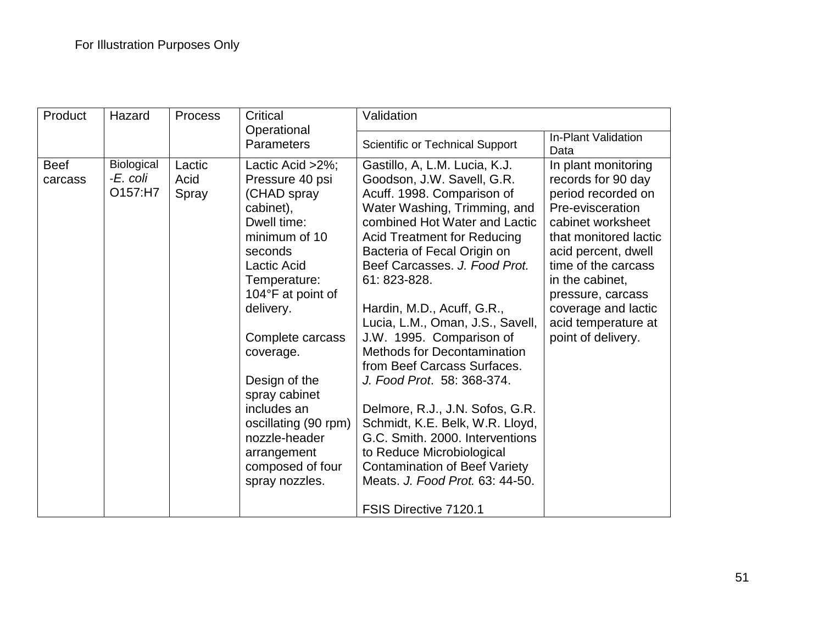| Product<br>Hazard      |                                   | <b>Process</b>          | Critical                                                                                                                                                                                                                                                                                                                                                        | Validation                                                                                                                                                                                                                                                                                                                                                                                                                                                                                                                                                                                                                                                                                                                  |                                                                                                                                                                                                                                                                                             |  |
|------------------------|-----------------------------------|-------------------------|-----------------------------------------------------------------------------------------------------------------------------------------------------------------------------------------------------------------------------------------------------------------------------------------------------------------------------------------------------------------|-----------------------------------------------------------------------------------------------------------------------------------------------------------------------------------------------------------------------------------------------------------------------------------------------------------------------------------------------------------------------------------------------------------------------------------------------------------------------------------------------------------------------------------------------------------------------------------------------------------------------------------------------------------------------------------------------------------------------------|---------------------------------------------------------------------------------------------------------------------------------------------------------------------------------------------------------------------------------------------------------------------------------------------|--|
|                        |                                   |                         | Operational<br><b>Parameters</b>                                                                                                                                                                                                                                                                                                                                | <b>Scientific or Technical Support</b>                                                                                                                                                                                                                                                                                                                                                                                                                                                                                                                                                                                                                                                                                      | In-Plant Validation<br>Data                                                                                                                                                                                                                                                                 |  |
| <b>Beef</b><br>carcass | Biological<br>-E. coli<br>O157:H7 | Lactic<br>Acid<br>Spray | Lactic Acid $>2\%$ ;<br>Pressure 40 psi<br>(CHAD spray<br>cabinet),<br>Dwell time:<br>minimum of 10<br>seconds<br>Lactic Acid<br>Temperature:<br>104°F at point of<br>delivery.<br>Complete carcass<br>coverage.<br>Design of the<br>spray cabinet<br>includes an<br>oscillating (90 rpm)<br>nozzle-header<br>arrangement<br>composed of four<br>spray nozzles. | Gastillo, A, L.M. Lucia, K.J.<br>Goodson, J.W. Savell, G.R.<br>Acuff. 1998. Comparison of<br>Water Washing, Trimming, and<br>combined Hot Water and Lactic<br><b>Acid Treatment for Reducing</b><br>Bacteria of Fecal Origin on<br>Beef Carcasses. J. Food Prot.<br>61: 823-828.<br>Hardin, M.D., Acuff, G.R.,<br>Lucia, L.M., Oman, J.S., Savell,<br>J.W. 1995. Comparison of<br><b>Methods for Decontamination</b><br>from Beef Carcass Surfaces.<br>J. Food Prot. 58: 368-374.<br>Delmore, R.J., J.N. Sofos, G.R.<br>Schmidt, K.E. Belk, W.R. Lloyd,<br>G.C. Smith. 2000. Interventions<br>to Reduce Microbiological<br><b>Contamination of Beef Variety</b><br>Meats. J. Food Prot. 63: 44-50.<br>FSIS Directive 7120.1 | In plant monitoring<br>records for 90 day<br>period recorded on<br>Pre-evisceration<br>cabinet worksheet<br>that monitored lactic<br>acid percent, dwell<br>time of the carcass<br>in the cabinet,<br>pressure, carcass<br>coverage and lactic<br>acid temperature at<br>point of delivery. |  |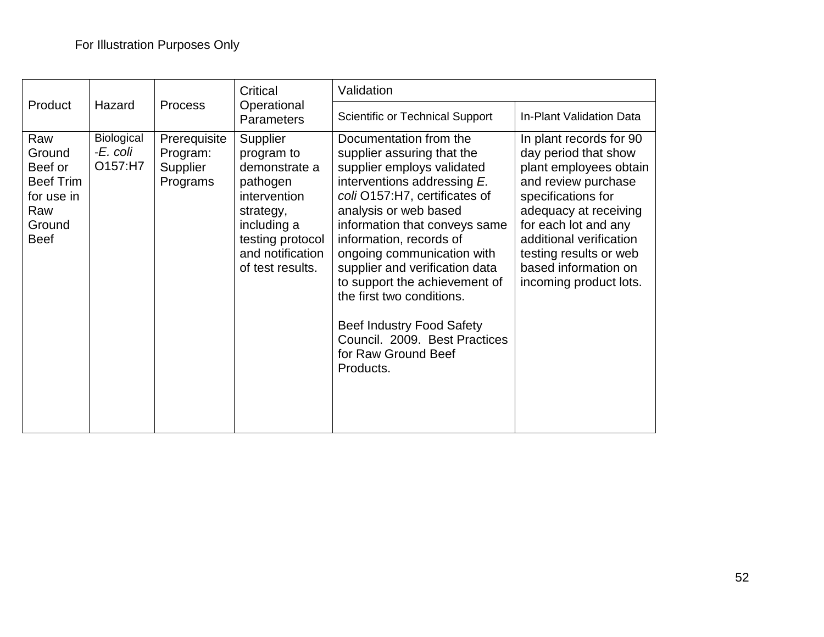|                                                                                            |                                   |                                                  | Critical                                                                                                                                                    | Validation                                                                                                                                                                                                                                                                                                                                                                                                                                                                     |                                                                                                                                                                                                                                                                                |  |
|--------------------------------------------------------------------------------------------|-----------------------------------|--------------------------------------------------|-------------------------------------------------------------------------------------------------------------------------------------------------------------|--------------------------------------------------------------------------------------------------------------------------------------------------------------------------------------------------------------------------------------------------------------------------------------------------------------------------------------------------------------------------------------------------------------------------------------------------------------------------------|--------------------------------------------------------------------------------------------------------------------------------------------------------------------------------------------------------------------------------------------------------------------------------|--|
| Product                                                                                    | Hazard<br><b>Process</b>          | Operational<br><b>Parameters</b>                 | <b>Scientific or Technical Support</b>                                                                                                                      | In-Plant Validation Data                                                                                                                                                                                                                                                                                                                                                                                                                                                       |                                                                                                                                                                                                                                                                                |  |
| Raw<br>Ground<br>Beef or<br><b>Beef Trim</b><br>for use in<br>Raw<br>Ground<br><b>Beef</b> | Biological<br>-E. coli<br>O157:H7 | Prerequisite<br>Program:<br>Supplier<br>Programs | Supplier<br>program to<br>demonstrate a<br>pathogen<br>intervention<br>strategy,<br>including a<br>testing protocol<br>and notification<br>of test results. | Documentation from the<br>supplier assuring that the<br>supplier employs validated<br>interventions addressing E.<br>coli O157:H7, certificates of<br>analysis or web based<br>information that conveys same<br>information, records of<br>ongoing communication with<br>supplier and verification data<br>to support the achievement of<br>the first two conditions.<br><b>Beef Industry Food Safety</b><br>Council. 2009. Best Practices<br>for Raw Ground Beef<br>Products. | In plant records for 90<br>day period that show<br>plant employees obtain<br>and review purchase<br>specifications for<br>adequacy at receiving<br>for each lot and any<br>additional verification<br>testing results or web<br>based information on<br>incoming product lots. |  |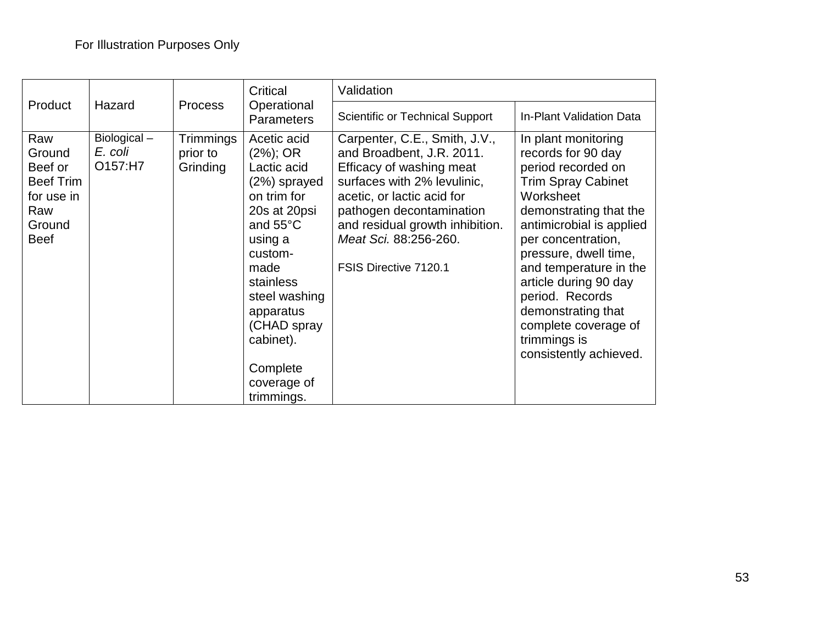|                                                                                            |                                   |                                   | Critical                                                                                                                                                                                                                                              | Validation                                                                                                                                                                                                                                                           |                                                                                                                                                                                                                                                                                                                                                                              |  |
|--------------------------------------------------------------------------------------------|-----------------------------------|-----------------------------------|-------------------------------------------------------------------------------------------------------------------------------------------------------------------------------------------------------------------------------------------------------|----------------------------------------------------------------------------------------------------------------------------------------------------------------------------------------------------------------------------------------------------------------------|------------------------------------------------------------------------------------------------------------------------------------------------------------------------------------------------------------------------------------------------------------------------------------------------------------------------------------------------------------------------------|--|
| Product                                                                                    | Hazard                            | <b>Process</b>                    | Operational<br><b>Parameters</b>                                                                                                                                                                                                                      | <b>Scientific or Technical Support</b>                                                                                                                                                                                                                               | In-Plant Validation Data                                                                                                                                                                                                                                                                                                                                                     |  |
| Raw<br>Ground<br>Beef or<br><b>Beef Trim</b><br>for use in<br>Raw<br>Ground<br><b>Beef</b> | Biological-<br>E. coli<br>O157:H7 | Trimmings<br>prior to<br>Grinding | Acetic acid<br>$(2\%)$ ; OR<br>Lactic acid<br>$(2%)$ sprayed<br>on trim for<br>20s at 20psi<br>and 55°C<br>using a<br>custom-<br>made<br>stainless<br>steel washing<br>apparatus<br>(CHAD spray<br>cabinet).<br>Complete<br>coverage of<br>trimmings. | Carpenter, C.E., Smith, J.V.,<br>and Broadbent, J.R. 2011.<br>Efficacy of washing meat<br>surfaces with 2% levulinic,<br>acetic, or lactic acid for<br>pathogen decontamination<br>and residual growth inhibition.<br>Meat Sci. 88:256-260.<br>FSIS Directive 7120.1 | In plant monitoring<br>records for 90 day<br>period recorded on<br><b>Trim Spray Cabinet</b><br>Worksheet<br>demonstrating that the<br>antimicrobial is applied<br>per concentration,<br>pressure, dwell time,<br>and temperature in the<br>article during 90 day<br>period. Records<br>demonstrating that<br>complete coverage of<br>trimmings is<br>consistently achieved. |  |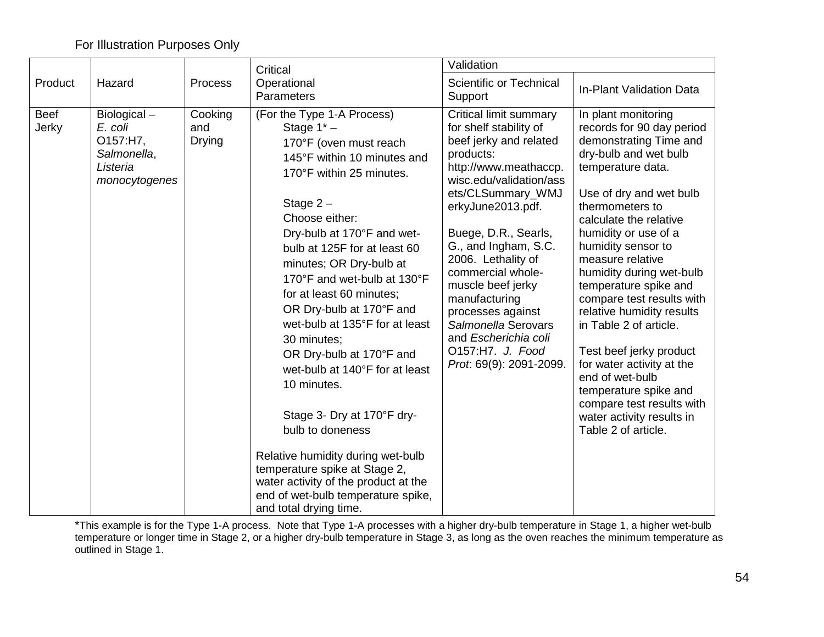### For Illustration Purposes Only

|                      |                                                                                |                                 | Critical                                                                                                                                                                                                                                                                                                                                                                                                                                                                                                                                                                                                                                                                                                        | Validation                                                                                                                                                                                                                                                                                                                                                                                                                                       |                                                                                                                                                                                                                                                                                                                                                                                                                                                                                                                                                                                                  |  |
|----------------------|--------------------------------------------------------------------------------|---------------------------------|-----------------------------------------------------------------------------------------------------------------------------------------------------------------------------------------------------------------------------------------------------------------------------------------------------------------------------------------------------------------------------------------------------------------------------------------------------------------------------------------------------------------------------------------------------------------------------------------------------------------------------------------------------------------------------------------------------------------|--------------------------------------------------------------------------------------------------------------------------------------------------------------------------------------------------------------------------------------------------------------------------------------------------------------------------------------------------------------------------------------------------------------------------------------------------|--------------------------------------------------------------------------------------------------------------------------------------------------------------------------------------------------------------------------------------------------------------------------------------------------------------------------------------------------------------------------------------------------------------------------------------------------------------------------------------------------------------------------------------------------------------------------------------------------|--|
| Product              | Hazard                                                                         | Process                         | Operational<br>Parameters                                                                                                                                                                                                                                                                                                                                                                                                                                                                                                                                                                                                                                                                                       | Scientific or Technical<br>Support                                                                                                                                                                                                                                                                                                                                                                                                               | <b>In-Plant Validation Data</b>                                                                                                                                                                                                                                                                                                                                                                                                                                                                                                                                                                  |  |
| <b>Beef</b><br>Jerky | Biological-<br>E. coli<br>O157:H7,<br>Salmonella,<br>Listeria<br>monocytogenes | Cooking<br>and<br><b>Drying</b> | (For the Type 1-A Process)<br>Stage $1^*$ –<br>170°F (oven must reach<br>145°F within 10 minutes and<br>170°F within 25 minutes.<br>Stage $2 -$<br>Choose either:<br>Dry-bulb at 170°F and wet-<br>bulb at 125F for at least 60<br>minutes; OR Dry-bulb at<br>170°F and wet-bulb at 130°F<br>for at least 60 minutes;<br>OR Dry-bulb at 170°F and<br>wet-bulb at 135°F for at least<br>30 minutes;<br>OR Dry-bulb at 170°F and<br>wet-bulb at 140°F for at least<br>10 minutes.<br>Stage 3- Dry at 170°F dry-<br>bulb to doneness<br>Relative humidity during wet-bulb<br>temperature spike at Stage 2,<br>water activity of the product at the<br>end of wet-bulb temperature spike,<br>and total drying time. | <b>Critical limit summary</b><br>for shelf stability of<br>beef jerky and related<br>products:<br>http://www.meathaccp.<br>wisc.edu/validation/ass<br>ets/CLSummary_WMJ<br>erkyJune2013.pdf.<br>Buege, D.R., Searls,<br>G., and Ingham, S.C.<br>2006. Lethality of<br>commercial whole-<br>muscle beef jerky<br>manufacturing<br>processes against<br>Salmonella Serovars<br>and Escherichia coli<br>O157:H7. J. Food<br>Prot. 69(9): 2091-2099. | In plant monitoring<br>records for 90 day period<br>demonstrating Time and<br>dry-bulb and wet bulb<br>temperature data.<br>Use of dry and wet bulb<br>thermometers to<br>calculate the relative<br>humidity or use of a<br>humidity sensor to<br>measure relative<br>humidity during wet-bulb<br>temperature spike and<br>compare test results with<br>relative humidity results<br>in Table 2 of article.<br>Test beef jerky product<br>for water activity at the<br>end of wet-bulb<br>temperature spike and<br>compare test results with<br>water activity results in<br>Table 2 of article. |  |

\*This example is for the Type 1-A process. Note that Type 1-A processes with a higher dry-bulb temperature in Stage 1, a higher wet-bulb temperature or longer time in Stage 2, or a higher dry-bulb temperature in Stage 3, as long as the oven reaches the minimum temperature as outlined in Stage 1.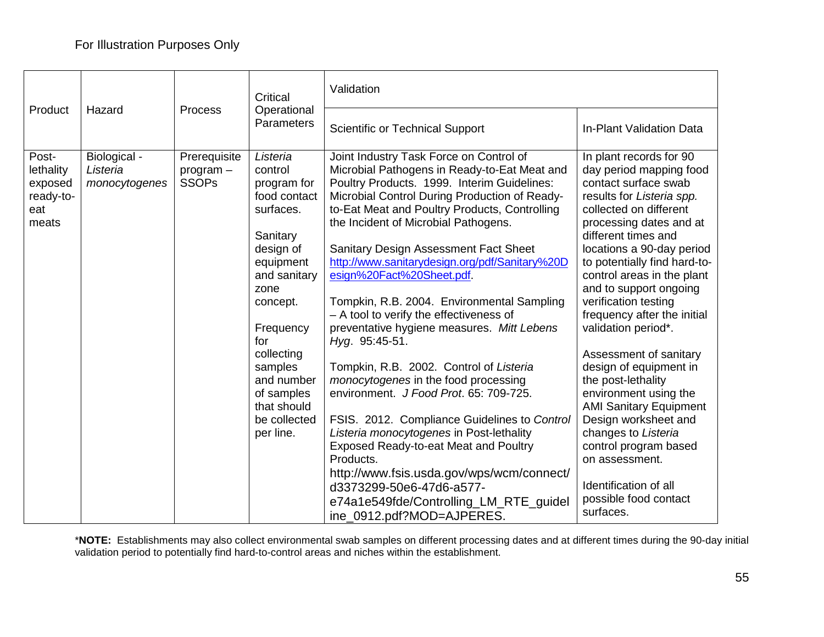|                                                            |                                           |                                           | Critical                                                                                                                                                                                                                                                       | Validation                                                                                                                                                                                                                                                                                                                                                                                                                                                                                                                                                                                                                                                                                                                                                                                                                                                                                                                                                                                       |                                                                                                                                                                                                                                                                                                                                                                                                                                                                                                                                                                                                                                                                                     |  |
|------------------------------------------------------------|-------------------------------------------|-------------------------------------------|----------------------------------------------------------------------------------------------------------------------------------------------------------------------------------------------------------------------------------------------------------------|--------------------------------------------------------------------------------------------------------------------------------------------------------------------------------------------------------------------------------------------------------------------------------------------------------------------------------------------------------------------------------------------------------------------------------------------------------------------------------------------------------------------------------------------------------------------------------------------------------------------------------------------------------------------------------------------------------------------------------------------------------------------------------------------------------------------------------------------------------------------------------------------------------------------------------------------------------------------------------------------------|-------------------------------------------------------------------------------------------------------------------------------------------------------------------------------------------------------------------------------------------------------------------------------------------------------------------------------------------------------------------------------------------------------------------------------------------------------------------------------------------------------------------------------------------------------------------------------------------------------------------------------------------------------------------------------------|--|
| Product<br>Hazard                                          |                                           | <b>Process</b>                            | Operational<br>Parameters                                                                                                                                                                                                                                      | <b>Scientific or Technical Support</b>                                                                                                                                                                                                                                                                                                                                                                                                                                                                                                                                                                                                                                                                                                                                                                                                                                                                                                                                                           | <b>In-Plant Validation Data</b>                                                                                                                                                                                                                                                                                                                                                                                                                                                                                                                                                                                                                                                     |  |
| Post-<br>lethality<br>exposed<br>ready-to-<br>eat<br>meats | Biological -<br>Listeria<br>monocytogenes | Prerequisite<br>program -<br><b>SSOPs</b> | Listeria<br>control<br>program for<br>food contact<br>surfaces.<br>Sanitary<br>design of<br>equipment<br>and sanitary<br>zone<br>concept.<br>Frequency<br>for<br>collecting<br>samples<br>and number<br>of samples<br>that should<br>be collected<br>per line. | Joint Industry Task Force on Control of<br>Microbial Pathogens in Ready-to-Eat Meat and<br>Poultry Products. 1999. Interim Guidelines:<br>Microbial Control During Production of Ready-<br>to-Eat Meat and Poultry Products, Controlling<br>the Incident of Microbial Pathogens.<br>Sanitary Design Assessment Fact Sheet<br>http://www.sanitarydesign.org/pdf/Sanitary%20D<br>esign%20Fact%20Sheet.pdf.<br>Tompkin, R.B. 2004. Environmental Sampling<br>- A tool to verify the effectiveness of<br>preventative hygiene measures. Mitt Lebens<br>Hyg. 95:45-51.<br>Tompkin, R.B. 2002. Control of Listeria<br>monocytogenes in the food processing<br>environment. J Food Prot. 65: 709-725.<br>FSIS. 2012. Compliance Guidelines to Control<br>Listeria monocytogenes in Post-lethality<br>Exposed Ready-to-eat Meat and Poultry<br>Products.<br>http://www.fsis.usda.gov/wps/wcm/connect/<br>d3373299-50e6-47d6-a577-<br>e74a1e549fde/Controlling_LM_RTE_guidel<br>ine_0912.pdf?MOD=AJPERES. | In plant records for 90<br>day period mapping food<br>contact surface swab<br>results for Listeria spp.<br>collected on different<br>processing dates and at<br>different times and<br>locations a 90-day period<br>to potentially find hard-to-<br>control areas in the plant<br>and to support ongoing<br>verification testing<br>frequency after the initial<br>validation period*.<br>Assessment of sanitary<br>design of equipment in<br>the post-lethality<br>environment using the<br><b>AMI Sanitary Equipment</b><br>Design worksheet and<br>changes to Listeria<br>control program based<br>on assessment.<br>Identification of all<br>possible food contact<br>surfaces. |  |

\***NOTE:** Establishments may also collect environmental swab samples on different processing dates and at different times during the 90-day initial validation period to potentially find hard-to-control areas and niches within the establishment.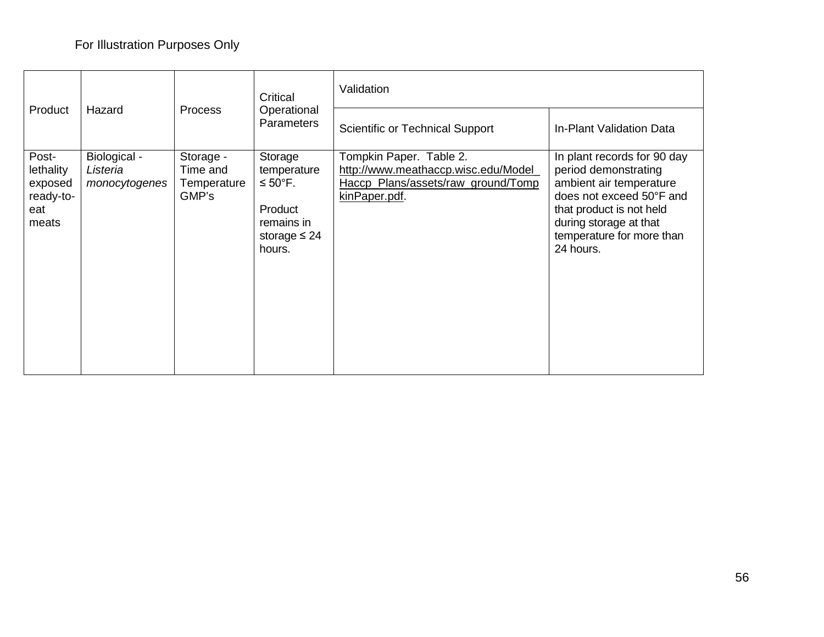|                                                            |                                           |                                               | Critical                                                                                               | Validation                                                                                                             |                                                                                                                                                                                                            |  |
|------------------------------------------------------------|-------------------------------------------|-----------------------------------------------|--------------------------------------------------------------------------------------------------------|------------------------------------------------------------------------------------------------------------------------|------------------------------------------------------------------------------------------------------------------------------------------------------------------------------------------------------------|--|
| Product                                                    | Hazard                                    | <b>Process</b>                                | Operational<br><b>Parameters</b>                                                                       | Scientific or Technical Support                                                                                        | In-Plant Validation Data                                                                                                                                                                                   |  |
| Post-<br>lethality<br>exposed<br>ready-to-<br>eat<br>meats | Biological -<br>Listeria<br>monocytogenes | Storage -<br>Time and<br>Temperature<br>GMP's | Storage<br>temperature<br>$\leq 50^{\circ}$ F.<br>Product<br>remains in<br>storage $\leq 24$<br>hours. | Tompkin Paper. Table 2.<br>http://www.meathaccp.wisc.edu/Model_<br>Haccp Plans/assets/raw ground/Tomp<br>kinPaper.pdf. | In plant records for 90 day<br>period demonstrating<br>ambient air temperature<br>does not exceed 50°F and<br>that product is not held<br>during storage at that<br>temperature for more than<br>24 hours. |  |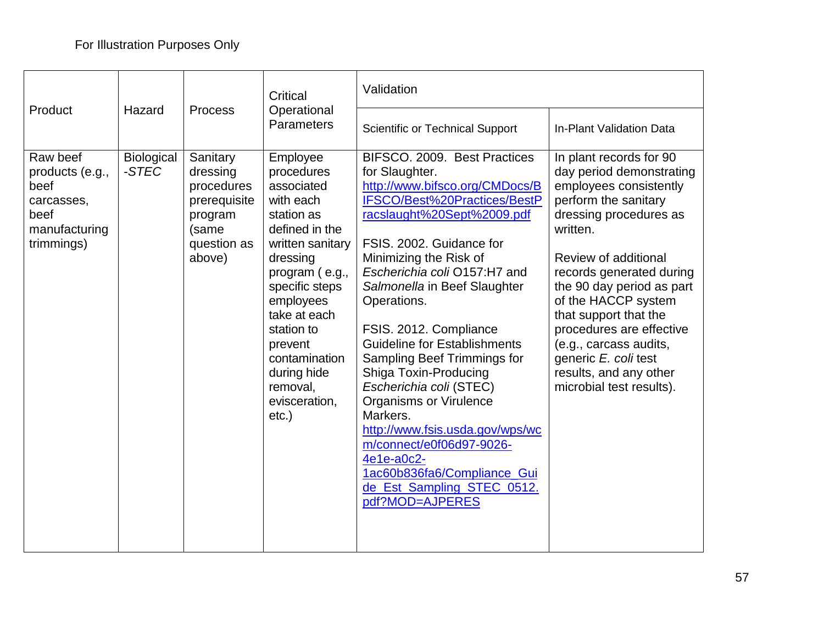|                                                                                          |                            |                                                                                                 | Critical                                                                                                                                                                                                                                                                             | Validation                                                                                                                                                                                                                                                                                                                                                                                                                                                                                                                                                                                                                                        |                                                                                                                                                                                                                                                                                                                                                                                                                  |  |
|------------------------------------------------------------------------------------------|----------------------------|-------------------------------------------------------------------------------------------------|--------------------------------------------------------------------------------------------------------------------------------------------------------------------------------------------------------------------------------------------------------------------------------------|---------------------------------------------------------------------------------------------------------------------------------------------------------------------------------------------------------------------------------------------------------------------------------------------------------------------------------------------------------------------------------------------------------------------------------------------------------------------------------------------------------------------------------------------------------------------------------------------------------------------------------------------------|------------------------------------------------------------------------------------------------------------------------------------------------------------------------------------------------------------------------------------------------------------------------------------------------------------------------------------------------------------------------------------------------------------------|--|
| Product                                                                                  | Hazard                     | <b>Process</b>                                                                                  | Operational<br>Parameters                                                                                                                                                                                                                                                            | <b>Scientific or Technical Support</b>                                                                                                                                                                                                                                                                                                                                                                                                                                                                                                                                                                                                            | In-Plant Validation Data                                                                                                                                                                                                                                                                                                                                                                                         |  |
| Raw beef<br>products (e.g.,<br>beef<br>carcasses,<br>beef<br>manufacturing<br>trimmings) | <b>Biological</b><br>-STEC | Sanitary<br>dressing<br>procedures<br>prerequisite<br>program<br>(same<br>question as<br>above) | Employee<br>procedures<br>associated<br>with each<br>station as<br>defined in the<br>written sanitary<br>dressing<br>program (e.g.,<br>specific steps<br>employees<br>take at each<br>station to<br>prevent<br>contamination<br>during hide<br>removal,<br>evisceration,<br>$etc.$ ) | BIFSCO. 2009. Best Practices<br>for Slaughter.<br>http://www.bifsco.org/CMDocs/B<br>IFSCO/Best%20Practices/BestP<br>racslaught%20Sept%2009.pdf<br>FSIS, 2002. Guidance for<br>Minimizing the Risk of<br>Escherichia coli O157:H7 and<br>Salmonella in Beef Slaughter<br>Operations.<br>FSIS. 2012. Compliance<br><b>Guideline for Establishments</b><br>Sampling Beef Trimmings for<br>Shiga Toxin-Producing<br>Escherichia coli (STEC)<br><b>Organisms or Virulence</b><br>Markers.<br>http://www.fsis.usda.gov/wps/wc<br>m/connect/e0f06d97-9026-<br>4e1e-a0c2-<br>1ac60b836fa6/Compliance_Gui<br>de_Est_Sampling_STEC_0512.<br>pdf?MOD=AJPERES | In plant records for 90<br>day period demonstrating<br>employees consistently<br>perform the sanitary<br>dressing procedures as<br>written.<br>Review of additional<br>records generated during<br>the 90 day period as part<br>of the HACCP system<br>that support that the<br>procedures are effective<br>(e.g., carcass audits,<br>generic E. coli test<br>results, and any other<br>microbial test results). |  |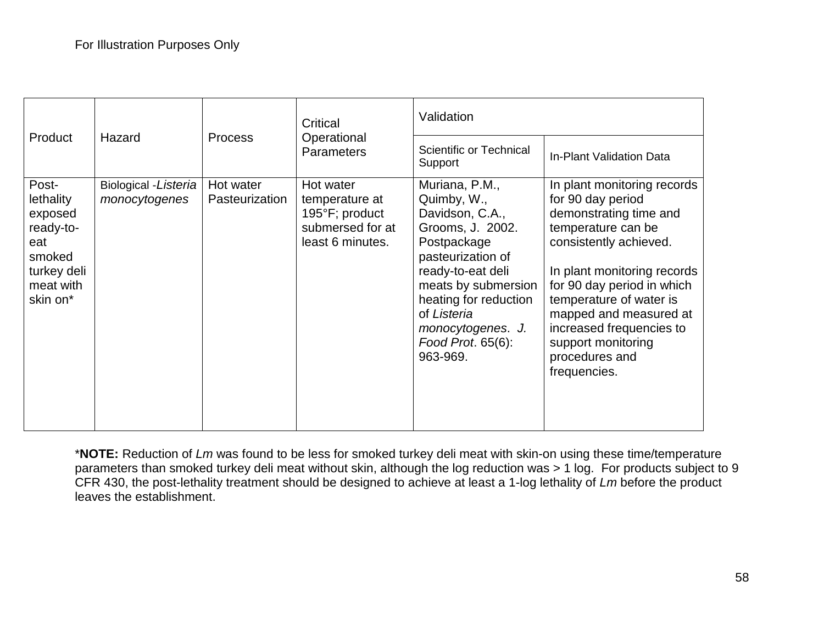|                                                                                                     |                                        |                             | Critical<br>Operational<br><b>Parameters</b>                                          | Validation                                                                                                                                                                                                                                         |                                                                                                                                                                                                                                                                                                                                  |  |
|-----------------------------------------------------------------------------------------------------|----------------------------------------|-----------------------------|---------------------------------------------------------------------------------------|----------------------------------------------------------------------------------------------------------------------------------------------------------------------------------------------------------------------------------------------------|----------------------------------------------------------------------------------------------------------------------------------------------------------------------------------------------------------------------------------------------------------------------------------------------------------------------------------|--|
| Product                                                                                             | Hazard                                 | <b>Process</b>              |                                                                                       | Scientific or Technical<br>Support                                                                                                                                                                                                                 | In-Plant Validation Data                                                                                                                                                                                                                                                                                                         |  |
| Post-<br>lethality<br>exposed<br>ready-to-<br>eat<br>smoked<br>turkey deli<br>meat with<br>skin on* | Biological - Listeria<br>monocytogenes | Hot water<br>Pasteurization | Hot water<br>temperature at<br>195°F; product<br>submersed for at<br>least 6 minutes. | Muriana, P.M.,<br>Quimby, W.,<br>Davidson, C.A.,<br>Grooms, J. 2002.<br>Postpackage<br>pasteurization of<br>ready-to-eat deli<br>meats by submersion<br>heating for reduction<br>of Listeria<br>monocytogenes. J.<br>Food Prot. 65(6):<br>963-969. | In plant monitoring records<br>for 90 day period<br>demonstrating time and<br>temperature can be<br>consistently achieved.<br>In plant monitoring records<br>for 90 day period in which<br>temperature of water is<br>mapped and measured at<br>increased frequencies to<br>support monitoring<br>procedures and<br>frequencies. |  |

\***NOTE:** Reduction of *Lm* was found to be less for smoked turkey deli meat with skin-on using these time/temperature parameters than smoked turkey deli meat without skin, although the log reduction was > 1 log. For products subject to 9 CFR 430, the post-lethality treatment should be designed to achieve at least a 1-log lethality of *Lm* before the product leaves the establishment.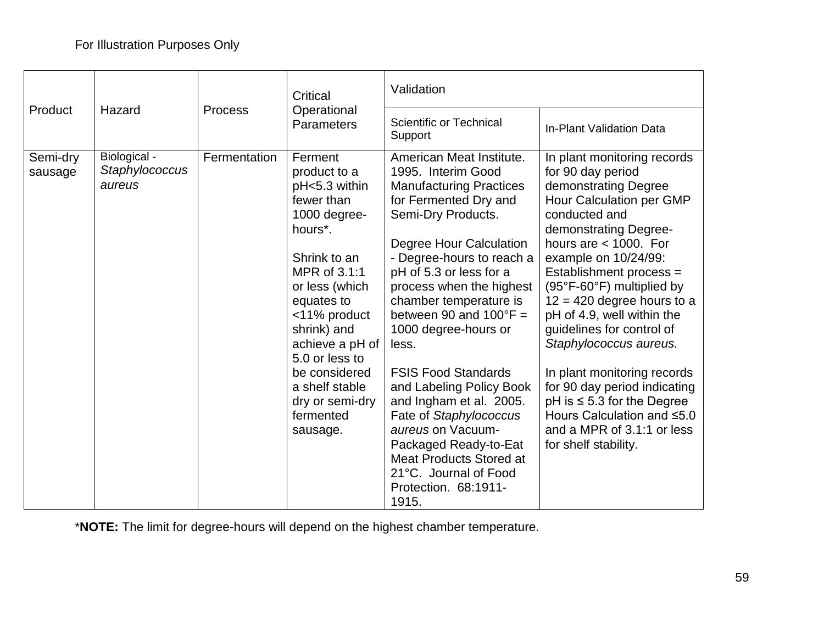|                     |                                          |                | Critical                                                                                                                                                                                                                                                                                                   | Validation                                                                                                                                                                                                                                                                                                                                                                                                                                                                                                                                                                                            |                                                                                                                                                                                                                                                                                                                                                                                                                                                                                                                                                                        |  |
|---------------------|------------------------------------------|----------------|------------------------------------------------------------------------------------------------------------------------------------------------------------------------------------------------------------------------------------------------------------------------------------------------------------|-------------------------------------------------------------------------------------------------------------------------------------------------------------------------------------------------------------------------------------------------------------------------------------------------------------------------------------------------------------------------------------------------------------------------------------------------------------------------------------------------------------------------------------------------------------------------------------------------------|------------------------------------------------------------------------------------------------------------------------------------------------------------------------------------------------------------------------------------------------------------------------------------------------------------------------------------------------------------------------------------------------------------------------------------------------------------------------------------------------------------------------------------------------------------------------|--|
| Product             | Hazard                                   | <b>Process</b> | Operational<br><b>Parameters</b>                                                                                                                                                                                                                                                                           | Scientific or Technical<br>Support                                                                                                                                                                                                                                                                                                                                                                                                                                                                                                                                                                    | In-Plant Validation Data                                                                                                                                                                                                                                                                                                                                                                                                                                                                                                                                               |  |
| Semi-dry<br>sausage | Biological -<br>Staphylococcus<br>aureus | Fermentation   | Ferment<br>product to a<br>pH<5.3 within<br>fewer than<br>1000 degree-<br>hours*.<br>Shrink to an<br>MPR of 3.1:1<br>or less (which<br>equates to<br><11% product<br>shrink) and<br>achieve a $pH$ of $ $<br>5.0 or less to<br>be considered<br>a shelf stable<br>dry or semi-dry<br>fermented<br>sausage. | American Meat Institute.<br>1995. Interim Good<br><b>Manufacturing Practices</b><br>for Fermented Dry and<br>Semi-Dry Products.<br>Degree Hour Calculation<br>- Degree-hours to reach a<br>pH of 5.3 or less for a<br>process when the highest<br>chamber temperature is<br>between 90 and $100^{\circ}F =$<br>1000 degree-hours or<br>less.<br><b>FSIS Food Standards</b><br>and Labeling Policy Book<br>and Ingham et al. 2005.<br>Fate of Staphylococcus<br>aureus on Vacuum-<br>Packaged Ready-to-Eat<br><b>Meat Products Stored at</b><br>21°C. Journal of Food<br>Protection. 68:1911-<br>1915. | In plant monitoring records<br>for 90 day period<br>demonstrating Degree<br>Hour Calculation per GMP<br>conducted and<br>demonstrating Degree-<br>hours are $<$ 1000. For<br>example on 10/24/99:<br>Establishment process =<br>(95°F-60°F) multiplied by<br>$12 = 420$ degree hours to a<br>pH of 4.9, well within the<br>guidelines for control of<br>Staphylococcus aureus.<br>In plant monitoring records<br>for 90 day period indicating<br>$pH$ is $\leq 5.3$ for the Degree<br>Hours Calculation and ≤5.0<br>and a MPR of 3.1:1 or less<br>for shelf stability. |  |

\***NOTE:** The limit for degree-hours will depend on the highest chamber temperature.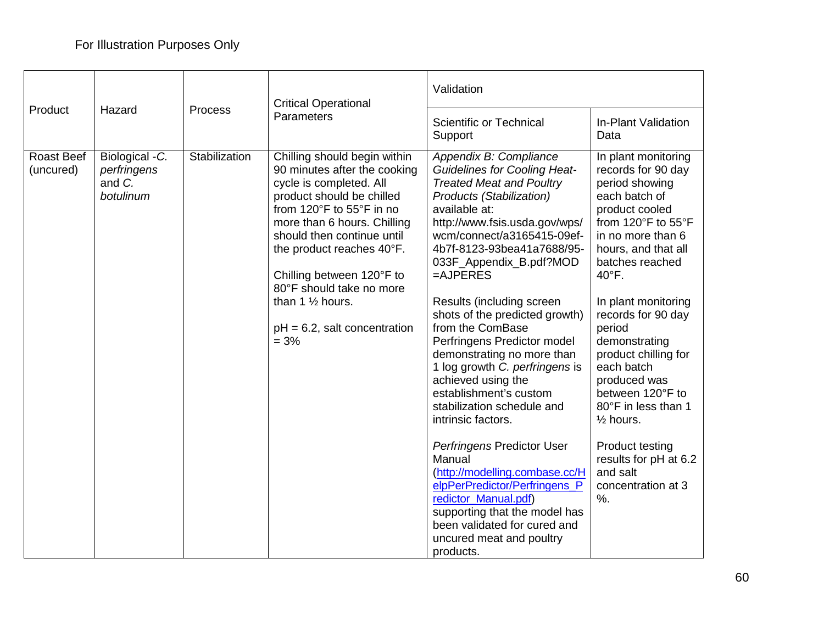|                                | <b>Critical Operational</b><br>Hazard<br>Process<br>Parameters |               |                                                                                                                                                                                                                                                                                                                                                                                 | Validation                                                                                                                                                                                                                                                                                                                                                                                                                                                                                                                                                                                                                                                                                                                                                                                                              |                                                                                                                                                                                                                                                                                                                                                                                                                                                                                                   |  |
|--------------------------------|----------------------------------------------------------------|---------------|---------------------------------------------------------------------------------------------------------------------------------------------------------------------------------------------------------------------------------------------------------------------------------------------------------------------------------------------------------------------------------|-------------------------------------------------------------------------------------------------------------------------------------------------------------------------------------------------------------------------------------------------------------------------------------------------------------------------------------------------------------------------------------------------------------------------------------------------------------------------------------------------------------------------------------------------------------------------------------------------------------------------------------------------------------------------------------------------------------------------------------------------------------------------------------------------------------------------|---------------------------------------------------------------------------------------------------------------------------------------------------------------------------------------------------------------------------------------------------------------------------------------------------------------------------------------------------------------------------------------------------------------------------------------------------------------------------------------------------|--|
| Product                        |                                                                |               |                                                                                                                                                                                                                                                                                                                                                                                 | <b>Scientific or Technical</b><br>Support                                                                                                                                                                                                                                                                                                                                                                                                                                                                                                                                                                                                                                                                                                                                                                               | In-Plant Validation<br>Data                                                                                                                                                                                                                                                                                                                                                                                                                                                                       |  |
| <b>Roast Beef</b><br>(uncured) | Biological - C.<br>perfringens<br>and C.<br>botulinum          | Stabilization | Chilling should begin within<br>90 minutes after the cooking<br>cycle is completed. All<br>product should be chilled<br>from 120°F to 55°F in no<br>more than 6 hours. Chilling<br>should then continue until<br>the product reaches 40°F.<br>Chilling between 120°F to<br>80°F should take no more<br>than 1 $\frac{1}{2}$ hours.<br>$pH = 6.2$ , salt concentration<br>$= 3%$ | Appendix B: Compliance<br><b>Guidelines for Cooling Heat-</b><br><b>Treated Meat and Poultry</b><br>Products (Stabilization)<br>available at:<br>http://www.fsis.usda.gov/wps/<br>wcm/connect/a3165415-09ef-<br>4b7f-8123-93bea41a7688/95-<br>033F_Appendix_B.pdf?MOD<br>$=$ AJPERES<br>Results (including screen<br>shots of the predicted growth)<br>from the ComBase<br>Perfringens Predictor model<br>demonstrating no more than<br>1 log growth C. perfringens is<br>achieved using the<br>establishment's custom<br>stabilization schedule and<br>intrinsic factors.<br>Perfringens Predictor User<br>Manual<br>(http://modelling.combase.cc/H<br>elpPerPredictor/Perfringens_P<br>redictor_Manual.pdf)<br>supporting that the model has<br>been validated for cured and<br>uncured meat and poultry<br>products. | In plant monitoring<br>records for 90 day<br>period showing<br>each batch of<br>product cooled<br>from 120°F to 55°F<br>in no more than 6<br>hours, and that all<br>batches reached<br>$40^{\circ}$ F.<br>In plant monitoring<br>records for 90 day<br>period<br>demonstrating<br>product chilling for<br>each batch<br>produced was<br>between 120°F to<br>80°F in less than 1<br>$\frac{1}{2}$ hours.<br><b>Product testing</b><br>results for pH at 6.2<br>and salt<br>concentration at 3<br>% |  |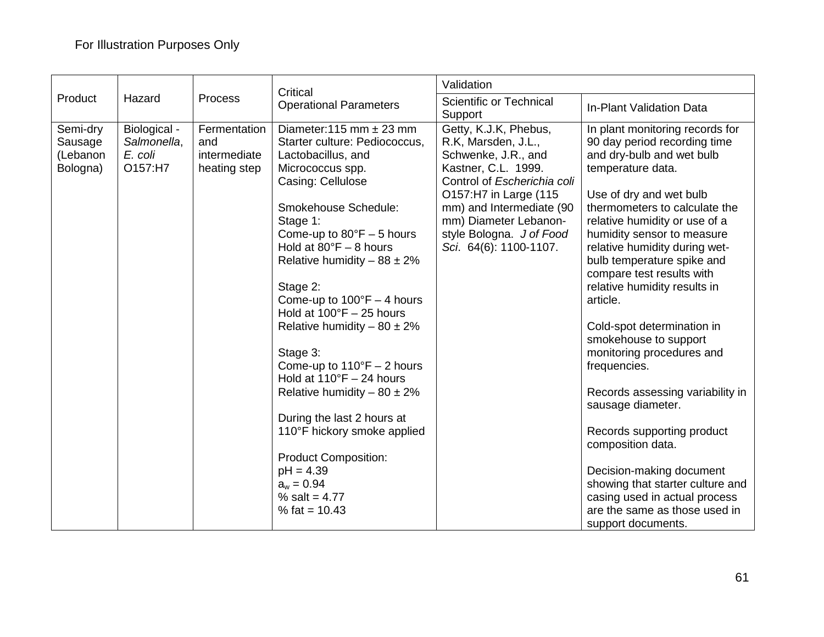|                                             |                                                   |                                                     | Critical                                                                                                                                                                                                                                                                                                                                                                                                                                                                                                                                                                                                                                                                                            | Validation                                                                                                                                                                                                                                                    |                                                                                                                                                                                                                                                                                                                                                                                                                                                                                                                                                                                                                                                                                                                                                              |  |  |
|---------------------------------------------|---------------------------------------------------|-----------------------------------------------------|-----------------------------------------------------------------------------------------------------------------------------------------------------------------------------------------------------------------------------------------------------------------------------------------------------------------------------------------------------------------------------------------------------------------------------------------------------------------------------------------------------------------------------------------------------------------------------------------------------------------------------------------------------------------------------------------------------|---------------------------------------------------------------------------------------------------------------------------------------------------------------------------------------------------------------------------------------------------------------|--------------------------------------------------------------------------------------------------------------------------------------------------------------------------------------------------------------------------------------------------------------------------------------------------------------------------------------------------------------------------------------------------------------------------------------------------------------------------------------------------------------------------------------------------------------------------------------------------------------------------------------------------------------------------------------------------------------------------------------------------------------|--|--|
| Product                                     | Hazard                                            | Process                                             | <b>Operational Parameters</b>                                                                                                                                                                                                                                                                                                                                                                                                                                                                                                                                                                                                                                                                       | Scientific or Technical<br>Support                                                                                                                                                                                                                            | In-Plant Validation Data                                                                                                                                                                                                                                                                                                                                                                                                                                                                                                                                                                                                                                                                                                                                     |  |  |
| Semi-dry<br>Sausage<br>(Lebanon<br>Bologna) | Biological -<br>Salmonella,<br>E. coli<br>O157:H7 | Fermentation<br>and<br>intermediate<br>heating step | Diameter: 115 mm $\pm$ 23 mm<br>Starter culture: Pediococcus,<br>Lactobacillus, and<br>Micrococcus spp.<br>Casing: Cellulose<br>Smokehouse Schedule:<br>Stage 1:<br>Come-up to $80^{\circ}F - 5$ hours<br>Hold at $80^{\circ}F - 8$ hours<br>Relative humidity $-88 \pm 2\%$<br>Stage 2:<br>Come-up to $100^{\circ}F - 4$ hours<br>Hold at $100^{\circ}F - 25$ hours<br>Relative humidity $-80 \pm 2\%$<br>Stage 3:<br>Come-up to $110^{\circ}F - 2$ hours<br>Hold at $110^{\circ}F - 24$ hours<br>Relative humidity $-80 \pm 2\%$<br>During the last 2 hours at<br>110°F hickory smoke applied<br><b>Product Composition:</b><br>$pH = 4.39$<br>$a_w = 0.94$<br>% salt = $4.77$<br>% fat = $10.43$ | Getty, K.J.K, Phebus,<br>R.K, Marsden, J.L.,<br>Schwenke, J.R., and<br>Kastner, C.L. 1999.<br>Control of Escherichia coli<br>O157:H7 in Large (115<br>mm) and Intermediate (90<br>mm) Diameter Lebanon-<br>style Bologna. J of Food<br>Sci. 64(6): 1100-1107. | In plant monitoring records for<br>90 day period recording time<br>and dry-bulb and wet bulb<br>temperature data.<br>Use of dry and wet bulb<br>thermometers to calculate the<br>relative humidity or use of a<br>humidity sensor to measure<br>relative humidity during wet-<br>bulb temperature spike and<br>compare test results with<br>relative humidity results in<br>article.<br>Cold-spot determination in<br>smokehouse to support<br>monitoring procedures and<br>frequencies.<br>Records assessing variability in<br>sausage diameter.<br>Records supporting product<br>composition data.<br>Decision-making document<br>showing that starter culture and<br>casing used in actual process<br>are the same as those used in<br>support documents. |  |  |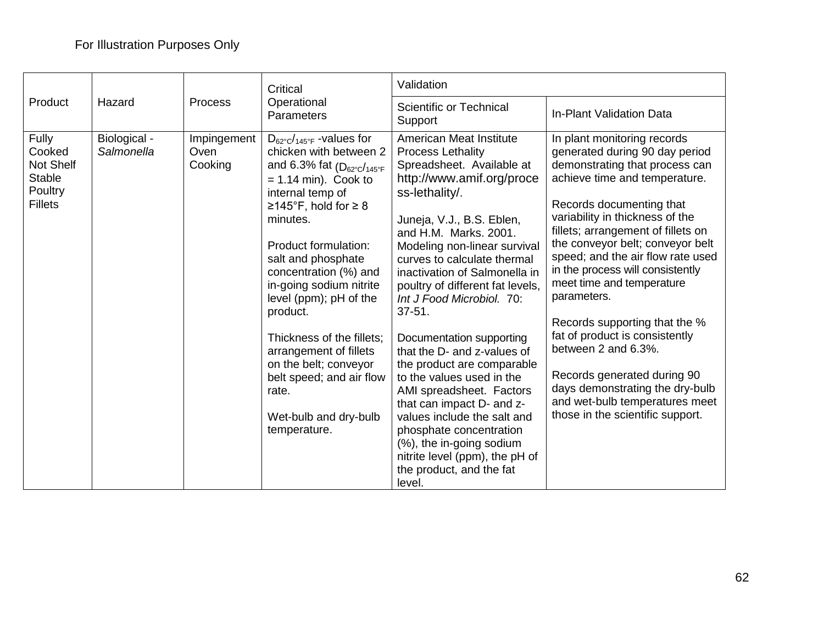|                                                                            |                            | Process                        | Critical                                                                                                                                                                                                                                                                                                                                                                                                                                                                                                                 | Validation                                                                                                                                                                                                                                                                                                                                                                                                                                                                                                                                                                                                                                                                                                         |                                                                                                                                                                                                                                                                                                                                                                                                                                                                                                                                                                                                                                  |  |
|----------------------------------------------------------------------------|----------------------------|--------------------------------|--------------------------------------------------------------------------------------------------------------------------------------------------------------------------------------------------------------------------------------------------------------------------------------------------------------------------------------------------------------------------------------------------------------------------------------------------------------------------------------------------------------------------|--------------------------------------------------------------------------------------------------------------------------------------------------------------------------------------------------------------------------------------------------------------------------------------------------------------------------------------------------------------------------------------------------------------------------------------------------------------------------------------------------------------------------------------------------------------------------------------------------------------------------------------------------------------------------------------------------------------------|----------------------------------------------------------------------------------------------------------------------------------------------------------------------------------------------------------------------------------------------------------------------------------------------------------------------------------------------------------------------------------------------------------------------------------------------------------------------------------------------------------------------------------------------------------------------------------------------------------------------------------|--|
| Product                                                                    | Hazard                     |                                | Operational<br>Parameters                                                                                                                                                                                                                                                                                                                                                                                                                                                                                                | Scientific or Technical<br>Support                                                                                                                                                                                                                                                                                                                                                                                                                                                                                                                                                                                                                                                                                 | In-Plant Validation Data                                                                                                                                                                                                                                                                                                                                                                                                                                                                                                                                                                                                         |  |
| Fully<br>Cooked<br>Not Shelf<br><b>Stable</b><br>Poultry<br><b>Fillets</b> | Biological -<br>Salmonella | Impingement<br>Oven<br>Cooking | $D_{62^{\circ}C}/_{145^{\circ}F}$ -values for<br>chicken with between 2<br>and 6.3% fat $(D_{62^{\circ}C}/_{145^{\circ}F})$<br>$= 1.14$ min). Cook to<br>internal temp of<br>≥145°F, hold for $\geq 8$<br>minutes.<br>Product formulation:<br>salt and phosphate<br>concentration (%) and<br>in-going sodium nitrite<br>level (ppm); pH of the<br>product.<br>Thickness of the fillets:<br>arrangement of fillets<br>on the belt; conveyor<br>belt speed; and air flow<br>rate.<br>Wet-bulb and dry-bulb<br>temperature. | American Meat Institute<br><b>Process Lethality</b><br>Spreadsheet. Available at<br>http://www.amif.org/proce<br>ss-lethality/.<br>Juneja, V.J., B.S. Eblen,<br>and H.M. Marks, 2001.<br>Modeling non-linear survival<br>curves to calculate thermal<br>inactivation of Salmonella in<br>poultry of different fat levels,<br>Int J Food Microbiol. 70:<br>$37 - 51$ .<br>Documentation supporting<br>that the D- and z-values of<br>the product are comparable<br>to the values used in the<br>AMI spreadsheet. Factors<br>that can impact D- and z-<br>values include the salt and<br>phosphate concentration<br>(%), the in-going sodium<br>nitrite level (ppm), the pH of<br>the product, and the fat<br>level. | In plant monitoring records<br>generated during 90 day period<br>demonstrating that process can<br>achieve time and temperature.<br>Records documenting that<br>variability in thickness of the<br>fillets; arrangement of fillets on<br>the conveyor belt; conveyor belt<br>speed; and the air flow rate used<br>in the process will consistently<br>meet time and temperature<br>parameters.<br>Records supporting that the %<br>fat of product is consistently<br>between 2 and 6.3%.<br>Records generated during 90<br>days demonstrating the dry-bulb<br>and wet-bulb temperatures meet<br>those in the scientific support. |  |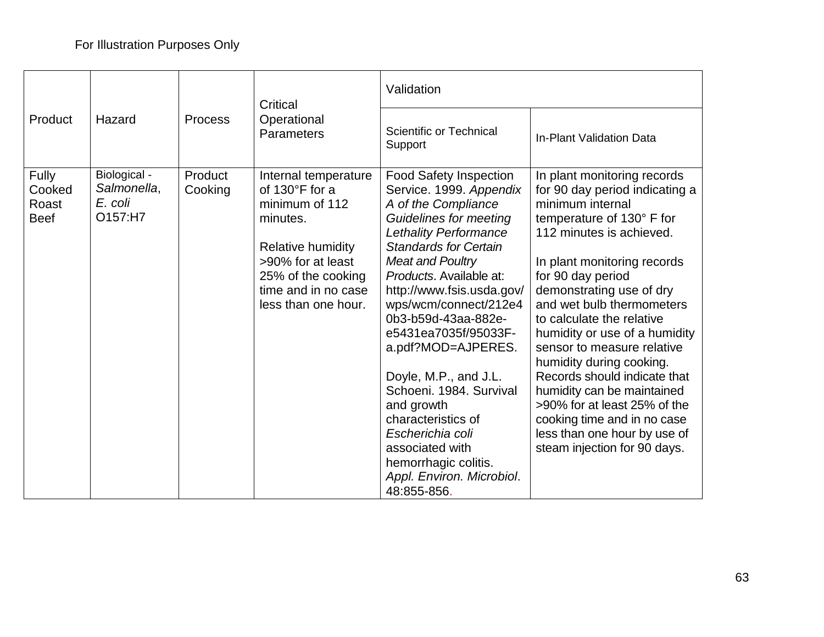|                                                |                                                   | <b>Process</b>     | Critical                                                                                                                                                                                  | Validation                                                                                                                                                                                                                                                                                                                                                                                                                                                                                                                                                    |                                                                                                                                                                                                                                                                                                                                                                                                                                                                                                                                                                              |  |
|------------------------------------------------|---------------------------------------------------|--------------------|-------------------------------------------------------------------------------------------------------------------------------------------------------------------------------------------|---------------------------------------------------------------------------------------------------------------------------------------------------------------------------------------------------------------------------------------------------------------------------------------------------------------------------------------------------------------------------------------------------------------------------------------------------------------------------------------------------------------------------------------------------------------|------------------------------------------------------------------------------------------------------------------------------------------------------------------------------------------------------------------------------------------------------------------------------------------------------------------------------------------------------------------------------------------------------------------------------------------------------------------------------------------------------------------------------------------------------------------------------|--|
| Product                                        | Hazard                                            |                    | Operational<br>Parameters                                                                                                                                                                 | <b>Scientific or Technical</b><br>Support                                                                                                                                                                                                                                                                                                                                                                                                                                                                                                                     | <b>In-Plant Validation Data</b>                                                                                                                                                                                                                                                                                                                                                                                                                                                                                                                                              |  |
| <b>Fully</b><br>Cooked<br>Roast<br><b>Beef</b> | Biological -<br>Salmonella,<br>E. coli<br>O157:H7 | Product<br>Cooking | Internal temperature<br>of 130°F for a<br>minimum of 112<br>minutes.<br><b>Relative humidity</b><br>>90% for at least<br>25% of the cooking<br>time and in no case<br>less than one hour. | <b>Food Safety Inspection</b><br>Service. 1999. Appendix<br>A of the Compliance<br><b>Guidelines for meeting</b><br><b>Lethality Performance</b><br><b>Standards for Certain</b><br>Meat and Poultry<br>Products. Available at:<br>http://www.fsis.usda.gov/<br>wps/wcm/connect/212e4<br>0b3-b59d-43aa-882e-<br>e5431ea7035f/95033F-<br>a.pdf?MOD=AJPERES.<br>Doyle, M.P., and J.L.<br>Schoeni. 1984. Survival<br>and growth<br>characteristics of<br>Escherichia coli<br>associated with<br>hemorrhagic colitis.<br>Appl. Environ. Microbiol.<br>48:855-856. | In plant monitoring records<br>for 90 day period indicating a<br>minimum internal<br>temperature of 130° F for<br>112 minutes is achieved.<br>In plant monitoring records<br>for 90 day period<br>demonstrating use of dry<br>and wet bulb thermometers<br>to calculate the relative<br>humidity or use of a humidity<br>sensor to measure relative<br>humidity during cooking.<br>Records should indicate that<br>humidity can be maintained<br>>90% for at least 25% of the<br>cooking time and in no case<br>less than one hour by use of<br>steam injection for 90 days. |  |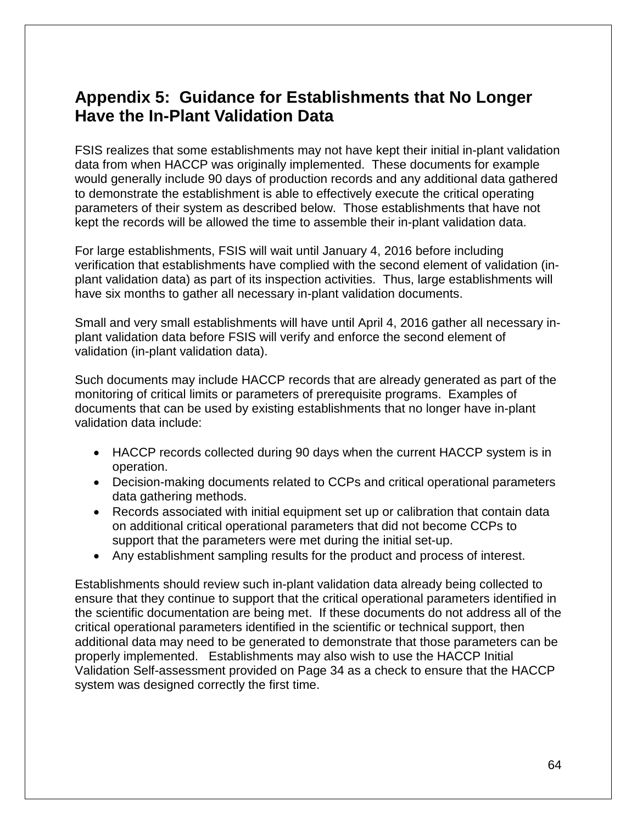## <span id="page-66-0"></span>**Appendix 5: Guidance for Establishments that No Longer Have the In-Plant Validation Data**

FSIS realizes that some establishments may not have kept their initial in-plant validation data from when HACCP was originally implemented. These documents for example would generally include 90 days of production records and any additional data gathered to demonstrate the establishment is able to effectively execute the critical operating parameters of their system as described below. Those establishments that have not kept the records will be allowed the time to assemble their in-plant validation data.

For large establishments, FSIS will wait until January 4, 2016 before including verification that establishments have complied with the second element of validation (inplant validation data) as part of its inspection activities. Thus, large establishments will have six months to gather all necessary in-plant validation documents.

Small and very small establishments will have until April 4, 2016 gather all necessary inplant validation data before FSIS will verify and enforce the second element of validation (in-plant validation data).

Such documents may include HACCP records that are already generated as part of the monitoring of critical limits or parameters of prerequisite programs. Examples of documents that can be used by existing establishments that no longer have in-plant validation data include:

- HACCP records collected during 90 days when the current HACCP system is in operation.
- Decision-making documents related to CCPs and critical operational parameters data gathering methods.
- Records associated with initial equipment set up or calibration that contain data on additional critical operational parameters that did not become CCPs to support that the parameters were met during the initial set-up.
- Any establishment sampling results for the product and process of interest.

Establishments should review such in-plant validation data already being collected to ensure that they continue to support that the critical operational parameters identified in the scientific documentation are being met. If these documents do not address all of the critical operational parameters identified in the scientific or technical support, then additional data may need to be generated to demonstrate that those parameters can be properly implemented. Establishments may also wish to use the HACCP Initial Validation Self-assessment provided on Page 34 as a check to ensure that the HACCP system was designed correctly the first time.